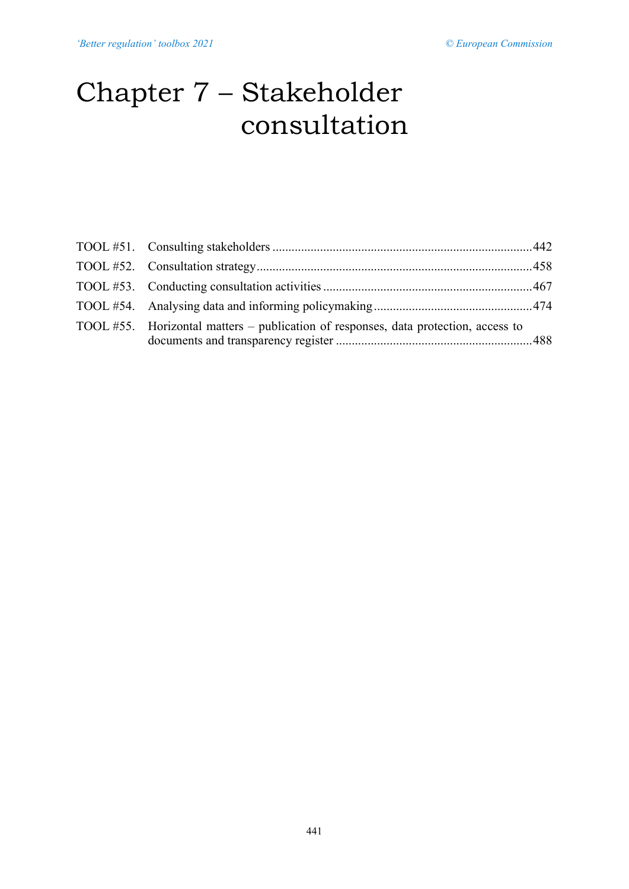# Chapter 7 – Stakeholder consultation

| TOOL #55. Horizontal matters – publication of responses, data protection, access to |  |
|-------------------------------------------------------------------------------------|--|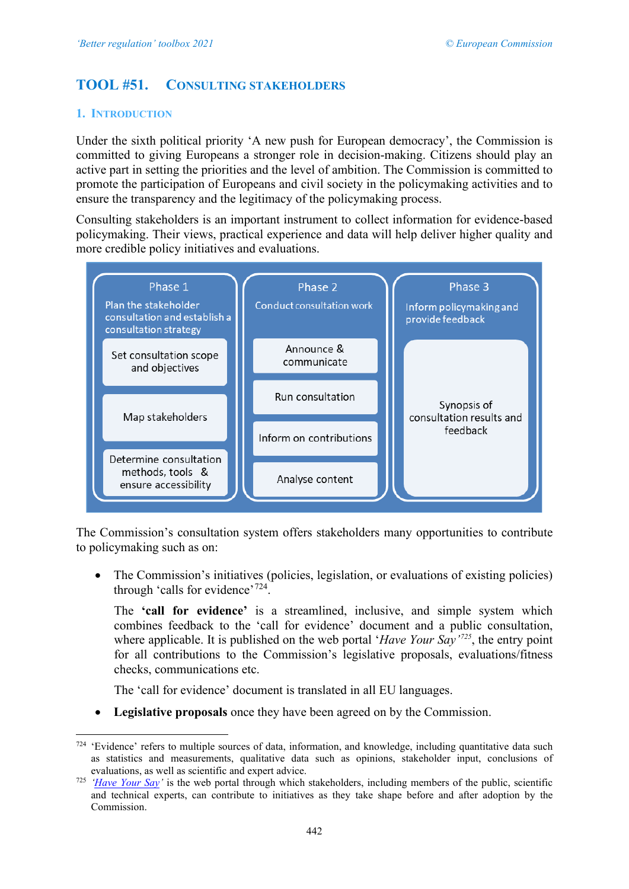# <span id="page-1-0"></span>**TOOL #51. CONSULTING STAKEHOLDERS**

# **1. INTRODUCTION**

Under the sixth political priority 'A new push for European democracy', the Commission is committed to giving Europeans a stronger role in decision-making. Citizens should play an active part in setting the priorities and the level of ambition. The Commission is committed to promote the participation of Europeans and civil society in the policymaking activities and to ensure the transparency and the legitimacy of the policymaking process.

Consulting stakeholders is an important instrument to collect information for evidence-based policymaking. Their views, practical experience and data will help deliver higher quality and more credible policy initiatives and evaluations.



The Commission's consultation system offers stakeholders many opportunities to contribute to policymaking such as on:

• The Commission's initiatives (policies, legislation, or evaluations of existing policies) through 'calls for evidence'<sup>[724](#page-1-1)</sup>.

The **'call for evidence'** is a streamlined, inclusive, and simple system which combines feedback to the 'call for evidence' document and a public consultation, where applicable. It is published on the web portal '*Have Your Say'[725](#page-1-2)*, the entry point for all contributions to the Commission's legislative proposals, evaluations/fitness checks, communications etc.

The 'call for evidence' document is translated in all EU languages.

• **Legislative proposals** once they have been agreed on by the Commission.

<span id="page-1-1"></span><sup>724 &#</sup>x27;Evidence' refers to multiple sources of data, information, and knowledge, including quantitative data such as statistics and measurements, qualitative data such as opinions, stakeholder input, conclusions of evaluations, as well as scientific and expert advice.

<span id="page-1-2"></span><sup>725</sup> *['Have Your Say'](https://ec.europa.eu/info/law/better-regulation/have-your-say_en)* is the web portal through which stakeholders, including members of the public, scientific and technical experts, can contribute to initiatives as they take shape before and after adoption by the Commission.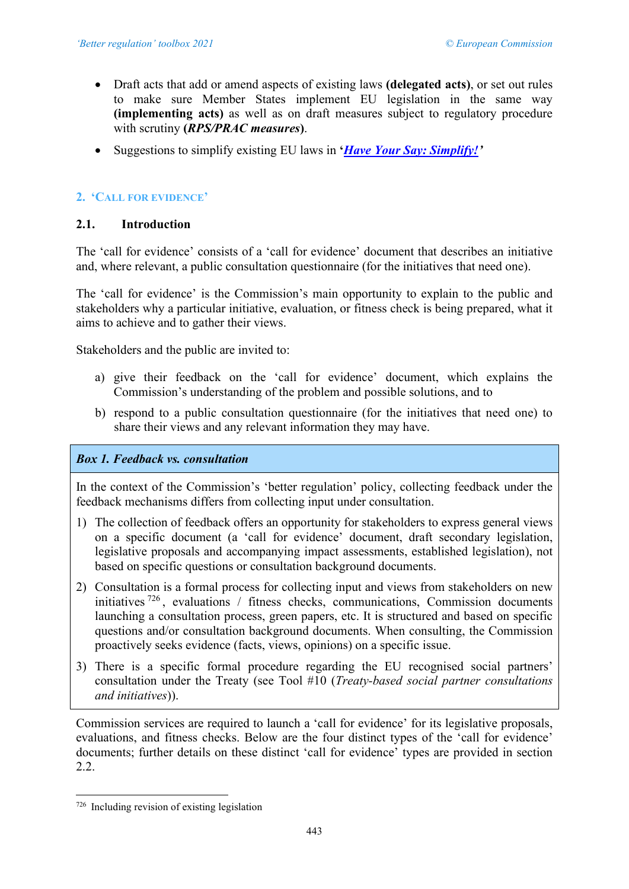- Draft acts that add or amend aspects of existing laws **(delegated acts)**, or set out rules to make sure Member States implement EU legislation in the same way **(implementing acts)** as well as on draft measures subject to regulatory procedure with scrutiny **(***RPS/PRAC measures***)**.
- Suggestions to simplify existing EU laws in **'***[Have Your Say: Simplify!'](https://ec.europa.eu/info/law/better-regulation/have-your-say-simplify_en)*

# **2. 'CALL FOR EVIDENCE'**

# **2.1. Introduction**

The 'call for evidence' consists of a 'call for evidence' document that describes an initiative and, where relevant, a public consultation questionnaire (for the initiatives that need one).

The 'call for evidence' is the Commission's main opportunity to explain to the public and stakeholders why a particular initiative, evaluation, or fitness check is being prepared, what it aims to achieve and to gather their views.

Stakeholders and the public are invited to:

- a) give their feedback on the 'call for evidence' document, which explains the Commission's understanding of the problem and possible solutions, and to
- b) respond to a public consultation questionnaire (for the initiatives that need one) to share their views and any relevant information they may have.

## *Box 1. Feedback vs. consultation*

In the context of the Commission's 'better regulation' policy, collecting feedback under the feedback mechanisms differs from collecting input under consultation.

- 1) The collection of feedback offers an opportunity for stakeholders to express general views on a specific document (a 'call for evidence' document, draft secondary legislation, legislative proposals and accompanying impact assessments, established legislation), not based on specific questions or consultation background documents.
- 2) Consultation is a formal process for collecting input and views from stakeholders on new initiatives [726](#page-2-0) , evaluations / fitness checks, communications, Commission documents launching a consultation process, green papers, etc. It is structured and based on specific questions and/or consultation background documents. When consulting, the Commission proactively seeks evidence (facts, views, opinions) on a specific issue.
- 3) There is a specific formal procedure regarding the EU recognised social partners' consultation under the Treaty (see Tool #10 (*Treaty-based social partner consultations and initiatives*)).

Commission services are required to launch a 'call for evidence' for its legislative proposals, evaluations, and fitness checks. Below are the four distinct types of the 'call for evidence' documents; further details on these distinct 'call for evidence' types are provided in section 2.2.

<span id="page-2-0"></span><sup>726</sup> Including revision of existing legislation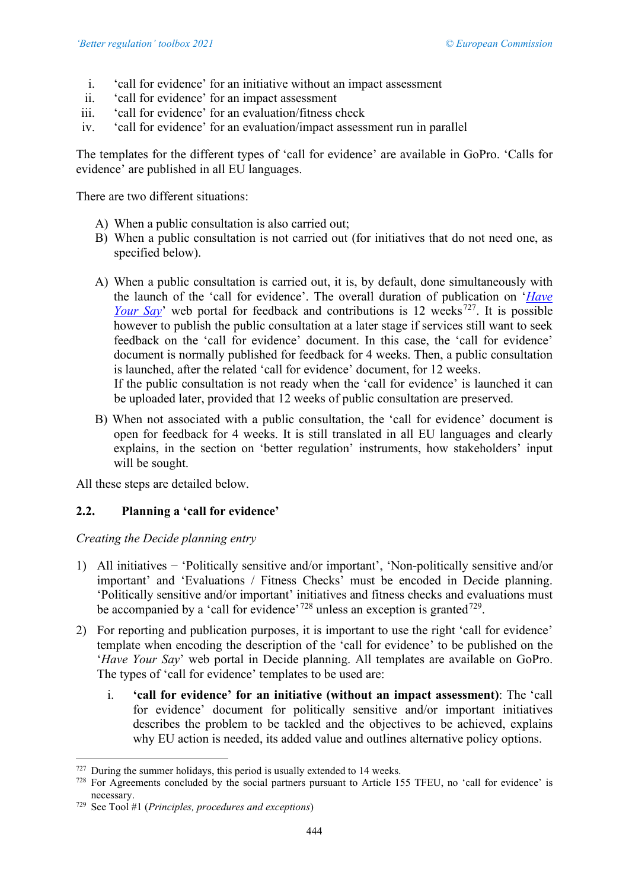- i. 'call for evidence' for an initiative without an impact assessment
- ii. 'call for evidence' for an impact assessment
- iii. 'call for evidence' for an evaluation/fitness check
- iv. 'call for evidence' for an evaluation/impact assessment run in parallel

The templates for the different types of 'call for evidence' are available in GoPro. 'Calls for evidence' are published in all EU languages.

There are two different situations:

- A) When a public consultation is also carried out;
- B) When a public consultation is not carried out (for initiatives that do not need one, as specified below).
- A) When a public consultation is carried out, it is, by default, done simultaneously with the launch of the 'call for evidence'. The overall duration of publication on '*[Have](https://ec.europa.eu/info/law/better-regulation/have-your-say_en)  [Your Say](https://ec.europa.eu/info/law/better-regulation/have-your-say_en)*' web portal for feedback and contributions is 12 weeks<sup>727</sup>. It is possible however to publish the public consultation at a later stage if services still want to seek feedback on the 'call for evidence' document. In this case, the 'call for evidence' document is normally published for feedback for 4 weeks. Then, a public consultation is launched, after the related 'call for evidence' document, for 12 weeks.

If the public consultation is not ready when the 'call for evidence' is launched it can be uploaded later, provided that 12 weeks of public consultation are preserved.

B) When not associated with a public consultation, the 'call for evidence' document is open for feedback for 4 weeks. It is still translated in all EU languages and clearly explains, in the section on 'better regulation' instruments, how stakeholders' input will be sought.

All these steps are detailed below.

# **2.2. Planning a 'call for evidence'**

*Creating the Decide planning entry*

- 1) All initiatives − 'Politically sensitive and/or important', 'Non-politically sensitive and/or important' and 'Evaluations / Fitness Checks' must be encoded in D*e*cide planning. 'Politically sensitive and/or important' initiatives and fitness checks and evaluations must be accompanied by a 'call for evidence'<sup>[728](#page-3-1)</sup> unless an exception is granted<sup>[729](#page-3-2)</sup>.
- 2) For reporting and publication purposes, it is important to use the right 'call for evidence' template when encoding the description of the 'call for evidence' to be published on the '*Have Your Say*' web portal in Decide planning. All templates are available on GoPro. The types of 'call for evidence' templates to be used are:
	- i. **'call for evidence' for an initiative (without an impact assessment)**: The 'call for evidence' document for politically sensitive and/or important initiatives describes the problem to be tackled and the objectives to be achieved, explains why EU action is needed, its added value and outlines alternative policy options.

<span id="page-3-0"></span> $727$  During the summer holidays, this period is usually extended to 14 weeks.

<span id="page-3-1"></span><sup>&</sup>lt;sup>728</sup> For Agreements concluded by the social partners pursuant to Article 155 TFEU, no 'call for evidence' is necessary.

<span id="page-3-2"></span><sup>729</sup> See Tool #1 (*Principles, procedures and exceptions*)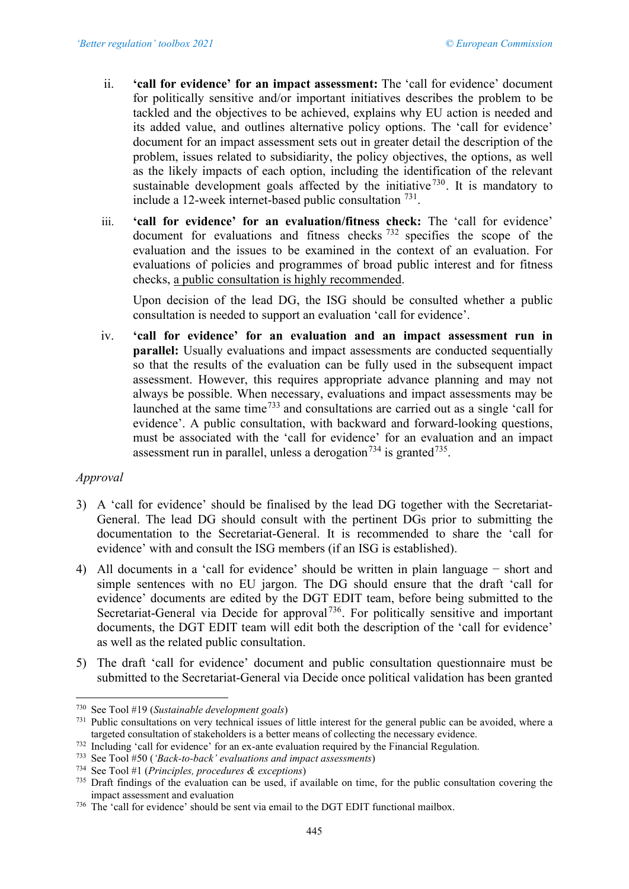- ii. **'call for evidence' for an impact assessment:** The 'call for evidence' document for politically sensitive and/or important initiatives describes the problem to be tackled and the objectives to be achieved, explains why EU action is needed and its added value, and outlines alternative policy options. The 'call for evidence' document for an impact assessment sets out in greater detail the description of the problem, issues related to subsidiarity, the policy objectives, the options, as well as the likely impacts of each option, including the identification of the relevant sustainable development goals affected by the initiative  $730$ . It is mandatory to include a 12-week internet-based public consultation [731](#page-4-1).
- iii. **'call for evidence' for an evaluation/fitness check:** The 'call for evidence' document for evaluations and fitness checks [732](#page-4-2) specifies the scope of the evaluation and the issues to be examined in the context of an evaluation. For evaluations of policies and programmes of broad public interest and for fitness checks, a public consultation is highly recommended.

Upon decision of the lead DG, the ISG should be consulted whether a public consultation is needed to support an evaluation 'call for evidence'.

iv. **'call for evidence' for an evaluation and an impact assessment run in parallel:** Usually evaluations and impact assessments are conducted sequentially so that the results of the evaluation can be fully used in the subsequent impact assessment. However, this requires appropriate advance planning and may not always be possible. When necessary, evaluations and impact assessments may be launched at the same time[733](#page-4-3) and consultations are carried out as a single 'call for evidence'. A public consultation, with backward and forward-looking questions, must be associated with the 'call for evidence' for an evaluation and an impact assessment run in parallel, unless a derogation<sup>[734](#page-4-4)</sup> is granted<sup>735</sup>.

## *Approval*

- 3) A 'call for evidence' should be finalised by the lead DG together with the Secretariat-General. The lead DG should consult with the pertinent DGs prior to submitting the documentation to the Secretariat-General. It is recommended to share the 'call for evidence' with and consult the ISG members (if an ISG is established).
- 4) All documents in a 'call for evidence' should be written in plain language − short and simple sentences with no EU jargon. The DG should ensure that the draft 'call for evidence' documents are edited by the DGT EDIT team, before being submitted to the Secretariat-General via Decide for approval<sup>[736](#page-4-6)</sup>. For politically sensitive and important documents, the DGT EDIT team will edit both the description of the 'call for evidence' as well as the related public consultation.
- 5) The draft 'call for evidence' document and public consultation questionnaire must be submitted to the Secretariat-General via Decide once political validation has been granted

<span id="page-4-0"></span><sup>730</sup> See Tool #19 (*Sustainable development goals*)

<span id="page-4-1"></span><sup>731</sup> Public consultations on very technical issues of little interest for the general public can be avoided, where a targeted consultation of stakeholders is a better means of collecting the necessary evidence.

<span id="page-4-2"></span><sup>732</sup> Including 'call for evidence' for an ex-ante evaluation required by the Financial Regulation.

<span id="page-4-3"></span><sup>733</sup> See Tool #50 (*'Back-to-back' evaluations and impact assessments*)

<span id="page-4-4"></span><sup>734</sup> See Tool #1 (*Principles, procedures & exceptions*)

<span id="page-4-5"></span> $735$  Draft findings of the evaluation can be used, if available on time, for the public consultation covering the impact assessment and evaluation

<span id="page-4-6"></span><sup>736</sup> The 'call for evidence' should be sent via email to the DGT EDIT functional mailbox.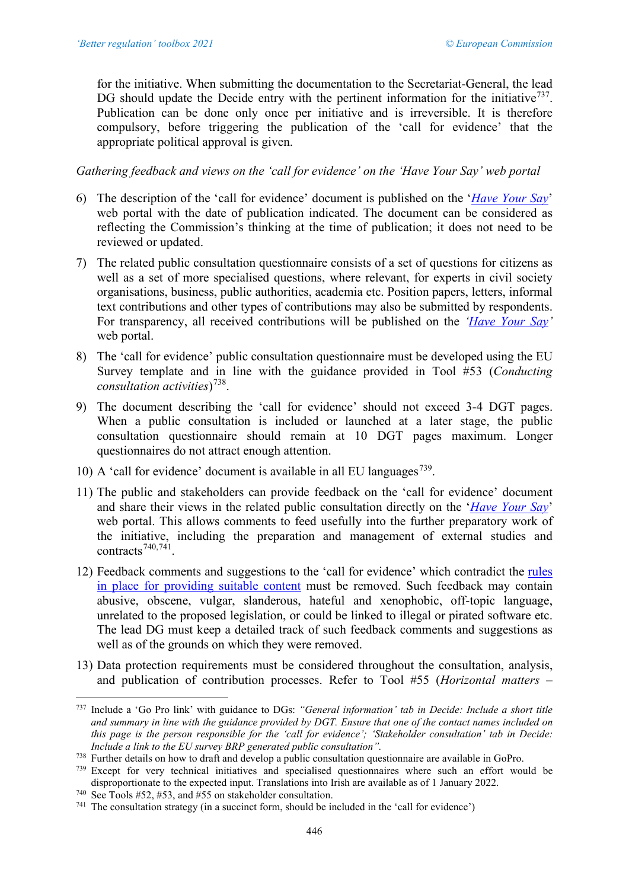for the initiative. When submitting the documentation to the Secretariat-General, the lead DG should update the Decide entry with the pertinent information for the initiative<sup>[737](#page-5-0)</sup>. Publication can be done only once per initiative and is irreversible. It is therefore compulsory, before triggering the publication of the 'call for evidence' that the appropriate political approval is given.

*Gathering feedback and views on the 'call for evidence' on the 'Have Your Say' web portal*

- 6) The description of the 'call for evidence' document is published on the '*[Have Your Say](https://ec.europa.eu/info/law/better-regulation/have-your-say_en)*' web portal with the date of publication indicated. The document can be considered as reflecting the Commission's thinking at the time of publication; it does not need to be reviewed or updated.
- 7) The related public consultation questionnaire consists of a set of questions for citizens as well as a set of more specialised questions, where relevant, for experts in civil society organisations, business, public authorities, academia etc. Position papers, letters, informal text contributions and other types of contributions may also be submitted by respondents. For transparency, all received contributions will be published on the *['Have Your Say'](https://ec.europa.eu/info/law/better-regulation/have-your-say_en)* web portal.
- 8) The 'call for evidence' public consultation questionnaire must be developed using the EU Survey template and in line with the guidance provided in Tool #53 (*Conducting consultation activities*) [738](#page-5-1).
- 9) The document describing the 'call for evidence' should not exceed 3-4 DGT pages. When a public consultation is included or launched at a later stage, the public consultation questionnaire should remain at 10 DGT pages maximum. Longer questionnaires do not attract enough attention.
- 10) A 'call for evidence' document is available in all EU languages<sup>[739](#page-5-2)</sup>.
- 11) The public and stakeholders can provide feedback on the 'call for evidence' document and share their views in the related public consultation directly on the '*[Have Your Say](https://ec.europa.eu/info/law/better-regulation/have-your-say_en)*' web portal. This allows comments to feed usefully into the further preparatory work of the initiative, including the preparation and management of external studies and contracts<sup> $740,741$  $740,741$ </sup>.
- 12) Feedback comments and suggestions to the 'call for evidence' which contradict the [rules](https://ec.europa.eu/info/law/better-regulation/rules-feedback-and-suggestions)  [in place for providing suitable content](https://ec.europa.eu/info/law/better-regulation/rules-feedback-and-suggestions) must be removed. Such feedback may contain abusive, obscene, vulgar, slanderous, hateful and xenophobic, off-topic language, unrelated to the proposed legislation, or could be linked to illegal or pirated software etc. The lead DG must keep a detailed track of such feedback comments and suggestions as well as of the grounds on which they were removed.
- 13) Data protection requirements must be considered throughout the consultation, analysis, and publication of contribution processes. Refer to Tool #55 (*Horizontal matters –*

<span id="page-5-0"></span><sup>737</sup> Include a 'Go Pro link' with guidance to DGs: *"General information' tab in Decide: Include a short title and summary in line with the guidance provided by DGT. Ensure that one of the contact names included on this page is the person responsible for the 'call for evidence'; 'Stakeholder consultation' tab in Decide: Include a link to the EU survey BRP generated public consultation".*

<span id="page-5-1"></span><sup>738</sup> Further details on how to draft and develop a public consultation questionnaire are available in GoPro.

<span id="page-5-2"></span><sup>739</sup> Except for very technical initiatives and specialised questionnaires where such an effort would be disproportionate to the expected input. Translations into Irish are available as of 1 January 2022.

<span id="page-5-3"></span><sup>&</sup>lt;sup>740</sup> See Tools #52, #53, and  $\hat{H}$ 55 on stakeholder consultation.

<span id="page-5-4"></span><sup>741</sup> The consultation strategy (in a succinct form, should be included in the 'call for evidence')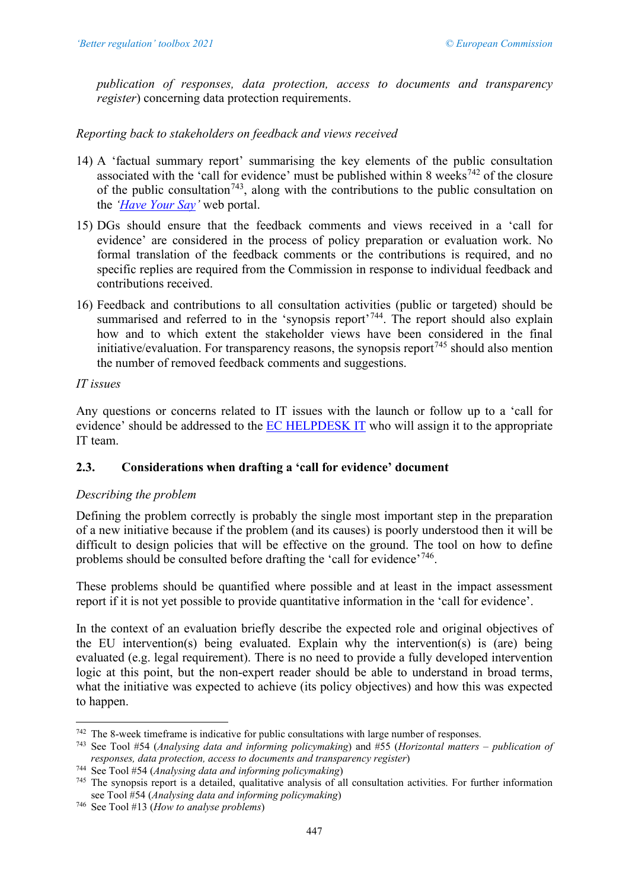*publication of responses, data protection, access to documents and transparency register*) concerning data protection requirements.

# *Reporting back to stakeholders on feedback and views received*

- 14) A 'factual summary report' summarising the key elements of the public consultation associated with the 'call for evidence' must be published within 8 weeks<sup>[742](#page-6-0)</sup> of the closure of the public consultation<sup>743</sup>, along with the contributions to the public consultation on the *['Have Your Say'](https://ec.europa.eu/info/law/better-regulation/have-your-say_en)* web portal.
- 15) DGs should ensure that the feedback comments and views received in a 'call for evidence' are considered in the process of policy preparation or evaluation work. No formal translation of the feedback comments or the contributions is required, and no specific replies are required from the Commission in response to individual feedback and contributions received.
- 16) Feedback and contributions to all consultation activities (public or targeted) should be summarised and referred to in the 'synopsis report'<sup>744</sup>. The report should also explain how and to which extent the stakeholder views have been considered in the final initiative/evaluation. For transparency reasons, the synopsis report<sup> $745$ </sup> should also mention the number of removed feedback comments and suggestions.

# *IT issues*

Any questions or concerns related to IT issues with the launch or follow up to a 'call for evidence' should be addressed to the [EC HELPDESK IT](mailto:EC-HELPDESK-IT@ec.europa.eu) who will assign it to the appropriate IT team.

# **2.3. Considerations when drafting a 'call for evidence' document**

## *Describing the problem*

Defining the problem correctly is probably the single most important step in the preparation of a new initiative because if the problem (and its causes) is poorly understood then it will be difficult to design policies that will be effective on the ground. The tool on how to define problems should be consulted before drafting the 'call for evidence'[746](#page-6-4).

These problems should be quantified where possible and at least in the impact assessment report if it is not yet possible to provide quantitative information in the 'call for evidence'.

In the context of an evaluation briefly describe the expected role and original objectives of the EU intervention(s) being evaluated. Explain why the intervention(s) is (are) being evaluated (e.g. legal requirement). There is no need to provide a fully developed intervention logic at this point, but the non-expert reader should be able to understand in broad terms, what the initiative was expected to achieve (its policy objectives) and how this was expected to happen.

<span id="page-6-0"></span><sup>742</sup> The 8-week timeframe is indicative for public consultations with large number of responses.

<span id="page-6-1"></span><sup>743</sup> See Tool #54 (*Analysing data and informing policymaking*) and #55 (*Horizontal matters – publication of responses, data protection, access to documents and transparency register*)

<span id="page-6-2"></span><sup>744</sup> See Tool #54 (*Analysing data and informing policymaking*)

<span id="page-6-3"></span> $745$  The synopsis report is a detailed, qualitative analysis of all consultation activities. For further information see Tool #54 (*Analysing data and informing policymaking*)

<span id="page-6-4"></span><sup>746</sup> See Tool #13 (*How to analyse problems*)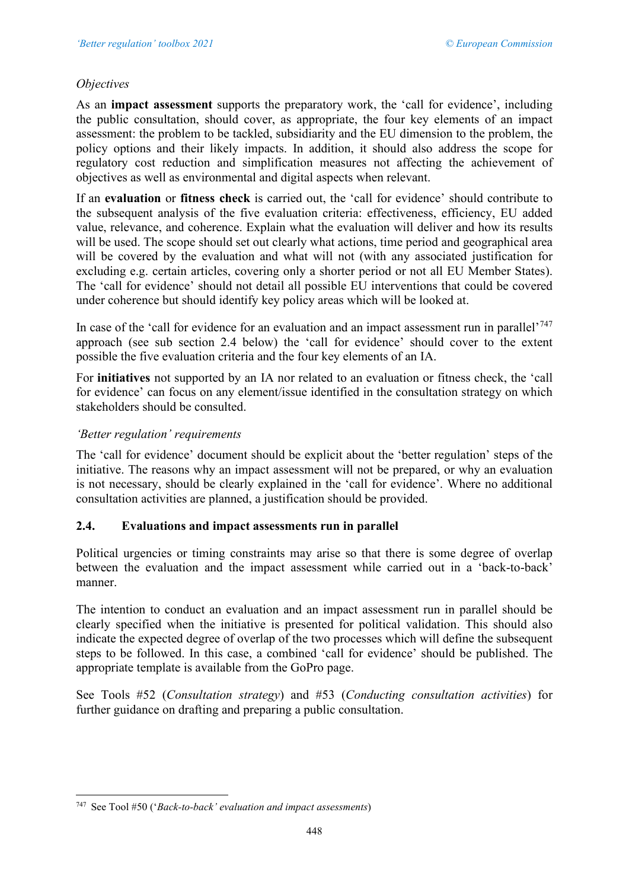# *Objectives*

As an **impact assessment** supports the preparatory work, the 'call for evidence', including the public consultation, should cover, as appropriate, the four key elements of an impact assessment: the problem to be tackled, subsidiarity and the EU dimension to the problem, the policy options and their likely impacts. In addition, it should also address the scope for regulatory cost reduction and simplification measures not affecting the achievement of objectives as well as environmental and digital aspects when relevant.

If an **evaluation** or **fitness check** is carried out, the 'call for evidence' should contribute to the subsequent analysis of the five evaluation criteria: effectiveness, efficiency, EU added value, relevance, and coherence. Explain what the evaluation will deliver and how its results will be used. The scope should set out clearly what actions, time period and geographical area will be covered by the evaluation and what will not (with any associated justification for excluding e.g. certain articles, covering only a shorter period or not all EU Member States). The 'call for evidence' should not detail all possible EU interventions that could be covered under coherence but should identify key policy areas which will be looked at.

In case of the 'call for evidence for an evaluation and an impact assessment run in parallel'<sup>[747](#page-7-0)</sup> approach (see sub section 2.4 below) the 'call for evidence' should cover to the extent possible the five evaluation criteria and the four key elements of an IA.

For **initiatives** not supported by an IA nor related to an evaluation or fitness check, the 'call for evidence' can focus on any element/issue identified in the consultation strategy on which stakeholders should be consulted.

# *'Better regulation' requirements*

The 'call for evidence' document should be explicit about the 'better regulation' steps of the initiative. The reasons why an impact assessment will not be prepared, or why an evaluation is not necessary, should be clearly explained in the 'call for evidence'. Where no additional consultation activities are planned, a justification should be provided.

## **2.4. Evaluations and impact assessments run in parallel**

Political urgencies or timing constraints may arise so that there is some degree of overlap between the evaluation and the impact assessment while carried out in a 'back-to-back' manner.

The intention to conduct an evaluation and an impact assessment run in parallel should be clearly specified when the initiative is presented for political validation. This should also indicate the expected degree of overlap of the two processes which will define the subsequent steps to be followed. In this case, a combined 'call for evidence' should be published. The appropriate template is available from the GoPro page.

See Tools #52 (*Consultation strategy*) and #53 (*Conducting consultation activities*) for further guidance on drafting and preparing a public consultation.

<span id="page-7-0"></span><sup>747</sup> See Tool #50 ('*Back-to-back' evaluation and impact assessments*)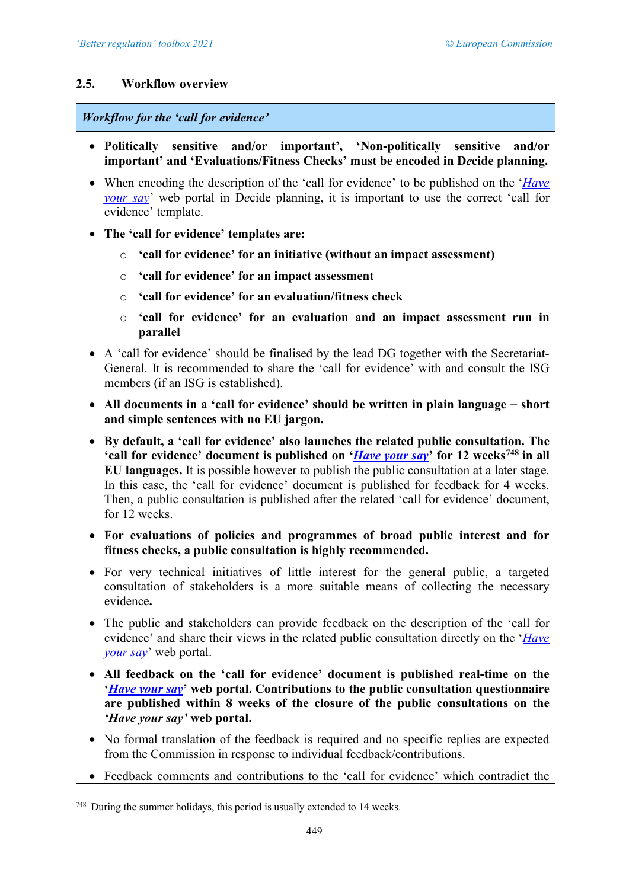## **2.5. Workflow overview**

#### *Workflow for the 'call for evidence'*

- **Politically sensitive and/or important', 'Non-politically sensitive and/or important' and 'Evaluations/Fitness Checks' must be encoded in D***e***cide planning.**
- When encoding the description of the 'call for evidence' to be published on the '*[Have](https://ec.europa.eu/info/law/better-regulation/have-your-say_en)  [your say](https://ec.europa.eu/info/law/better-regulation/have-your-say_en)*' web portal in Decide planning, it is important to use the correct 'call for evidence' template.
- **The 'call for evidence' templates are:** 
	- o **'call for evidence' for an initiative (without an impact assessment)**
	- o **'call for evidence' for an impact assessment**
	- o **'call for evidence' for an evaluation/fitness check**
	- o **'call for evidence' for an evaluation and an impact assessment run in parallel**
- A 'call for evidence' should be finalised by the lead DG together with the Secretariat-General. It is recommended to share the 'call for evidence' with and consult the ISG members (if an ISG is established).
- **All documents in a 'call for evidence' should be written in plain language − short and simple sentences with no EU jargon.**
- **By default, a 'call for evidence' also launches the related public consultation. The 'call for evidence' document is published on '***[Have your say](https://ec.europa.eu/info/law/better-regulation/have-your-say_en)***' for 12 weeks[748](#page-8-0) in all EU languages.** It is possible however to publish the public consultation at a later stage. In this case, the 'call for evidence' document is published for feedback for 4 weeks. Then, a public consultation is published after the related 'call for evidence' document, for 12 weeks.
- **For evaluations of policies and programmes of broad public interest and for fitness checks, a public consultation is highly recommended.**
- For very technical initiatives of little interest for the general public, a targeted consultation of stakeholders is a more suitable means of collecting the necessary evidence**.**
- The public and stakeholders can provide feedback on the description of the 'call for evidence' and share their views in the related public consultation directly on the '*[Have](https://ec.europa.eu/info/law/better-regulation/have-your-say_en)  [your say](https://ec.europa.eu/info/law/better-regulation/have-your-say_en)*' web portal.
- **All feedback on the 'call for evidence' document is published real-time on the '***[Have your say](https://ec.europa.eu/info/law/better-regulation/have-your-say_en)***' web portal. Contributions to the public consultation questionnaire are published within 8 weeks of the closure of the public consultations on the**  *'Have your say'* **web portal.**
- No formal translation of the feedback is required and no specific replies are expected from the Commission in response to individual feedback/contributions.
- Feedback comments and contributions to the 'call for evidence' which contradict the

<span id="page-8-0"></span> $748$  During the summer holidays, this period is usually extended to 14 weeks.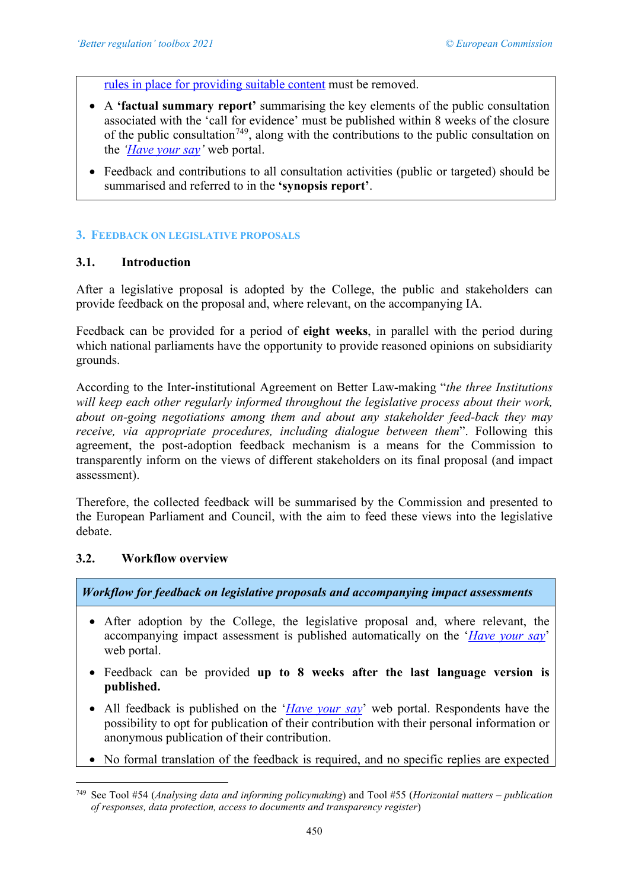[rules in place for providing suitable content](https://ec.europa.eu/info/law/better-regulation/rules-feedback-and-suggestions) must be removed.

- A **'factual summary report'** summarising the key elements of the public consultation associated with the 'call for evidence' must be published within 8 weeks of the closure of the public consultation<sup>[749](#page-9-0)</sup>, along with the contributions to the public consultation on the *['Have your say'](https://ec.europa.eu/info/law/better-regulation/have-your-say_en)* web portal.
- Feedback and contributions to all consultation activities (public or targeted) should be summarised and referred to in the **'synopsis report'**.

#### **3. FEEDBACK ON LEGISLATIVE PROPOSALS**

# **3.1. Introduction**

After a legislative proposal is adopted by the College, the public and stakeholders can provide feedback on the proposal and, where relevant, on the accompanying IA.

Feedback can be provided for a period of **eight weeks**, in parallel with the period during which national parliaments have the opportunity to provide reasoned opinions on subsidiarity grounds.

According to the Inter-institutional Agreement on Better Law-making "*the three Institutions will keep each other regularly informed throughout the legislative process about their work, about on-going negotiations among them and about any stakeholder feed-back they may receive, via appropriate procedures, including dialogue between them*". Following this agreement, the post-adoption feedback mechanism is a means for the Commission to transparently inform on the views of different stakeholders on its final proposal (and impact assessment).

Therefore, the collected feedback will be summarised by the Commission and presented to the European Parliament and Council, with the aim to feed these views into the legislative debate.

#### **3.2. Workflow overview**

*Workflow for feedback on legislative proposals and accompanying impact assessments*

- After adoption by the College, the legislative proposal and, where relevant, the accompanying impact assessment is published automatically on the '*[Have your say](https://ec.europa.eu/info/law/better-regulation/have-your-say_en)*' web portal.
- Feedback can be provided **up to 8 weeks after the last language version is published.**
- All feedback is published on the '*[Have your say](https://ec.europa.eu/info/law/better-regulation/have-your-say_en)*' web portal. Respondents have the possibility to opt for publication of their contribution with their personal information or anonymous publication of their contribution.
- No formal translation of the feedback is required, and no specific replies are expected

<span id="page-9-0"></span><sup>749</sup> See Tool #54 (*Analysing data and informing policymaking*) and Tool #55 (*Horizontal matters – publication of responses, data protection, access to documents and transparency register*)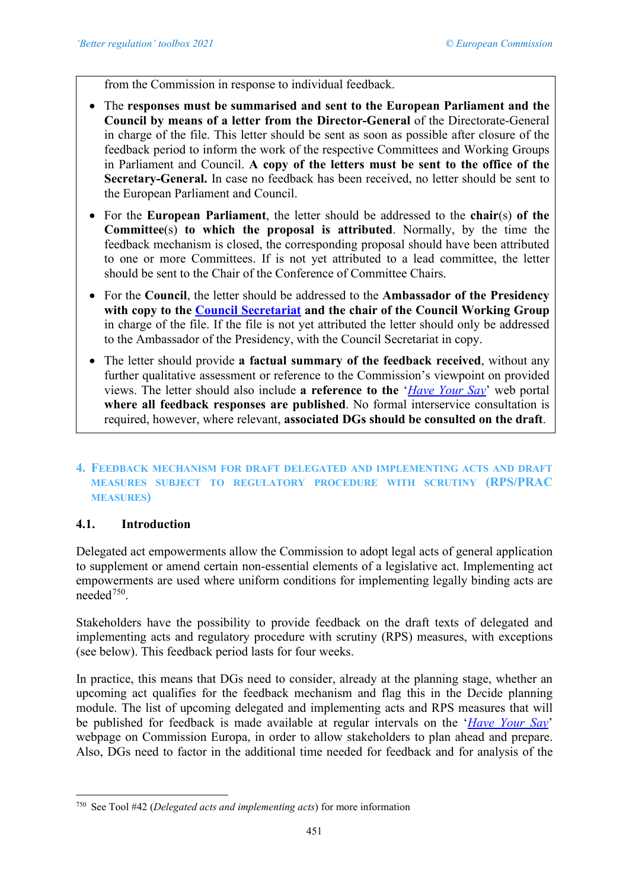from the Commission in response to individual feedback.

- The **responses must be summarised and sent to the European Parliament and the Council by means of a letter from the Director-General** of the Directorate-General in charge of the file. This letter should be sent as soon as possible after closure of the feedback period to inform the work of the respective Committees and Working Groups in Parliament and Council. **A copy of the letters must be sent to the office of the Secretary-General.** In case no feedback has been received, no letter should be sent to the European Parliament and Council.
- For the **European Parliament**, the letter should be addressed to the **chair**(s) **of the Committee**(s) **to which the proposal is attributed**. Normally, by the time the feedback mechanism is closed, the corresponding proposal should have been attributed to one or more Committees. If is not yet attributed to a lead committee, the letter should be sent to the Chair of the Conference of Committee Chairs.
- For the **Council**, the letter should be addressed to the **Ambassador of the Presidency with copy to the [Council Secretariat](mailto:mail-registration@consilium.europa.eu) and the chair of the Council Working Group** in charge of the file. If the file is not yet attributed the letter should only be addressed to the Ambassador of the Presidency, with the Council Secretariat in copy.
- The letter should provide **a factual summary of the feedback received**, without any further qualitative assessment or reference to the Commission's viewpoint on provided views. The letter should also include **a reference to the** '*[Have Your Say](https://ec.europa.eu/info/law/better-regulation/have-your-say_en)*' web portal **where all feedback responses are published**. No formal interservice consultation is required, however, where relevant, **associated DGs should be consulted on the draft**.

# **4. FEEDBACK MECHANISM FOR DRAFT DELEGATED AND IMPLEMENTING ACTS AND DRAFT MEASURES SUBJECT TO REGULATORY PROCEDURE WITH SCRUTINY (RPS/PRAC MEASURES)**

## **4.1. Introduction**

Delegated act empowerments allow the Commission to adopt legal acts of general application to supplement or amend certain non-essential elements of a legislative act. Implementing act empowerments are used where uniform conditions for implementing legally binding acts are needed<sup>750</sup>.

Stakeholders have the possibility to provide feedback on the draft texts of delegated and implementing acts and regulatory procedure with scrutiny (RPS) measures, with exceptions (see below). This feedback period lasts for four weeks.

In practice, this means that DGs need to consider, already at the planning stage, whether an upcoming act qualifies for the feedback mechanism and flag this in the D*e*cide planning module. The list of upcoming delegated and implementing acts and RPS measures that will be published for feedback is made available at regular intervals on the '*[Have Your Say](https://ec.europa.eu/info/law/better-regulation/have-your-say_en)*' webpage on Commission Europa, in order to allow stakeholders to plan ahead and prepare. Also, DGs need to factor in the additional time needed for feedback and for analysis of the

<span id="page-10-0"></span><sup>750</sup> See Tool #42 (*Delegated acts and implementing acts*) for more information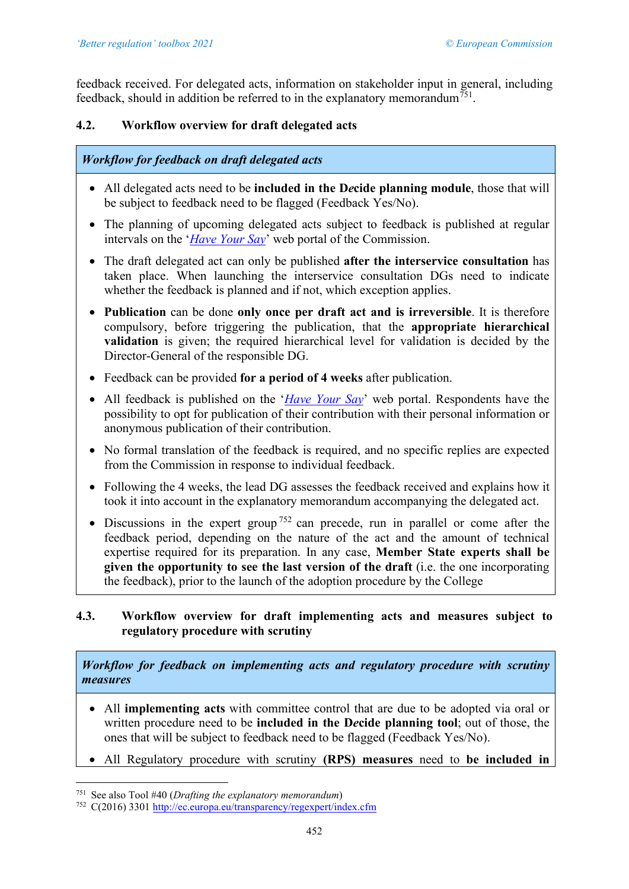feedback received. For delegated acts, information on stakeholder input in general, including feedback, should in addition be referred to in the explanatory memorandum<sup>751</sup>.

# **4.2. Workflow overview for draft delegated acts**

# *Workflow for feedback on draft delegated acts*

- All delegated acts need to be **included in the D***e***cide planning module**, those that will be subject to feedback need to be flagged (Feedback Yes/No).
- The planning of upcoming delegated acts subject to feedback is published at regular intervals on the '*[Have Your Say](https://ec.europa.eu/info/law/better-regulation/have-your-say_en)*' web portal of the Commission.
- The draft delegated act can only be published **after the interservice consultation** has taken place. When launching the interservice consultation DGs need to indicate whether the feedback is planned and if not, which exception applies.
- **Publication** can be done **only once per draft act and is irreversible**. It is therefore compulsory, before triggering the publication, that the **appropriate hierarchical validation** is given; the required hierarchical level for validation is decided by the Director-General of the responsible DG.
- Feedback can be provided for a period of 4 weeks after publication.
- All feedback is published on the '*[Have Your Say](https://ec.europa.eu/info/law/better-regulation/have-your-say_en)*' web portal. Respondents have the possibility to opt for publication of their contribution with their personal information or anonymous publication of their contribution.
- No formal translation of the feedback is required, and no specific replies are expected from the Commission in response to individual feedback.
- Following the 4 weeks, the lead DG assesses the feedback received and explains how it took it into account in the explanatory memorandum accompanying the delegated act.
- Discussions in the expert group<sup>[752](#page-11-1)</sup> can precede, run in parallel or come after the feedback period, depending on the nature of the act and the amount of technical expertise required for its preparation. In any case, **Member State experts shall be given the opportunity to see the last version of the draft** (i.e. the one incorporating the feedback), prior to the launch of the adoption procedure by the College

# **4.3. Workflow overview for draft implementing acts and measures subject to regulatory procedure with scrutiny**

*Workflow for feedback on implementing acts and regulatory procedure with scrutiny measures*

- All **implementing acts** with committee control that are due to be adopted via oral or written procedure need to be **included in the D***e***cide planning tool**; out of those, the ones that will be subject to feedback need to be flagged (Feedback Yes/No).
- All Regulatory procedure with scrutiny **(RPS) measures** need to **be included in**

<span id="page-11-0"></span><sup>751</sup> See also Tool #40 (*Drafting the explanatory memorandum*)

<span id="page-11-1"></span><sup>752</sup> C(2016) 330[1 http://ec.europa.eu/transparency/regexpert/index.cfm](http://ec.europa.eu/transparency/regexpert/index.cfm)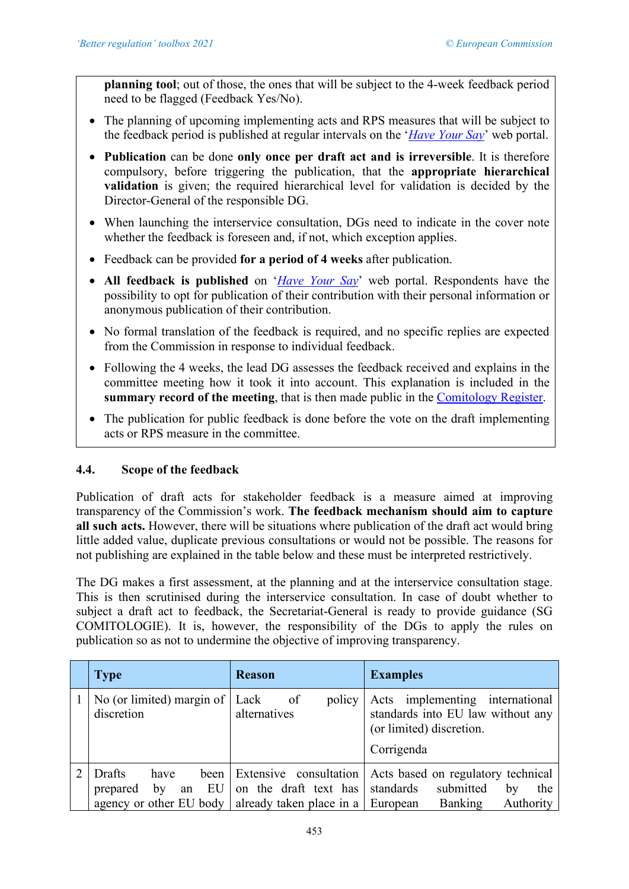**planning tool**; out of those, the ones that will be subject to the 4-week feedback period need to be flagged (Feedback Yes/No).

- The planning of upcoming implementing acts and RPS measures that will be subject to the feedback period is published at regular intervals on the '*[Have Your Say](https://ec.europa.eu/info/law/better-regulation/have-your-say/initiatives)*' web portal.
- **Publication** can be done **only once per draft act and is irreversible**. It is therefore compulsory, before triggering the publication, that the **appropriate hierarchical validation** is given; the required hierarchical level for validation is decided by the Director-General of the responsible DG.
- When launching the interservice consultation, DGs need to indicate in the cover note whether the feedback is foreseen and, if not, which exception applies.
- Feedback can be provided **for a period of 4 weeks** after publication.
- **All feedback is published** on '*[Have Your Say](https://ec.europa.eu/info/law/better-regulation/have-your-say/initiatives)*' web portal. Respondents have the possibility to opt for publication of their contribution with their personal information or anonymous publication of their contribution.
- No formal translation of the feedback is required, and no specific replies are expected from the Commission in response to individual feedback.
- Following the 4 weeks, the lead DG assesses the feedback received and explains in the committee meeting how it took it into account. This explanation is included in the **summary record of the meeting**, that is then made public in the [Comitology Register.](http://ec.europa.eu/transparency/regcomitology/index.cfm)
- The publication for public feedback is done before the vote on the draft implementing acts or RPS measure in the committee.

# **4.4. Scope of the feedback**

Publication of draft acts for stakeholder feedback is a measure aimed at improving transparency of the Commission's work. **The feedback mechanism should aim to capture all such acts.** However, there will be situations where publication of the draft act would bring little added value, duplicate previous consultations or would not be possible. The reasons for not publishing are explained in the table below and these must be interpreted restrictively.

The DG makes a first assessment, at the planning and at the interservice consultation stage. This is then scrutinised during the interservice consultation. In case of doubt whether to subject a draft act to feedback, the Secretariat-General is ready to provide guidance (SG COMITOLOGIE). It is, however, the responsibility of the DGs to apply the rules on publication so as not to undermine the objective of improving transparency.

| <b>Type</b>                                                                                                   | <b>Reason</b>                                              | <b>Examples</b>                                                                                                |
|---------------------------------------------------------------------------------------------------------------|------------------------------------------------------------|----------------------------------------------------------------------------------------------------------------|
| No (or limited) margin of $ $ Lack of<br>discretion                                                           | policy  <br>alternatives                                   | Acts implementing international<br>standards into EU law without any<br>(or limited) discretion.<br>Corrigenda |
| Drafts<br>have<br>prepared<br>by<br>agency or other EU body $\vert$ already taken place in a $\vert$ European | been Extensive consultation<br>an EU on the draft text has | Acts based on regulatory technical<br>standards<br>submitted<br>the<br>by<br>Authority<br>Banking              |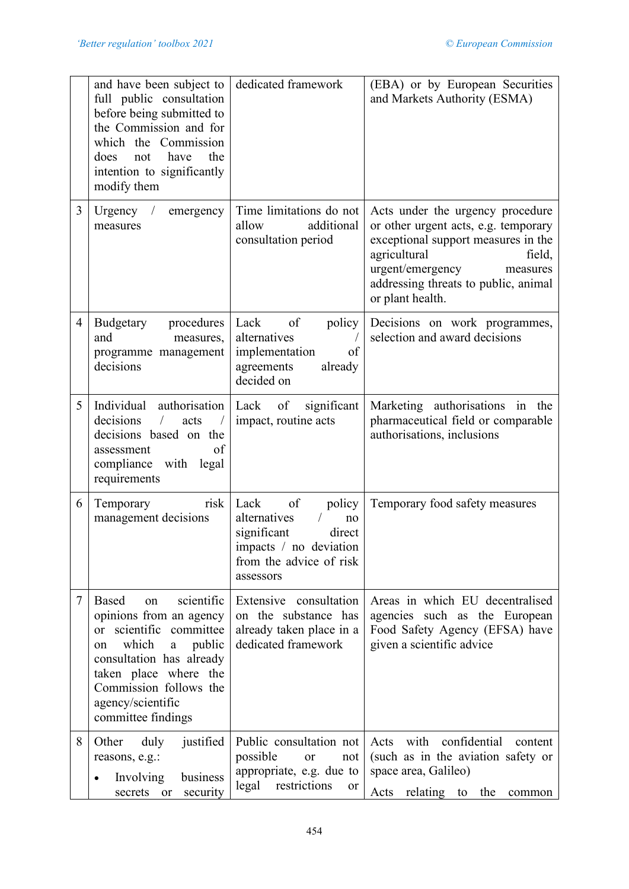|   | and have been subject to<br>full public consultation<br>before being submitted to<br>the Commission and for<br>which the Commission<br>have<br>the<br>does<br>not<br>intention to significantly<br>modify them                          | dedicated framework                                                                                                                   | (EBA) or by European Securities<br>and Markets Authority (ESMA)                                                                                                                                                                       |
|---|-----------------------------------------------------------------------------------------------------------------------------------------------------------------------------------------------------------------------------------------|---------------------------------------------------------------------------------------------------------------------------------------|---------------------------------------------------------------------------------------------------------------------------------------------------------------------------------------------------------------------------------------|
| 3 | Urgency $/$<br>emergency<br>measures                                                                                                                                                                                                    | Time limitations do not<br>additional<br>allow<br>consultation period                                                                 | Acts under the urgency procedure<br>or other urgent acts, e.g. temporary<br>exceptional support measures in the<br>agricultural<br>field,<br>urgent/emergency<br>measures<br>addressing threats to public, animal<br>or plant health. |
| 4 | Budgetary<br>procedures<br>and<br>measures,<br>programme management<br>decisions                                                                                                                                                        | of<br>Lack<br>policy<br>alternatives<br>implementation<br>of<br>agreements<br>already<br>decided on                                   | Decisions on work programmes,<br>selection and award decisions                                                                                                                                                                        |
| 5 | Individual authorisation   Lack<br>decisions<br>$\sqrt{2}$<br>acts<br>$\sqrt{2}$<br>decisions based on the<br>of<br>assessment<br>compliance with legal<br>requirements                                                                 | of<br>significant<br>impact, routine acts                                                                                             | Marketing authorisations in the<br>pharmaceutical field or comparable<br>authorisations, inclusions                                                                                                                                   |
| 6 | risk<br>Temporary<br>management decisions                                                                                                                                                                                               | of<br>policy<br>Lack<br>alternatives<br>no<br>significant<br>direct<br>impacts / no deviation<br>from the advice of risk<br>assessors | Temporary food safety measures                                                                                                                                                                                                        |
| 7 | scientific<br>Based<br>on<br>opinions from an agency<br>or scientific committee<br>which<br>public<br>a<br>on<br>consultation has already<br>taken place where the<br>Commission follows the<br>agency/scientific<br>committee findings | Extensive consultation<br>on the substance has<br>already taken place in a<br>dedicated framework                                     | Areas in which EU decentralised<br>agencies such as the European<br>Food Safety Agency (EFSA) have<br>given a scientific advice                                                                                                       |
| 8 | Other<br>justified<br>duly<br>reasons, e.g.:<br>Involving<br>business<br>security<br>secrets<br><sub>or</sub>                                                                                                                           | Public consultation not<br>possible<br><sub>or</sub><br>not<br>appropriate, e.g. due to<br>legal restrictions<br><sub>or</sub>        | confidential<br>with<br>Acts<br>content<br>(such as in the aviation safety or<br>space area, Galileo)<br>Acts<br>relating to<br>the<br>common                                                                                         |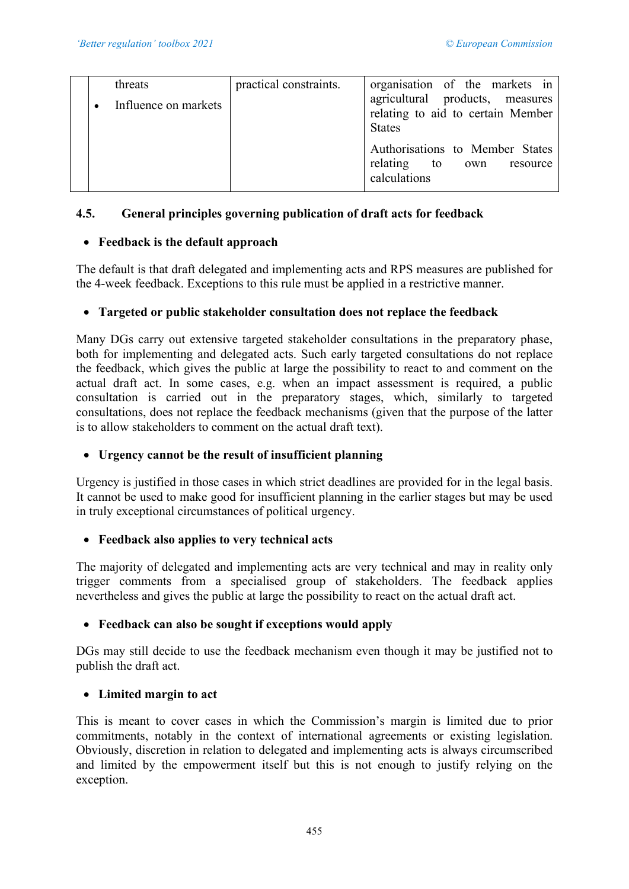| threats                | practical constraints. | organisation of the markets in                                                        |
|------------------------|------------------------|---------------------------------------------------------------------------------------|
| • Influence on markets |                        | agricultural products, measures<br>relating to aid to certain Member<br><b>States</b> |
|                        |                        | Authorisations to Member States<br>relating to own resource<br>calculations           |

# **4.5. General principles governing publication of draft acts for feedback**

# • **Feedback is the default approach**

The default is that draft delegated and implementing acts and RPS measures are published for the 4-week feedback. Exceptions to this rule must be applied in a restrictive manner.

# • **Targeted or public stakeholder consultation does not replace the feedback**

Many DGs carry out extensive targeted stakeholder consultations in the preparatory phase, both for implementing and delegated acts. Such early targeted consultations do not replace the feedback, which gives the public at large the possibility to react to and comment on the actual draft act. In some cases, e.g. when an impact assessment is required, a public consultation is carried out in the preparatory stages, which, similarly to targeted consultations, does not replace the feedback mechanisms (given that the purpose of the latter is to allow stakeholders to comment on the actual draft text).

# • **Urgency cannot be the result of insufficient planning**

Urgency is justified in those cases in which strict deadlines are provided for in the legal basis. It cannot be used to make good for insufficient planning in the earlier stages but may be used in truly exceptional circumstances of political urgency.

# • **Feedback also applies to very technical acts**

The majority of delegated and implementing acts are very technical and may in reality only trigger comments from a specialised group of stakeholders. The feedback applies nevertheless and gives the public at large the possibility to react on the actual draft act.

# • **Feedback can also be sought if exceptions would apply**

DGs may still decide to use the feedback mechanism even though it may be justified not to publish the draft act.

# • **Limited margin to act**

This is meant to cover cases in which the Commission's margin is limited due to prior commitments, notably in the context of international agreements or existing legislation. Obviously, discretion in relation to delegated and implementing acts is always circumscribed and limited by the empowerment itself but this is not enough to justify relying on the exception.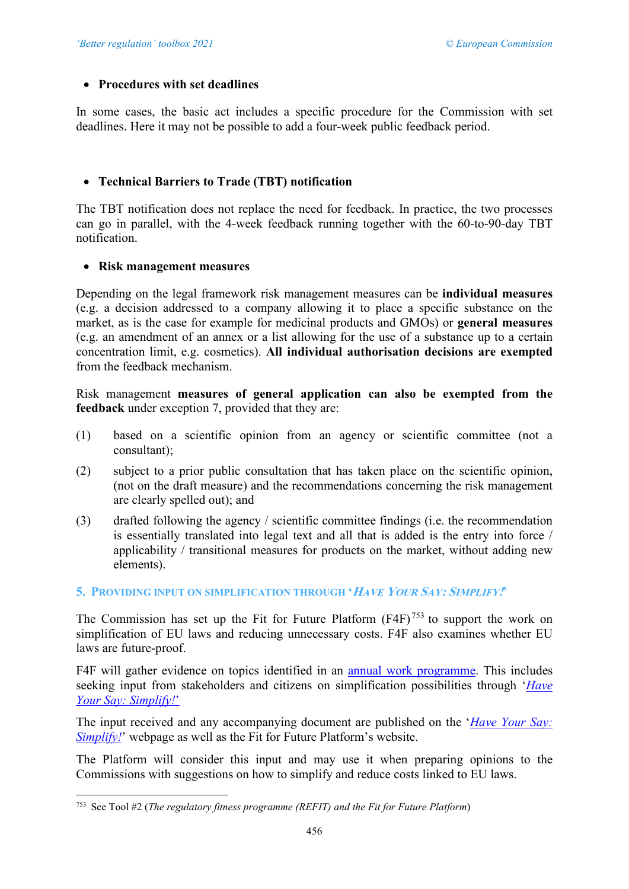## • **Procedures with set deadlines**

In some cases, the basic act includes a specific procedure for the Commission with set deadlines. Here it may not be possible to add a four-week public feedback period.

# • **Technical Barriers to Trade (TBT) notification**

The TBT notification does not replace the need for feedback. In practice, the two processes can go in parallel, with the 4-week feedback running together with the 60-to-90-day TBT notification.

## • **Risk management measures**

Depending on the legal framework risk management measures can be **individual measures** (e.g. a decision addressed to a company allowing it to place a specific substance on the market, as is the case for example for medicinal products and GMOs) or **general measures** (e.g. an amendment of an annex or a list allowing for the use of a substance up to a certain concentration limit, e.g. cosmetics). **All individual authorisation decisions are exempted** from the feedback mechanism.

Risk management **measures of general application can also be exempted from the feedback** under exception 7, provided that they are:

- (1) based on a scientific opinion from an agency or scientific committee (not a consultant);
- (2) subject to a prior public consultation that has taken place on the scientific opinion, (not on the draft measure) and the recommendations concerning the risk management are clearly spelled out); and
- (3) drafted following the agency / scientific committee findings (i.e. the recommendation is essentially translated into legal text and all that is added is the entry into force / applicability / transitional measures for products on the market, without adding new elements).

## **5. PROVIDING INPUT ON SIMPLIFICATION THROUGH 'HAVE YOUR SAY: SIMPLIFY!'**

The Commission has set up the Fit for Future Platform  $(F4F)^{753}$  $(F4F)^{753}$  $(F4F)^{753}$  to support the work on simplification of EU laws and reducing unnecessary costs. F4F also examines whether EU laws are future-proof.

F4F will gather evidence on topics identified in an [annual work programme.](https://ec.europa.eu/info/law/law-making-process/evaluating-and-improving-existing-laws/refit-making-eu-law-simpler-less-costly-and-future-proof/fit-future-platform-f4f/annual-work-programme_en) This includes seeking input from stakeholders and citizens on simplification possibilities through '*[Have](https://ec.europa.eu/info/law/better-regulation/have-your-say-simplify)  [Your Say:](https://ec.europa.eu/info/law/better-regulation/have-your-say-simplify) Simplify!*'

The input received and any accompanying document are published on the '*[Have Your Say:](https://ec.europa.eu/info/law/better-regulation/have-your-say-simplify) [Simplify!](https://ec.europa.eu/info/law/better-regulation/have-your-say-simplify)*' webpage as well as the Fit for Future Platform's website.

The Platform will consider this input and may use it when preparing opinions to the Commissions with suggestions on how to simplify and reduce costs linked to EU laws.

<span id="page-15-0"></span><sup>753</sup> See Tool #2 (*The regulatory fitness programme (REFIT) and the Fit for Future Platform*)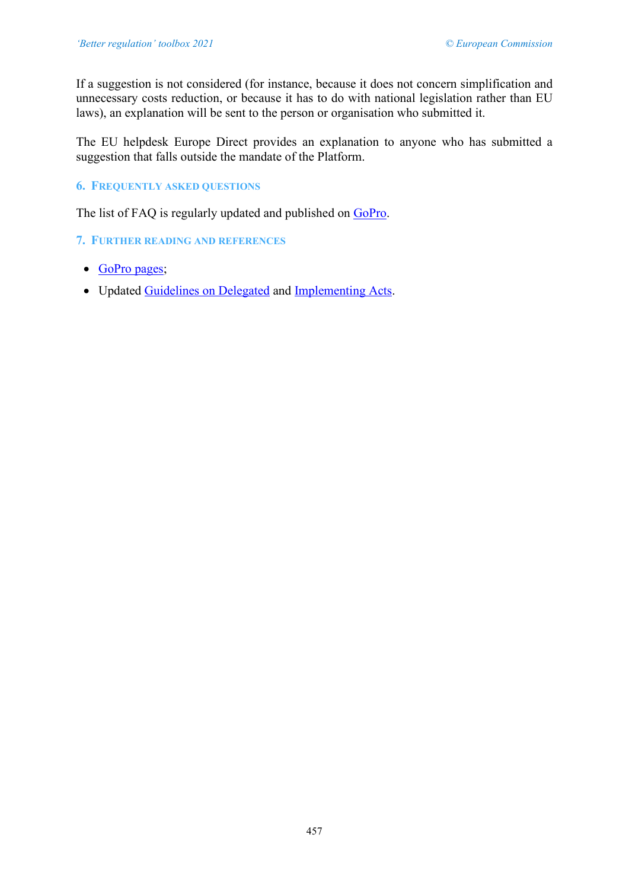If a suggestion is not considered (for instance, because it does not concern simplification and unnecessary costs reduction, or because it has to do with national legislation rather than EU laws), an explanation will be sent to the person or organisation who submitted it.

The EU helpdesk Europe Direct provides an explanation to anyone who has submitted a suggestion that falls outside the mandate of the Platform.

## **6. FREQUENTLY ASKED QUESTIONS**

The list of FAQ is regularly updated and published on [GoPro.](https://webgate.ec.europa.eu/fpfis/wikis/display/REGISTRY/Stakeholders%20consultation)

#### **7. FURTHER READING AND REFERENCES**

- [GoPro pages;](https://webgate.ec.europa.eu/fpfis/wikis/display/REGISTRY/Stakeholders%20consultation)
- Updated [Guidelines on Delegated](https://webgate.ec.europa.eu/fpfis/wikis/display/REGISTRY/Delegated+acts) and [Implementing Acts.](https://webgate.ec.europa.eu/fpfis/wikis/display/REGISTRY/Comitology)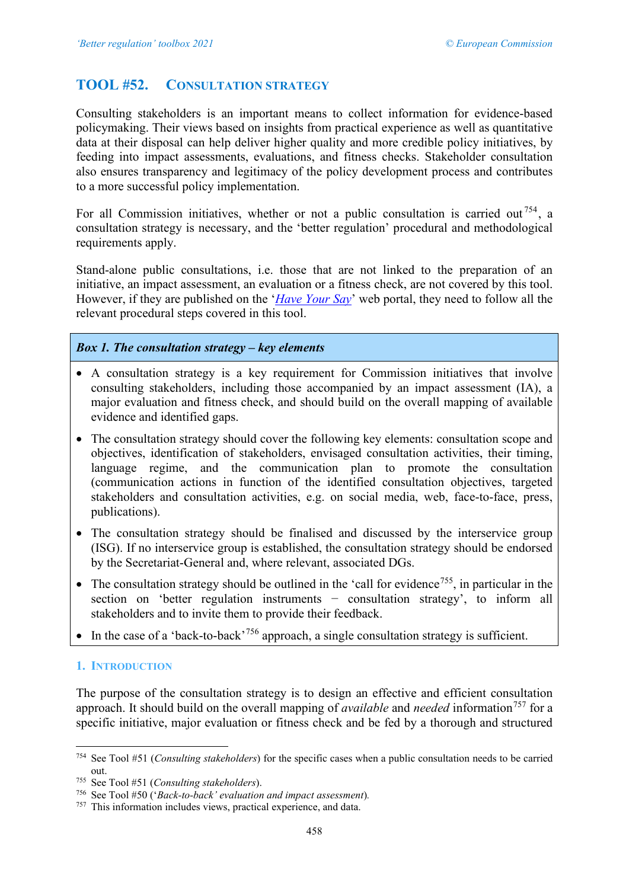# <span id="page-17-0"></span>**TOOL #52. CONSULTATION STRATEGY**

Consulting stakeholders is an important means to collect information for evidence-based policymaking. Their views based on insights from practical experience as well as quantitative data at their disposal can help deliver higher quality and more credible policy initiatives, by feeding into impact assessments, evaluations, and fitness checks. Stakeholder consultation also ensures transparency and legitimacy of the policy development process and contributes to a more successful policy implementation.

For all Commission initiatives, whether or not a public consultation is carried out  $^{754}$  $^{754}$  $^{754}$ , a consultation strategy is necessary, and the 'better regulation' procedural and methodological requirements apply.

Stand-alone public consultations, i.e. those that are not linked to the preparation of an initiative, an impact assessment, an evaluation or a fitness check, are not covered by this tool. However, if they are published on the '*[Have Your Say](https://ec.europa.eu/info/law/better-regulation/have-your-say)*' web portal, they need to follow all the relevant procedural steps covered in this tool.

## *Box 1. The consultation strategy – key elements*

- A consultation strategy is a key requirement for Commission initiatives that involve consulting stakeholders, including those accompanied by an impact assessment (IA), a major evaluation and fitness check, and should build on the overall mapping of available evidence and identified gaps.
- The consultation strategy should cover the following key elements: consultation scope and objectives, identification of stakeholders, envisaged consultation activities, their timing, language regime, and the communication plan to promote the consultation (communication actions in function of the identified consultation objectives, targeted stakeholders and consultation activities, e.g. on social media, web, face-to-face, press, publications).
- The consultation strategy should be finalised and discussed by the interservice group (ISG). If no interservice group is established, the consultation strategy should be endorsed by the Secretariat-General and, where relevant, associated DGs.
- The consultation strategy should be outlined in the 'call for evidence<sup>[755](#page-17-2)</sup>, in particular in the section on 'better regulation instruments − consultation strategy', to inform all stakeholders and to invite them to provide their feedback.
- In the case of a 'back-to-back'<sup>[756](#page-17-3)</sup> approach, a single consultation strategy is sufficient.

## **1. INTRODUCTION**

The purpose of the consultation strategy is to design an effective and efficient consultation approach. It should build on the overall mapping of *available* and *needed* information<sup>[757](#page-17-4)</sup> for a specific initiative, major evaluation or fitness check and be fed by a thorough and structured

<span id="page-17-1"></span><sup>754</sup> See Tool #51 (*Consulting stakeholders*) for the specific cases when a public consultation needs to be carried out.

<span id="page-17-2"></span><sup>755</sup> See Tool #51 (*Consulting stakeholders*).

<span id="page-17-3"></span><sup>756</sup> See Tool #50 ('*Back-to-back' evaluation and impact assessment*)*.*

<span id="page-17-4"></span><sup>757</sup> This information includes views, practical experience, and data.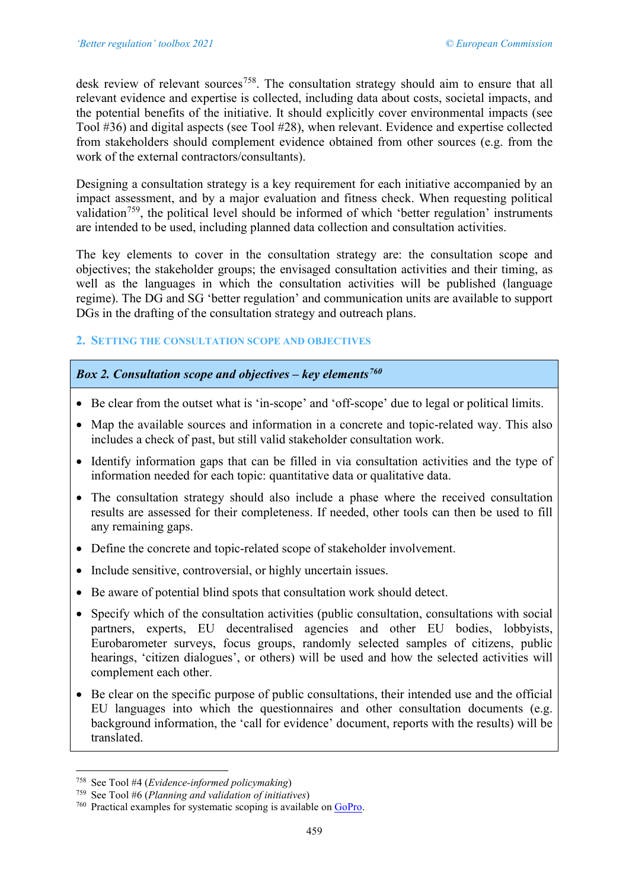desk review of relevant sources<sup>758</sup>. The consultation strategy should aim to ensure that all relevant evidence and expertise is collected, including data about costs, societal impacts, and the potential benefits of the initiative. It should explicitly cover environmental impacts (see Tool #36) and digital aspects (see Tool #28), when relevant. Evidence and expertise collected from stakeholders should complement evidence obtained from other sources (e.g. from the work of the external contractors/consultants).

Designing a consultation strategy is a key requirement for each initiative accompanied by an impact assessment, and by a major evaluation and fitness check. When requesting political validation<sup>759</sup>, the political level should be informed of which 'better regulation' instruments are intended to be used, including planned data collection and consultation activities.

The key elements to cover in the consultation strategy are: the consultation scope and objectives; the stakeholder groups; the envisaged consultation activities and their timing, as well as the languages in which the consultation activities will be published (language regime). The DG and SG 'better regulation' and communication units are available to support DGs in the drafting of the consultation strategy and outreach plans.

## **2. SETTING THE CONSULTATION SCOPE AND OBJECTIVES**

# *Box 2. Consultation scope and objectives – key elements[760](#page-18-2)*

- Be clear from the outset what is 'in-scope' and 'off-scope' due to legal or political limits.
- Map the available sources and information in a concrete and topic-related way. This also includes a check of past, but still valid stakeholder consultation work.
- Identify information gaps that can be filled in via consultation activities and the type of information needed for each topic: quantitative data or qualitative data.
- The consultation strategy should also include a phase where the received consultation results are assessed for their completeness. If needed, other tools can then be used to fill any remaining gaps.
- Define the concrete and topic-related scope of stakeholder involvement.
- Include sensitive, controversial, or highly uncertain issues.
- Be aware of potential blind spots that consultation work should detect.
- Specify which of the consultation activities (public consultation, consultations with social partners, experts, EU decentralised agencies and other EU bodies, lobbyists, Eurobarometer surveys, focus groups, randomly selected samples of citizens, public hearings, 'citizen dialogues', or others) will be used and how the selected activities will complement each other.
- Be clear on the specific purpose of public consultations, their intended use and the official EU languages into which the questionnaires and other consultation documents (e.g. background information, the 'call for evidence' document, reports with the results) will be translated.

<span id="page-18-0"></span><sup>758</sup> See Tool #4 (*Evidence-informed policymaking*)

<span id="page-18-1"></span><sup>759</sup> See Tool #6 (*Planning and validation of initiatives*)

<span id="page-18-2"></span><sup>760</sup> Practical examples for systematic scoping is available o[n GoPro.](https://webgate.ec.europa.eu/fpfis/wikis/display/REGISTRY/Stakeholders%20consultation)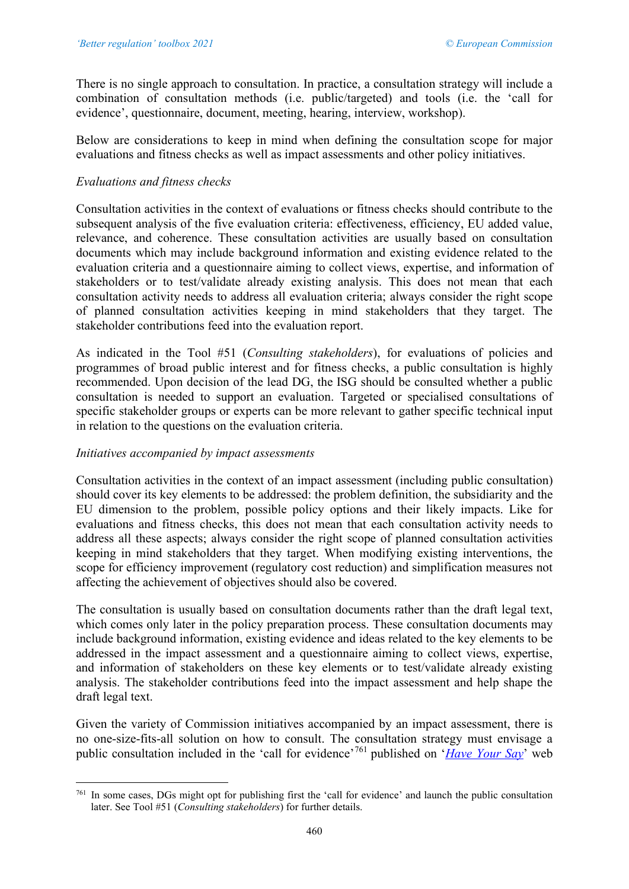There is no single approach to consultation. In practice, a consultation strategy will include a combination of consultation methods (i.e. public/targeted) and tools (i.e. the 'call for evidence', questionnaire, document, meeting, hearing, interview, workshop).

Below are considerations to keep in mind when defining the consultation scope for major evaluations and fitness checks as well as impact assessments and other policy initiatives.

# *Evaluations and fitness checks*

Consultation activities in the context of evaluations or fitness checks should contribute to the subsequent analysis of the five evaluation criteria: effectiveness, efficiency, EU added value, relevance, and coherence. These consultation activities are usually based on consultation documents which may include background information and existing evidence related to the evaluation criteria and a questionnaire aiming to collect views, expertise, and information of stakeholders or to test/validate already existing analysis. This does not mean that each consultation activity needs to address all evaluation criteria; always consider the right scope of planned consultation activities keeping in mind stakeholders that they target. The stakeholder contributions feed into the evaluation report.

As indicated in the Tool #51 (*Consulting stakeholders*), for evaluations of policies and programmes of broad public interest and for fitness checks, a public consultation is highly recommended. Upon decision of the lead DG, the ISG should be consulted whether a public consultation is needed to support an evaluation. Targeted or specialised consultations of specific stakeholder groups or experts can be more relevant to gather specific technical input in relation to the questions on the evaluation criteria.

## *Initiatives accompanied by impact assessments*

Consultation activities in the context of an impact assessment (including public consultation) should cover its key elements to be addressed: the problem definition, the subsidiarity and the EU dimension to the problem, possible policy options and their likely impacts. Like for evaluations and fitness checks, this does not mean that each consultation activity needs to address all these aspects; always consider the right scope of planned consultation activities keeping in mind stakeholders that they target. When modifying existing interventions, the scope for efficiency improvement (regulatory cost reduction) and simplification measures not affecting the achievement of objectives should also be covered.

The consultation is usually based on consultation documents rather than the draft legal text, which comes only later in the policy preparation process. These consultation documents may include background information, existing evidence and ideas related to the key elements to be addressed in the impact assessment and a questionnaire aiming to collect views, expertise, and information of stakeholders on these key elements or to test/validate already existing analysis. The stakeholder contributions feed into the impact assessment and help shape the draft legal text.

Given the variety of Commission initiatives accompanied by an impact assessment, there is no one-size-fits-all solution on how to consult. The consultation strategy must envisage a public consultation included in the 'call for evidence'[761](#page-19-0) published on '*[Have Your Say](https://ec.europa.eu/info/law/better-regulation/have-your-say)*' web

<span id="page-19-0"></span><sup>761</sup> In some cases, DGs might opt for publishing first the 'call for evidence' and launch the public consultation later. See Tool #51 (*Consulting stakeholders*) for further details.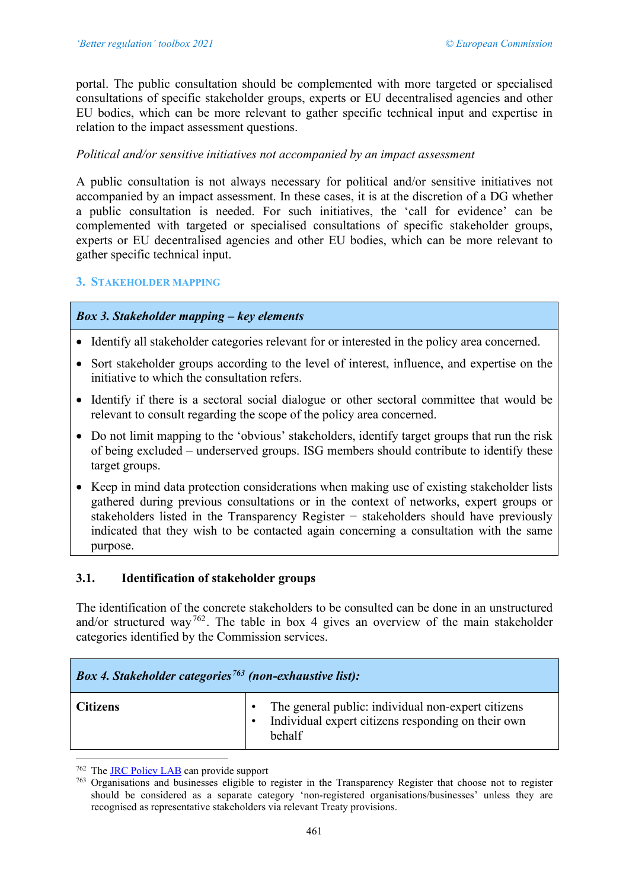portal. The public consultation should be complemented with more targeted or specialised consultations of specific stakeholder groups, experts or EU decentralised agencies and other EU bodies, which can be more relevant to gather specific technical input and expertise in relation to the impact assessment questions.

## *Political and/or sensitive initiatives not accompanied by an impact assessment*

A public consultation is not always necessary for political and/or sensitive initiatives not accompanied by an impact assessment. In these cases, it is at the discretion of a DG whether a public consultation is needed. For such initiatives, the 'call for evidence' can be complemented with targeted or specialised consultations of specific stakeholder groups, experts or EU decentralised agencies and other EU bodies, which can be more relevant to gather specific technical input.

#### **3. STAKEHOLDER MAPPING**

## *Box 3. Stakeholder mapping – key elements*

- Identify all stakeholder categories relevant for or interested in the policy area concerned.
- Sort stakeholder groups according to the level of interest, influence, and expertise on the initiative to which the consultation refers.
- Identify if there is a sectoral social dialogue or other sectoral committee that would be relevant to consult regarding the scope of the policy area concerned.
- Do not limit mapping to the 'obvious' stakeholders, identify target groups that run the risk of being excluded – underserved groups. ISG members should contribute to identify these target groups.
- Keep in mind data protection considerations when making use of existing stakeholder lists gathered during previous consultations or in the context of networks, expert groups or stakeholders listed in the Transparency Register − stakeholders should have previously indicated that they wish to be contacted again concerning a consultation with the same purpose.

## **3.1. Identification of stakeholder groups**

The identification of the concrete stakeholders to be consulted can be done in an unstructured and/or structured way<sup>[762](#page-20-0)</sup>. The table in box 4 gives an overview of the main stakeholder categories identified by the Commission services.

| <b>Box 4. Stakeholder categories</b> <sup>763</sup> (non-exhaustive list): |                                                                                                                    |
|----------------------------------------------------------------------------|--------------------------------------------------------------------------------------------------------------------|
| <b>Citizens</b>                                                            | The general public: individual non-expert citizens<br>Individual expert citizens responding on their own<br>behalf |

<span id="page-20-0"></span><sup>&</sup>lt;sup>762</sup> The [JRC Policy LAB](http://blogs.ec.europa.eu/eupolicylab/) can provide support

<span id="page-20-1"></span><sup>763</sup> Organisations and businesses eligible to register in the Transparency Register that choose not to register should be considered as a separate category 'non-registered organisations/businesses' unless they are recognised as representative stakeholders via relevant Treaty provisions.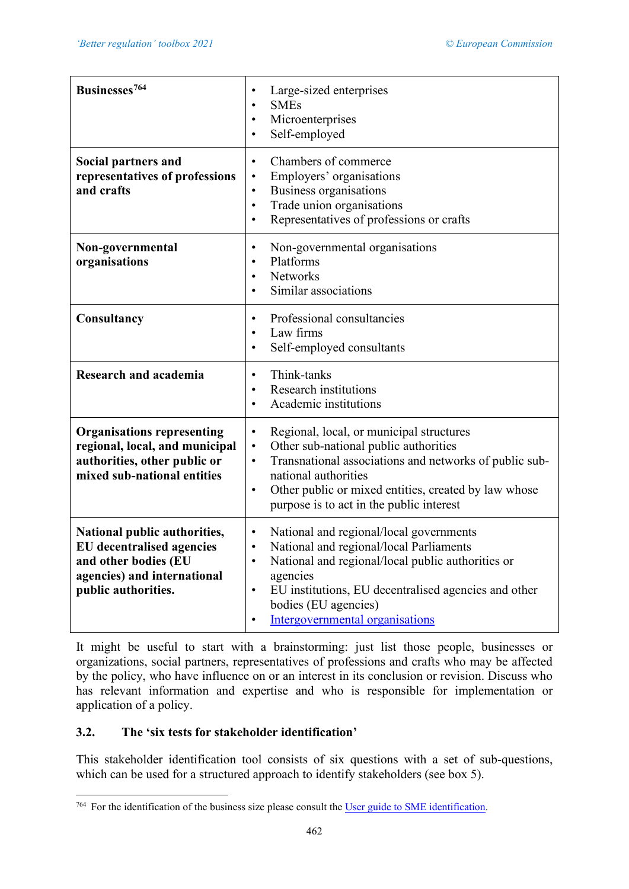| Businesses <sup>764</sup>                                                                                                                      | Large-sized enterprises<br><b>SMEs</b><br>$\bullet$<br>Microenterprises<br>$\bullet$<br>Self-employed<br>$\bullet$                                                                                                                                                                                                                             |
|------------------------------------------------------------------------------------------------------------------------------------------------|------------------------------------------------------------------------------------------------------------------------------------------------------------------------------------------------------------------------------------------------------------------------------------------------------------------------------------------------|
| Social partners and<br>representatives of professions<br>and crafts                                                                            | Chambers of commerce<br>$\bullet$<br>Employers' organisations<br>$\bullet$<br>Business organisations<br>$\bullet$<br>Trade union organisations<br>$\bullet$<br>Representatives of professions or crafts<br>$\bullet$                                                                                                                           |
| Non-governmental<br>organisations                                                                                                              | Non-governmental organisations<br>$\bullet$<br>Platforms<br>$\bullet$<br>Networks<br>$\bullet$<br>Similar associations<br>$\bullet$                                                                                                                                                                                                            |
| Consultancy                                                                                                                                    | Professional consultancies<br>$\bullet$<br>Law firms<br>$\bullet$<br>Self-employed consultants<br>$\bullet$                                                                                                                                                                                                                                    |
| <b>Research and academia</b>                                                                                                                   | Think-tanks<br>$\bullet$<br><b>Research institutions</b><br>Academic institutions                                                                                                                                                                                                                                                              |
| <b>Organisations representing</b><br>regional, local, and municipal<br>authorities, other public or<br>mixed sub-national entities             | Regional, local, or municipal structures<br>$\bullet$<br>Other sub-national public authorities<br>$\bullet$<br>Transnational associations and networks of public sub-<br>$\bullet$<br>national authorities<br>Other public or mixed entities, created by law whose<br>$\bullet$<br>purpose is to act in the public interest                    |
| National public authorities,<br><b>EU</b> decentralised agencies<br>and other bodies (EU<br>agencies) and international<br>public authorities. | National and regional/local governments<br>$\bullet$<br>National and regional/local Parliaments<br>$\bullet$<br>National and regional/local public authorities or<br>$\bullet$<br>agencies<br>EU institutions, EU decentralised agencies and other<br>$\bullet$<br>bodies (EU agencies)<br><b>Intergovernmental organisations</b><br>$\bullet$ |

It might be useful to start with a brainstorming: just list those people, businesses or organizations, social partners, representatives of professions and crafts who may be affected by the policy, who have influence on or an interest in its conclusion or revision. Discuss who has relevant information and expertise and who is responsible for implementation or application of a policy.

# **3.2. The 'six tests for stakeholder identification'**

This stakeholder identification tool consists of six questions with a set of sub-questions, which can be used for a structured approach to identify stakeholders (see box 5).

<span id="page-21-0"></span> $\overline{764}$  For the identification of the business size please consult th[e User guide to SME identification.](http://ec.europa.eu/DocsRoom/documents/15582/attachments/1/translations/en/renditions/native)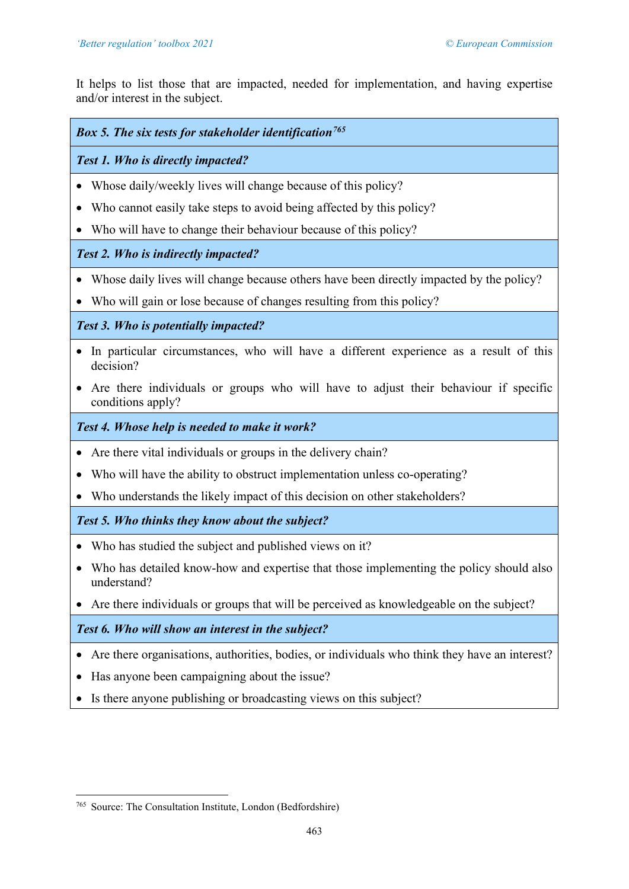It helps to list those that are impacted, needed for implementation, and having expertise and/or interest in the subject.

# *Box 5. The six tests for stakeholder identification[765](#page-22-0)*

# *Test 1. Who is directly impacted?*

- Whose daily/weekly lives will change because of this policy?
- Who cannot easily take steps to avoid being affected by this policy?
- Who will have to change their behaviour because of this policy?

# *Test 2. Who is indirectly impacted?*

- Whose daily lives will change because others have been directly impacted by the policy?
- Who will gain or lose because of changes resulting from this policy?

*Test 3. Who is potentially impacted?*

- In particular circumstances, who will have a different experience as a result of this decision?
- Are there individuals or groups who will have to adjust their behaviour if specific conditions apply?

# *Test 4. Whose help is needed to make it work?*

- Are there vital individuals or groups in the delivery chain?
- Who will have the ability to obstruct implementation unless co-operating?
- Who understands the likely impact of this decision on other stakeholders?

# *Test 5. Who thinks they know about the subject?*

- Who has studied the subject and published views on it?
- Who has detailed know-how and expertise that those implementing the policy should also understand?
- Are there individuals or groups that will be perceived as knowledgeable on the subject?

# *Test 6. Who will show an interest in the subject?*

- Are there organisations, authorities, bodies, or individuals who think they have an interest?
- Has anyone been campaigning about the issue?
- Is there anyone publishing or broadcasting views on this subject?

<span id="page-22-0"></span><sup>765</sup> Source: The Consultation Institute, London (Bedfordshire)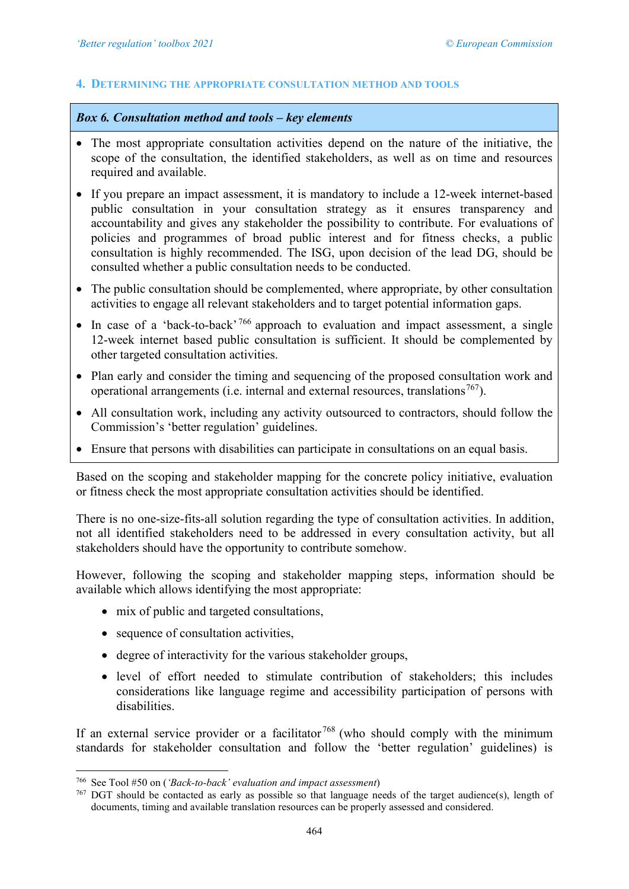#### **4. DETERMINING THE APPROPRIATE CONSULTATION METHOD AND TOOLS**

#### *Box 6. Consultation method and tools – key elements*

- The most appropriate consultation activities depend on the nature of the initiative, the scope of the consultation, the identified stakeholders, as well as on time and resources required and available.
- If you prepare an impact assessment, it is mandatory to include a 12-week internet-based public consultation in your consultation strategy as it ensures transparency and accountability and gives any stakeholder the possibility to contribute. For evaluations of policies and programmes of broad public interest and for fitness checks, a public consultation is highly recommended. The ISG, upon decision of the lead DG, should be consulted whether a public consultation needs to be conducted.
- The public consultation should be complemented, where appropriate, by other consultation activities to engage all relevant stakeholders and to target potential information gaps.
- In case of a 'back-to-back'  $766$  approach to evaluation and impact assessment, a single 12-week internet based public consultation is sufficient. It should be complemented by other targeted consultation activities.
- Plan early and consider the timing and sequencing of the proposed consultation work and operational arrangements (i.e. internal and external resources, translations<sup>767</sup>).
- All consultation work, including any activity outsourced to contractors, should follow the Commission's 'better regulation' guidelines.
- Ensure that persons with disabilities can participate in consultations on an equal basis.

Based on the scoping and stakeholder mapping for the concrete policy initiative, evaluation or fitness check the most appropriate consultation activities should be identified.

There is no one-size-fits-all solution regarding the type of consultation activities. In addition, not all identified stakeholders need to be addressed in every consultation activity, but all stakeholders should have the opportunity to contribute somehow.

However, following the scoping and stakeholder mapping steps, information should be available which allows identifying the most appropriate:

- mix of public and targeted consultations,
- sequence of consultation activities.
- degree of interactivity for the various stakeholder groups,
- level of effort needed to stimulate contribution of stakeholders; this includes considerations like language regime and accessibility participation of persons with disabilities.

If an external service provider or a facilitator  $768$  (who should comply with the minimum standards for stakeholder consultation and follow the 'better regulation' guidelines) is

<span id="page-23-2"></span><span id="page-23-0"></span><sup>766</sup> See Tool #50 on (*'Back-to-back' evaluation and impact assessment*)

<span id="page-23-1"></span><sup>767</sup> DGT should be contacted as early as possible so that language needs of the target audience(s), length of documents, timing and available translation resources can be properly assessed and considered.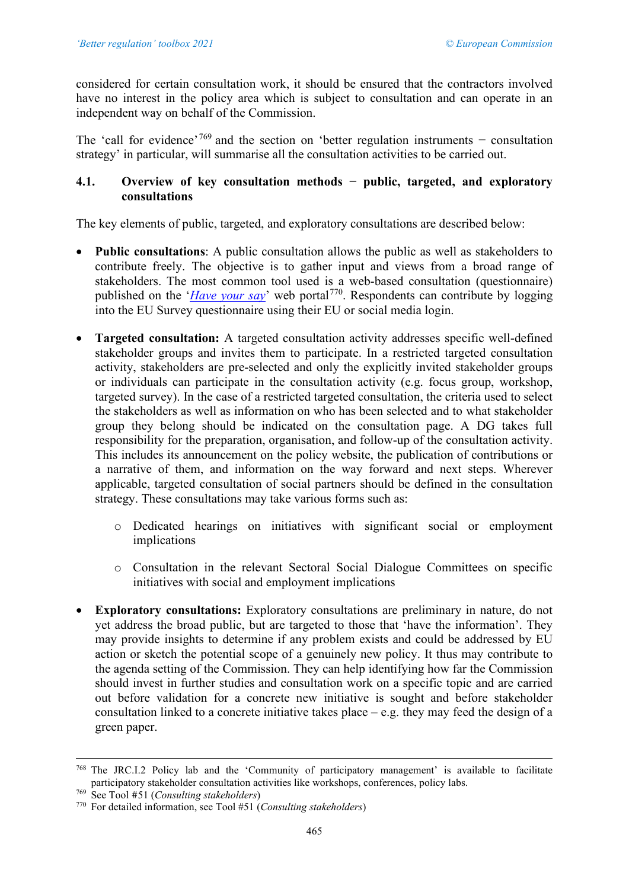considered for certain consultation work, it should be ensured that the contractors involved have no interest in the policy area which is subject to consultation and can operate in an independent way on behalf of the Commission.

The 'call for evidence'<sup>[769](#page-24-0)</sup> and the section on 'better regulation instruments – consultation strategy' in particular, will summarise all the consultation activities to be carried out.

# **4.1. Overview of key consultation methods − public, targeted, and exploratory consultations**

The key elements of public, targeted, and exploratory consultations are described below:

- **Public consultations**: A public consultation allows the public as well as stakeholders to contribute freely. The objective is to gather input and views from a broad range of stakeholders. The most common tool used is a web-based consultation (questionnaire) published on the '*[Have your say](https://ec.europa.eu/info/law/better-regulation/have-your-say_en)*' web portal<sup>[770](#page-24-1)</sup>. Respondents can contribute by logging into the EU Survey questionnaire using their EU or social media login.
- **Targeted consultation:** A targeted consultation activity addresses specific well-defined stakeholder groups and invites them to participate. In a restricted targeted consultation activity, stakeholders are pre-selected and only the explicitly invited stakeholder groups or individuals can participate in the consultation activity (e.g. focus group, workshop, targeted survey). In the case of a restricted targeted consultation, the criteria used to select the stakeholders as well as information on who has been selected and to what stakeholder group they belong should be indicated on the consultation page. A DG takes full responsibility for the preparation, organisation, and follow-up of the consultation activity. This includes its announcement on the policy website, the publication of contributions or a narrative of them, and information on the way forward and next steps. Wherever applicable, targeted consultation of social partners should be defined in the consultation strategy. These consultations may take various forms such as:
	- o Dedicated hearings on initiatives with significant social or employment implications
	- o Consultation in the relevant Sectoral Social Dialogue Committees on specific initiatives with social and employment implications
- **Exploratory consultations:** Exploratory consultations are preliminary in nature, do not yet address the broad public, but are targeted to those that 'have the information'. They may provide insights to determine if any problem exists and could be addressed by EU action or sketch the potential scope of a genuinely new policy. It thus may contribute to the agenda setting of the Commission. They can help identifying how far the Commission should invest in further studies and consultation work on a specific topic and are carried out before validation for a concrete new initiative is sought and before stakeholder consultation linked to a concrete initiative takes place – e.g. they may feed the design of a green paper.

<sup>768</sup> The JRC.I.2 Policy lab and the 'Community of participatory management' is available to facilitate participatory stakeholder consultation activities like workshops, conferences, policy labs.<br><sup>769</sup> See Tool #51 (Consulting stakeholders)

<span id="page-24-1"></span><span id="page-24-0"></span><sup>769</sup> See Tool #51 (*Consulting stakeholders*) 770 For detailed information, see Tool #51 (*Consulting stakeholders*)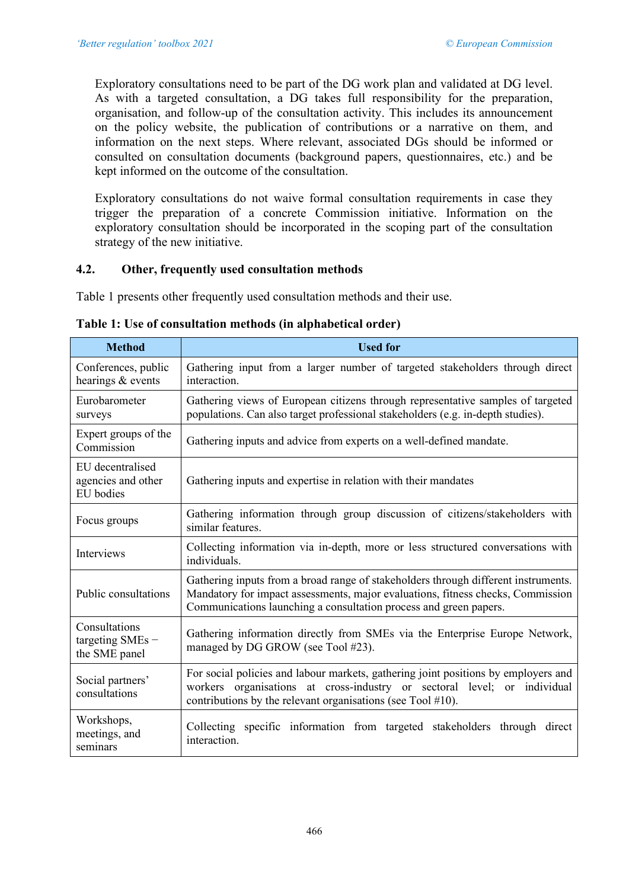Exploratory consultations need to be part of the DG work plan and validated at DG level. As with a targeted consultation, a DG takes full responsibility for the preparation, organisation, and follow-up of the consultation activity. This includes its announcement on the policy website, the publication of contributions or a narrative on them, and information on the next steps. Where relevant, associated DGs should be informed or consulted on consultation documents (background papers, questionnaires, etc.) and be kept informed on the outcome of the consultation.

Exploratory consultations do not waive formal consultation requirements in case they trigger the preparation of a concrete Commission initiative. Information on the exploratory consultation should be incorporated in the scoping part of the consultation strategy of the new initiative.

# **4.2. Other, frequently used consultation methods**

Table 1 presents other frequently used consultation methods and their use.

| <b>Method</b>                                       | <b>Used for</b>                                                                                                                                                                                                                            |
|-----------------------------------------------------|--------------------------------------------------------------------------------------------------------------------------------------------------------------------------------------------------------------------------------------------|
| Conferences, public<br>hearings & events            | Gathering input from a larger number of targeted stakeholders through direct<br>interaction.                                                                                                                                               |
| Eurobarometer<br>surveys                            | Gathering views of European citizens through representative samples of targeted<br>populations. Can also target professional stakeholders (e.g. in-depth studies).                                                                         |
| Expert groups of the<br>Commission                  | Gathering inputs and advice from experts on a well-defined mandate.                                                                                                                                                                        |
| EU decentralised<br>agencies and other<br>EU bodies | Gathering inputs and expertise in relation with their mandates                                                                                                                                                                             |
| Focus groups                                        | Gathering information through group discussion of citizens/stakeholders with<br>similar features.                                                                                                                                          |
| Interviews                                          | Collecting information via in-depth, more or less structured conversations with<br>individuals.                                                                                                                                            |
| Public consultations                                | Gathering inputs from a broad range of stakeholders through different instruments.<br>Mandatory for impact assessments, major evaluations, fitness checks, Commission<br>Communications launching a consultation process and green papers. |
| Consultations<br>targeting SMEs -<br>the SME panel  | Gathering information directly from SMEs via the Enterprise Europe Network,<br>managed by DG GROW (see Tool #23).                                                                                                                          |
| Social partners'<br>consultations                   | For social policies and labour markets, gathering joint positions by employers and<br>workers organisations at cross-industry or sectoral level; or individual<br>contributions by the relevant organisations (see Tool $#10$ ).           |
| Workshops,<br>meetings, and<br>seminars             | Collecting specific information from targeted stakeholders through direct<br>interaction.                                                                                                                                                  |

#### **Table 1: Use of consultation methods (in alphabetical order)**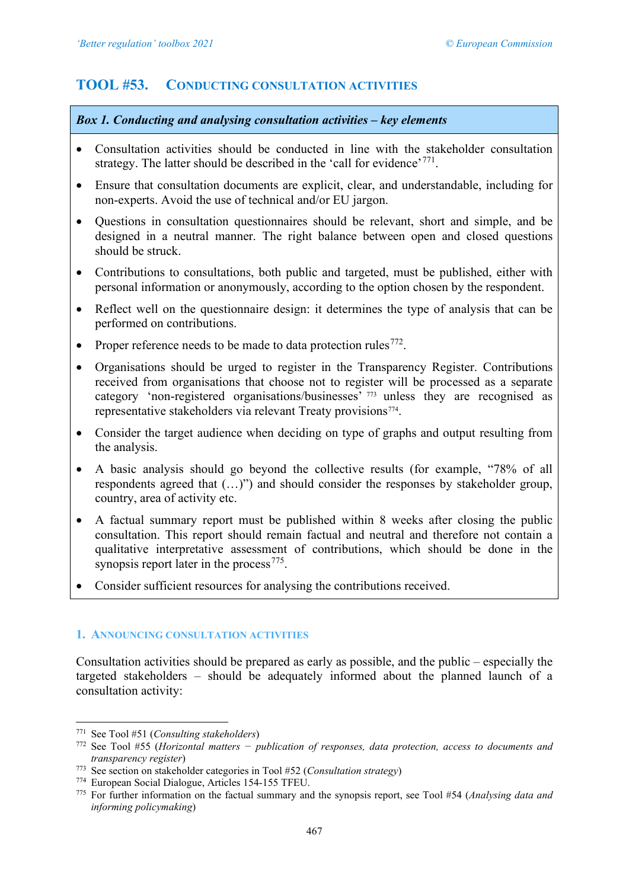# <span id="page-26-0"></span>**TOOL #53. CONDUCTING CONSULTATION ACTIVITIES**

# *Box 1. Conducting and analysing consultation activities – key elements*

- Consultation activities should be conducted in line with the stakeholder consultation strategy. The latter should be described in the 'call for evidence'<sup>[771](#page-26-1)</sup>.
- Ensure that consultation documents are explicit, clear, and understandable, including for non-experts. Avoid the use of technical and/or EU jargon.
- Questions in consultation questionnaires should be relevant, short and simple, and be designed in a neutral manner. The right balance between open and closed questions should be struck.
- Contributions to consultations, both public and targeted, must be published, either with personal information or anonymously, according to the option chosen by the respondent.
- Reflect well on the questionnaire design: it determines the type of analysis that can be performed on contributions.
- Proper reference needs to be made to data protection rules<sup>772</sup>.
- Organisations should be urged to register in the Transparency Register. Contributions received from organisations that choose not to register will be processed as a separate category 'non-registered organisations/businesses' [773](#page-26-3) unless they are recognised as representative stakeholders via relevant Treaty provisions<sup>[774](#page-26-4)</sup>.
- Consider the target audience when deciding on type of graphs and output resulting from the analysis.
- A basic analysis should go beyond the collective results (for example, "78% of all respondents agreed that (…)") and should consider the responses by stakeholder group, country, area of activity etc.
- A factual summary report must be published within 8 weeks after closing the public consultation. This report should remain factual and neutral and therefore not contain a qualitative interpretative assessment of contributions, which should be done in the synopsis report later in the process  $775$ .
- Consider sufficient resources for analysing the contributions received.

# **1. ANNOUNCING CONSULTATION ACTIVITIES**

Consultation activities should be prepared as early as possible, and the public – especially the targeted stakeholders – should be adequately informed about the planned launch of a consultation activity:

<span id="page-26-1"></span><sup>771</sup> See Tool #51 (*Consulting stakeholders*)

<span id="page-26-2"></span><sup>772</sup> See Tool #55 (*Horizontal matters − publication of responses, data protection, access to documents and transparency register*)

<span id="page-26-3"></span><sup>773</sup> See section on stakeholder categories in Tool #52 (*Consultation strategy*)

<span id="page-26-4"></span><sup>774</sup> European Social Dialogue, Articles 154-155 TFEU.

<span id="page-26-5"></span><sup>775</sup> For further information on the factual summary and the synopsis report, see Tool #54 (*Analysing data and informing policymaking*)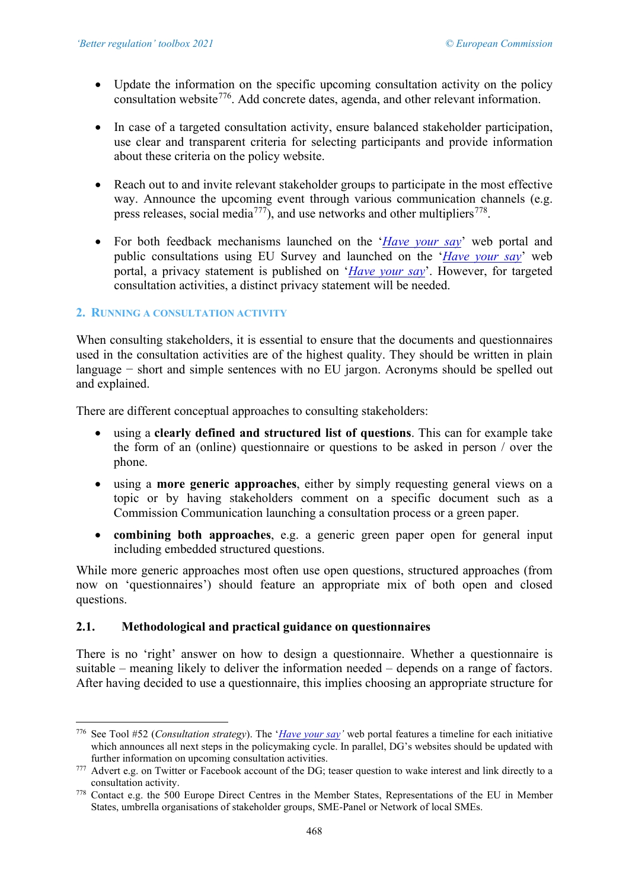- Update the information on the specific upcoming consultation activity on the policy consultation website[776](#page-27-0). Add concrete dates, agenda, and other relevant information.
- In case of a targeted consultation activity, ensure balanced stakeholder participation, use clear and transparent criteria for selecting participants and provide information about these criteria on the policy website.
- Reach out to and invite relevant stakeholder groups to participate in the most effective way. Announce the upcoming event through various communication channels (e.g. press releases, social media<sup>777</sup>), and use networks and other multipliers<sup>778</sup>.
- For both feedback mechanisms launched on the '*[Have your say](https://ec.europa.eu/info/law/better-regulation/have-your-say_en)*' web portal and public consultations using EU Survey and launched on the '*[Have your say](https://ec.europa.eu/info/law/better-regulation/have-your-say_en)*' web portal, a privacy statement is published on '*[Have your say](https://ec.europa.eu/info/law/better-regulation/have-your-say_en)*'. However, for targeted consultation activities, a distinct privacy statement will be needed.

## **2. RUNNING A CONSULTATION ACTIVITY**

When consulting stakeholders, it is essential to ensure that the documents and questionnaires used in the consultation activities are of the highest quality. They should be written in plain language − short and simple sentences with no EU jargon. Acronyms should be spelled out and explained.

There are different conceptual approaches to consulting stakeholders:

- using a **clearly defined and structured list of questions**. This can for example take the form of an (online) questionnaire or questions to be asked in person / over the phone.
- using a **more generic approaches**, either by simply requesting general views on a topic or by having stakeholders comment on a specific document such as a Commission Communication launching a consultation process or a green paper.
- **combining both approaches**, e.g. a generic green paper open for general input including embedded structured questions.

While more generic approaches most often use open questions, structured approaches (from now on 'questionnaires') should feature an appropriate mix of both open and closed questions.

## **2.1. Methodological and practical guidance on questionnaires**

There is no 'right' answer on how to design a questionnaire. Whether a questionnaire is suitable – meaning likely to deliver the information needed – depends on a range of factors. After having decided to use a questionnaire, this implies choosing an appropriate structure for

<span id="page-27-0"></span><sup>776</sup> See Tool #52 (*Consultation strategy*). The '*[Have your say'](https://ec.europa.eu/info/law/better-regulation/have-your-say_en)* web portal features a timeline for each initiative which announces all next steps in the policymaking cycle. In parallel, DG's websites should be updated with further information on upcoming consultation activities.

<span id="page-27-1"></span><sup>&</sup>lt;sup>777</sup> Advert e.g. on Twitter or Facebook account of the DG; teaser question to wake interest and link directly to a consultation activity.

<span id="page-27-2"></span><sup>778</sup> Contact e.g. the 500 Europe Direct Centres in the Member States, Representations of the EU in Member States, umbrella organisations of stakeholder groups, SME-Panel or Network of local SMEs.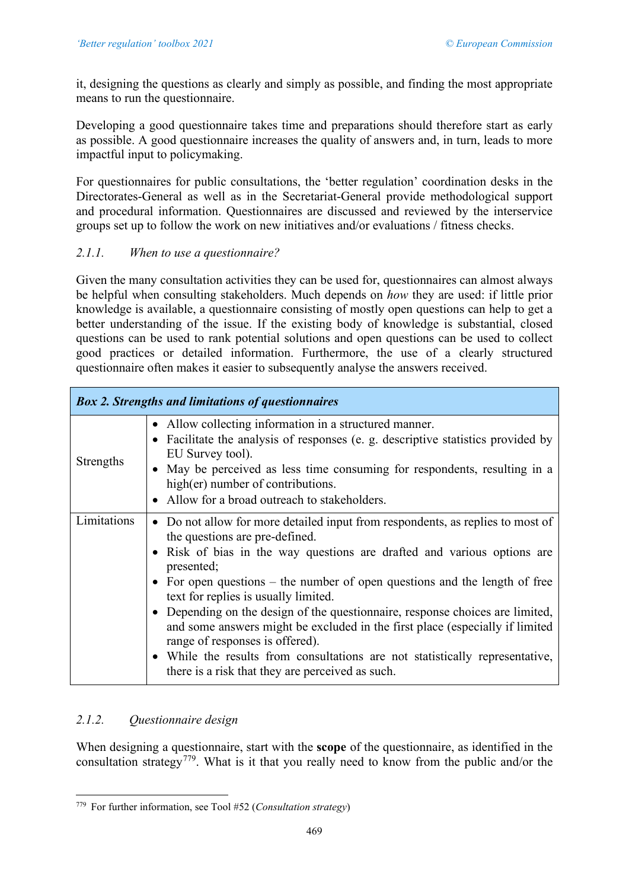it, designing the questions as clearly and simply as possible, and finding the most appropriate means to run the questionnaire.

Developing a good questionnaire takes time and preparations should therefore start as early as possible. A good questionnaire increases the quality of answers and, in turn, leads to more impactful input to policymaking.

For questionnaires for public consultations, the 'better regulation' coordination desks in the Directorates-General as well as in the Secretariat-General provide methodological support and procedural information. Questionnaires are discussed and reviewed by the interservice groups set up to follow the work on new initiatives and/or evaluations / fitness checks.

# *2.1.1. When to use a questionnaire?*

Given the many consultation activities they can be used for, questionnaires can almost always be helpful when consulting stakeholders. Much depends on *how* they are used: if little prior knowledge is available, a questionnaire consisting of mostly open questions can help to get a better understanding of the issue. If the existing body of knowledge is substantial, closed questions can be used to rank potential solutions and open questions can be used to collect good practices or detailed information. Furthermore, the use of a clearly structured questionnaire often makes it easier to subsequently analyse the answers received.

|             | <b>Box 2. Strengths and limitations of questionnaires</b>                                                                                                                                                                                                                                                                                                                                                                                                                                                                                                                                                                                                               |
|-------------|-------------------------------------------------------------------------------------------------------------------------------------------------------------------------------------------------------------------------------------------------------------------------------------------------------------------------------------------------------------------------------------------------------------------------------------------------------------------------------------------------------------------------------------------------------------------------------------------------------------------------------------------------------------------------|
| Strengths   | • Allow collecting information in a structured manner.<br>• Facilitate the analysis of responses (e. g. descriptive statistics provided by<br>EU Survey tool).<br>• May be perceived as less time consuming for respondents, resulting in a<br>high(er) number of contributions.<br>• Allow for a broad outreach to stakeholders.                                                                                                                                                                                                                                                                                                                                       |
| Limitations | • Do not allow for more detailed input from respondents, as replies to most of<br>the questions are pre-defined.<br>• Risk of bias in the way questions are drafted and various options are<br>presented;<br>• For open questions – the number of open questions and the length of free<br>text for replies is usually limited.<br>• Depending on the design of the question aire, response choices are limited,<br>and some answers might be excluded in the first place (especially if limited<br>range of responses is offered).<br>• While the results from consultations are not statistically representative,<br>there is a risk that they are perceived as such. |

# *2.1.2. Questionnaire design*

When designing a questionnaire, start with the **scope** of the questionnaire, as identified in the consultation strategy<sup>779</sup>. What is it that you really need to know from the public and/or the

<span id="page-28-0"></span><sup>779</sup> For further information, see Tool #52 (*Consultation strategy*)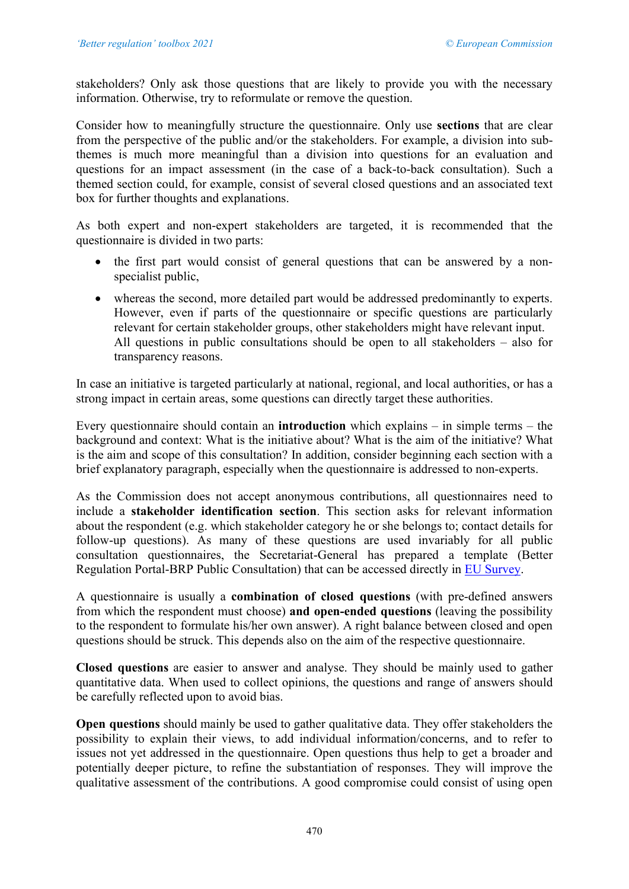stakeholders? Only ask those questions that are likely to provide you with the necessary information. Otherwise, try to reformulate or remove the question.

Consider how to meaningfully structure the questionnaire. Only use **sections** that are clear from the perspective of the public and/or the stakeholders. For example, a division into subthemes is much more meaningful than a division into questions for an evaluation and questions for an impact assessment (in the case of a back-to-back consultation). Such a themed section could, for example, consist of several closed questions and an associated text box for further thoughts and explanations.

As both expert and non-expert stakeholders are targeted, it is recommended that the questionnaire is divided in two parts:

- the first part would consist of general questions that can be answered by a nonspecialist public,
- whereas the second, more detailed part would be addressed predominantly to experts. However, even if parts of the questionnaire or specific questions are particularly relevant for certain stakeholder groups, other stakeholders might have relevant input. All questions in public consultations should be open to all stakeholders – also for transparency reasons.

In case an initiative is targeted particularly at national, regional, and local authorities, or has a strong impact in certain areas, some questions can directly target these authorities.

Every questionnaire should contain an **introduction** which explains – in simple terms – the background and context: What is the initiative about? What is the aim of the initiative? What is the aim and scope of this consultation? In addition, consider beginning each section with a brief explanatory paragraph, especially when the questionnaire is addressed to non-experts.

As the Commission does not accept anonymous contributions, all questionnaires need to include a **stakeholder identification section**. This section asks for relevant information about the respondent (e.g. which stakeholder category he or she belongs to; contact details for follow-up questions). As many of these questions are used invariably for all public consultation questionnaires, the Secretariat-General has prepared a template (Better Regulation Portal-BRP Public Consultation) that can be accessed directly in [EU Survey.](https://ec.europa.eu/eusurvey/home/welcome)

A questionnaire is usually a **combination of closed questions** (with pre-defined answers from which the respondent must choose) **and open-ended questions** (leaving the possibility to the respondent to formulate his/her own answer). A right balance between closed and open questions should be struck. This depends also on the aim of the respective questionnaire.

**Closed questions** are easier to answer and analyse. They should be mainly used to gather quantitative data. When used to collect opinions, the questions and range of answers should be carefully reflected upon to avoid bias.

**Open questions** should mainly be used to gather qualitative data. They offer stakeholders the possibility to explain their views, to add individual information/concerns, and to refer to issues not yet addressed in the questionnaire. Open questions thus help to get a broader and potentially deeper picture, to refine the substantiation of responses. They will improve the qualitative assessment of the contributions. A good compromise could consist of using open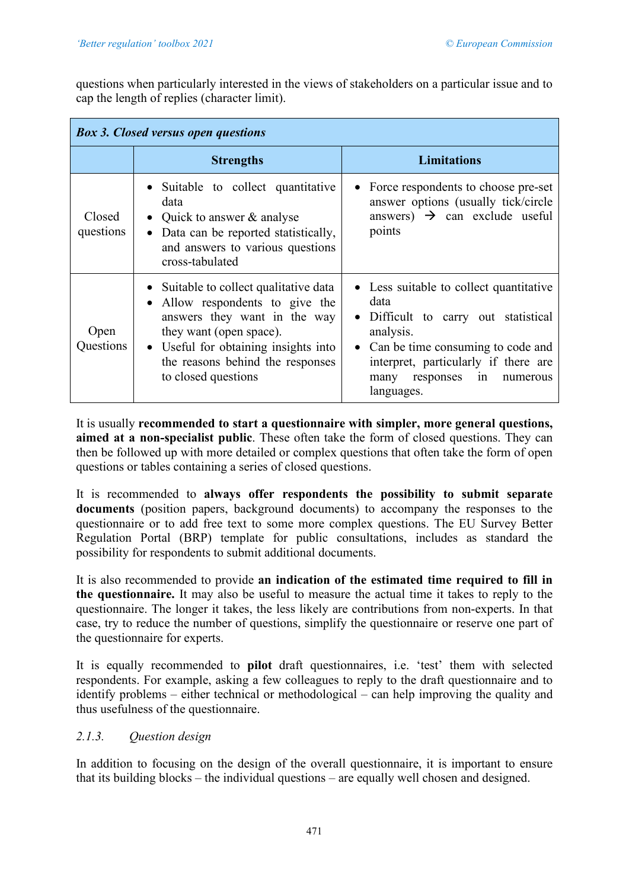questions when particularly interested in the views of stakeholders on a particular issue and to cap the length of replies (character limit).

| <b>Box 3. Closed versus open questions</b> |                                                                                                                                                                                                                                       |                                                                                                                                                                                                                                                  |
|--------------------------------------------|---------------------------------------------------------------------------------------------------------------------------------------------------------------------------------------------------------------------------------------|--------------------------------------------------------------------------------------------------------------------------------------------------------------------------------------------------------------------------------------------------|
|                                            | <b>Strengths</b>                                                                                                                                                                                                                      | <b>Limitations</b>                                                                                                                                                                                                                               |
| Closed<br>questions                        | • Suitable to collect quantitative<br>data<br>Quick to answer & analyse<br>Data can be reported statistically,<br>and answers to various questions<br>cross-tabulated                                                                 | • Force respondents to choose pre-set<br>answer options (usually tick/circle<br>answers) $\rightarrow$ can exclude useful<br>points                                                                                                              |
| Open<br>Questions                          | • Suitable to collect qualitative data<br>Allow respondents to give the<br>answers they want in the way<br>they want (open space).<br>• Useful for obtaining insights into<br>the reasons behind the responses<br>to closed questions | • Less suitable to collect quantitative<br>data<br>• Difficult to carry out statistical<br>analysis.<br>Can be time consuming to code and<br>$\bullet$<br>interpret, particularly if there are<br>many responses<br>1n<br>numerous<br>languages. |

It is usually **recommended to start a questionnaire with simpler, more general questions, aimed at a non-specialist public**. These often take the form of closed questions. They can then be followed up with more detailed or complex questions that often take the form of open questions or tables containing a series of closed questions.

It is recommended to **always offer respondents the possibility to submit separate documents** (position papers, background documents) to accompany the responses to the questionnaire or to add free text to some more complex questions. The EU Survey Better Regulation Portal (BRP) template for public consultations, includes as standard the possibility for respondents to submit additional documents.

It is also recommended to provide **an indication of the estimated time required to fill in the questionnaire.** It may also be useful to measure the actual time it takes to reply to the questionnaire. The longer it takes, the less likely are contributions from non-experts. In that case, try to reduce the number of questions, simplify the questionnaire or reserve one part of the questionnaire for experts.

It is equally recommended to **pilot** draft questionnaires, i.e. 'test' them with selected respondents. For example, asking a few colleagues to reply to the draft questionnaire and to identify problems – either technical or methodological – can help improving the quality and thus usefulness of the questionnaire.

# *2.1.3. Question design*

In addition to focusing on the design of the overall questionnaire, it is important to ensure that its building blocks – the individual questions – are equally well chosen and designed.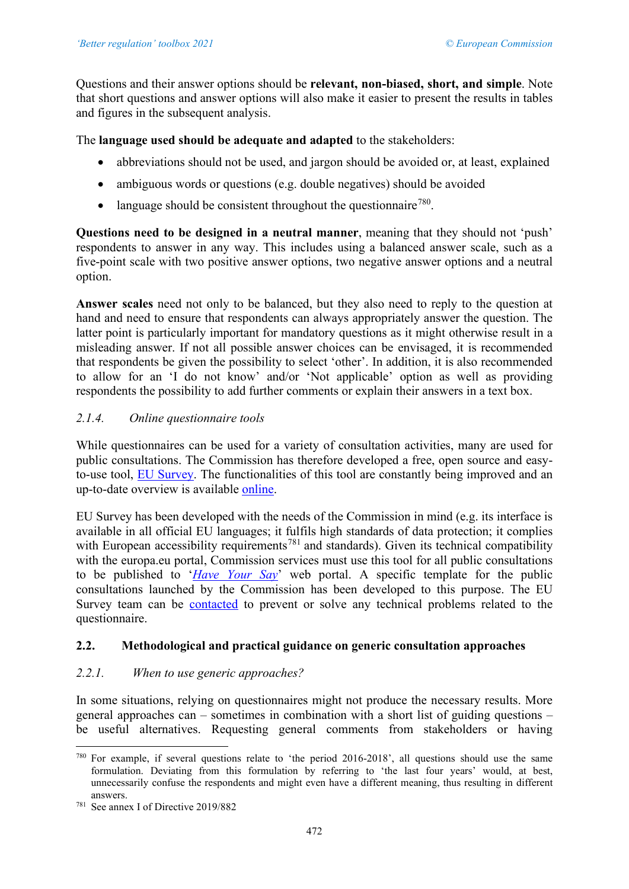Questions and their answer options should be **relevant, non-biased, short, and simple**. Note that short questions and answer options will also make it easier to present the results in tables and figures in the subsequent analysis.

The **language used should be adequate and adapted** to the stakeholders:

- abbreviations should not be used, and jargon should be avoided or, at least, explained
- ambiguous words or questions (e.g. double negatives) should be avoided
- language should be consistent throughout the questionnaire<sup>780</sup>.

**Questions need to be designed in a neutral manner**, meaning that they should not 'push' respondents to answer in any way. This includes using a balanced answer scale, such as a five-point scale with two positive answer options, two negative answer options and a neutral option.

**Answer scales** need not only to be balanced, but they also need to reply to the question at hand and need to ensure that respondents can always appropriately answer the question. The latter point is particularly important for mandatory questions as it might otherwise result in a misleading answer. If not all possible answer choices can be envisaged, it is recommended that respondents be given the possibility to select 'other'. In addition, it is also recommended to allow for an 'I do not know' and/or 'Not applicable' option as well as providing respondents the possibility to add further comments or explain their answers in a text box.

# *2.1.4. Online questionnaire tools*

While questionnaires can be used for a variety of consultation activities, many are used for public consultations. The Commission has therefore developed a free, open source and easyto-use tool, [EU Survey.](https://ec.europa.eu/eusurvey/home/welcome) The functionalities of this tool are constantly being improved and an up-to-date overview is available [online.](https://ec.europa.eu/eusurvey/home/about)

EU Survey has been developed with the needs of the Commission in mind (e.g. its interface is available in all official EU languages; it fulfils high standards of data protection; it complies with European accessibility requirements<sup>[781](#page-31-1)</sup> and standards). Given its technical compatibility with the europa.eu portal, Commission services must use this tool for all public consultations to be published to '*[Have Your Say](https://ec.europa.eu/info/law/better-regulation/have-your-say)*' web portal. A specific template for the public consultations launched by the Commission has been developed to this purpose. The EU Survey team can be [contacted](mailto:EC-HELPDESK-IT@ec.europa.eu) to prevent or solve any technical problems related to the questionnaire.

# **2.2. Methodological and practical guidance on generic consultation approaches**

# *2.2.1. When to use generic approaches?*

In some situations, relying on questionnaires might not produce the necessary results. More general approaches can – sometimes in combination with a short list of guiding questions – be useful alternatives. Requesting general comments from stakeholders or having

<span id="page-31-0"></span><sup>780</sup> For example, if several questions relate to 'the period 2016-2018', all questions should use the same formulation. Deviating from this formulation by referring to 'the last four years' would, at best, unnecessarily confuse the respondents and might even have a different meaning, thus resulting in different answers.

<span id="page-31-1"></span><sup>781</sup> See annex I of Directive 2019/882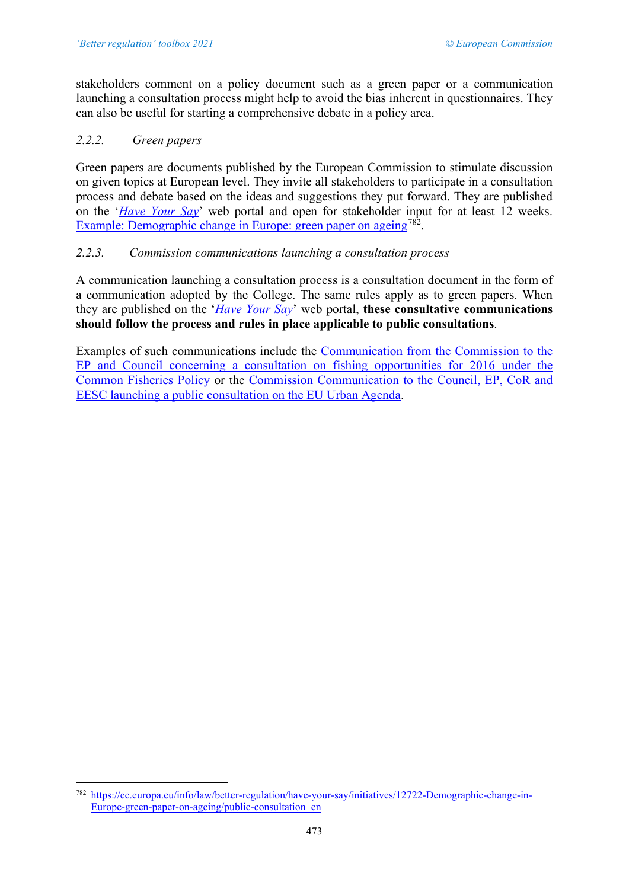stakeholders comment on a policy document such as a green paper or a communication launching a consultation process might help to avoid the bias inherent in questionnaires. They can also be useful for starting a comprehensive debate in a policy area.

# *2.2.2. Green papers*

Green papers are documents published by the European Commission to stimulate discussion on given topics at European level. They invite all stakeholders to participate in a consultation process and debate based on the ideas and suggestions they put forward. They are published on the '*[Have Your Say](https://ec.europa.eu/info/law/better-regulation/have-your-say)*' web portal and open for stakeholder input for at least 12 weeks. Example: Demographic change in Europe: green paper on ageing<sup>782</sup>.

# *2.2.3. Commission communications launching a consultation process*

A communication launching a consultation process is a consultation document in the form of a communication adopted by the College. The same rules apply as to green papers. When they are published on the '*[Have Your Say](https://ec.europa.eu/info/law/better-regulation/have-your-say)*' web portal, **these consultative communications should follow the process and rules in place applicable to public consultations**.

Examples of such communications include the [Communication from the Commission to the](https://eur-lex.europa.eu/resource.html?uri=cellar:5d00da86-090d-11e5-8817-01aa75ed71a1.0003.02/DOC_1&format=PDF)  [EP and Council concerning a consultation on fishing opportunities for 2016 under the](https://eur-lex.europa.eu/resource.html?uri=cellar:5d00da86-090d-11e5-8817-01aa75ed71a1.0003.02/DOC_1&format=PDF)  [Common Fisheries Policy](https://eur-lex.europa.eu/resource.html?uri=cellar:5d00da86-090d-11e5-8817-01aa75ed71a1.0003.02/DOC_1&format=PDF) or the [Commission Communication to the Council, EP, CoR and](http://ec.europa.eu/regional_policy/sources/consultation/urb_agenda/pdf/comm_act_urb_agenda_en.pdf)  [EESC launching a public consultation on the EU Urban Agenda.](http://ec.europa.eu/regional_policy/sources/consultation/urb_agenda/pdf/comm_act_urb_agenda_en.pdf)

<span id="page-32-0"></span><sup>782</sup> [https://ec.europa.eu/info/law/better-regulation/have-your-say/initiatives/12722-Demographic-change-in-](https://ec.europa.eu/info/law/better-regulation/have-your-say/initiatives/12722-Demographic-change-in-Europe-green-paper-on-ageing/public-consultation_en)[Europe-green-paper-on-ageing/public-consultation\\_en](https://ec.europa.eu/info/law/better-regulation/have-your-say/initiatives/12722-Demographic-change-in-Europe-green-paper-on-ageing/public-consultation_en)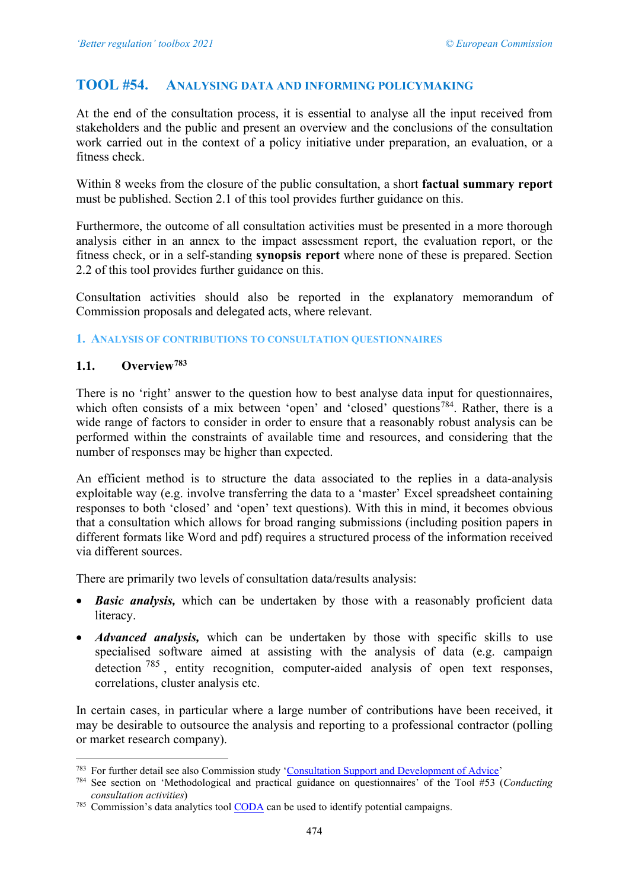# <span id="page-33-0"></span>**TOOL #54. ANALYSING DATA AND INFORMING POLICYMAKING**

At the end of the consultation process, it is essential to analyse all the input received from stakeholders and the public and present an overview and the conclusions of the consultation work carried out in the context of a policy initiative under preparation, an evaluation, or a fitness check.

Within 8 weeks from the closure of the public consultation, a short **factual summary report** must be published. Section 2.1 of this tool provides further guidance on this.

Furthermore, the outcome of all consultation activities must be presented in a more thorough analysis either in an annex to the impact assessment report, the evaluation report, or the fitness check, or in a self-standing **synopsis report** where none of these is prepared. Section 2.2 of this tool provides further guidance on this.

Consultation activities should also be reported in the explanatory memorandum of Commission proposals and delegated acts, where relevant.

#### **1. ANALYSIS OF CONTRIBUTIONS TO CONSULTATION QUESTIONNAIRES**

#### **1.1. Overview[783](#page-33-1)**

There is no 'right' answer to the question how to best analyse data input for questionnaires, which often consists of a mix between 'open' and 'closed' questions<sup>784</sup>. Rather, there is a wide range of factors to consider in order to ensure that a reasonably robust analysis can be performed within the constraints of available time and resources, and considering that the number of responses may be higher than expected.

An efficient method is to structure the data associated to the replies in a data-analysis exploitable way (e.g. involve transferring the data to a 'master' Excel spreadsheet containing responses to both 'closed' and 'open' text questions). With this in mind, it becomes obvious that a consultation which allows for broad ranging submissions (including position papers in different formats like Word and pdf) requires a structured process of the information received via different sources.

There are primarily two levels of consultation data/results analysis:

- *Basic analysis,* which can be undertaken by those with a reasonably proficient data literacy.
- *Advanced analysis*, which can be undertaken by those with specific skills to use specialised software aimed at assisting with the analysis of data (e.g. campaign detection  $785$ , entity recognition, computer-aided analysis of open text responses, correlations, cluster analysis etc.

In certain cases, in particular where a large number of contributions have been received, it may be desirable to outsource the analysis and reporting to a professional contractor (polling or market research company).

<span id="page-33-1"></span><sup>783</sup> For further detail see also Commission study ['Consultation Support and Development of Advice'](https://bookshop.europa.eu/en/consultation-support-and-development-of-advice-pbKA0217018/?CatalogCategoryID=YR4KABstrdkAAAEjLocY4e5K)

<span id="page-33-2"></span><sup>784</sup> See section on 'Methodological and practical guidance on questionnaires' of the Tool #53 (*Conducting consultation activities*)

<span id="page-33-3"></span><sup>785</sup> Commission's data analytics tool CODA can be used to identify potential campaigns.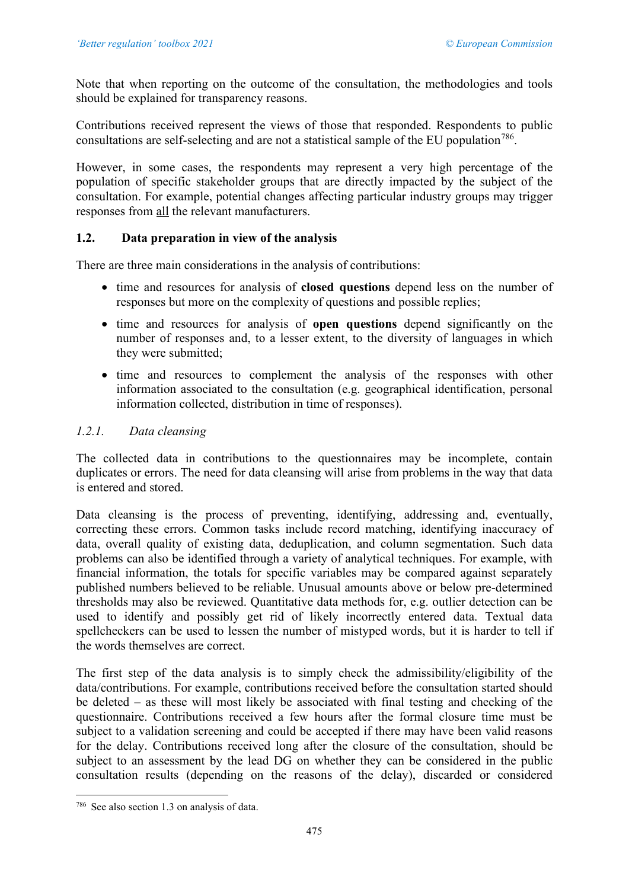Note that when reporting on the outcome of the consultation, the methodologies and tools should be explained for transparency reasons.

Contributions received represent the views of those that responded. Respondents to public consultations are self-selecting and are not a statistical sample of the EU population<sup>786</sup>.

However, in some cases, the respondents may represent a very high percentage of the population of specific stakeholder groups that are directly impacted by the subject of the consultation. For example, potential changes affecting particular industry groups may trigger responses from all the relevant manufacturers.

# **1.2. Data preparation in view of the analysis**

There are three main considerations in the analysis of contributions:

- time and resources for analysis of **closed questions** depend less on the number of responses but more on the complexity of questions and possible replies;
- time and resources for analysis of **open questions** depend significantly on the number of responses and, to a lesser extent, to the diversity of languages in which they were submitted;
- time and resources to complement the analysis of the responses with other information associated to the consultation (e.g. geographical identification, personal information collected, distribution in time of responses).

# *1.2.1. Data cleansing*

The collected data in contributions to the questionnaires may be incomplete, contain duplicates or errors. The need for data cleansing will arise from problems in the way that data is entered and stored.

Data cleansing is the process of preventing, identifying, addressing and, eventually, correcting these errors. Common tasks include record matching, identifying inaccuracy of data, overall quality of existing data, deduplication, and column segmentation. Such data problems can also be identified through a variety of analytical techniques. For example, with financial information, the totals for specific variables may be compared against separately published numbers believed to be reliable. Unusual amounts above or below pre-determined thresholds may also be reviewed. Quantitative data methods for, e.g. outlier detection can be used to identify and possibly get rid of likely incorrectly entered data. Textual data spellcheckers can be used to lessen the number of mistyped words, but it is harder to tell if the words themselves are correct.

The first step of the data analysis is to simply check the admissibility/eligibility of the data/contributions. For example, contributions received before the consultation started should be deleted – as these will most likely be associated with final testing and checking of the questionnaire. Contributions received a few hours after the formal closure time must be subject to a validation screening and could be accepted if there may have been valid reasons for the delay. Contributions received long after the closure of the consultation, should be subject to an assessment by the lead DG on whether they can be considered in the public consultation results (depending on the reasons of the delay), discarded or considered

<span id="page-34-0"></span><sup>786</sup> See also section 1.3 on analysis of data.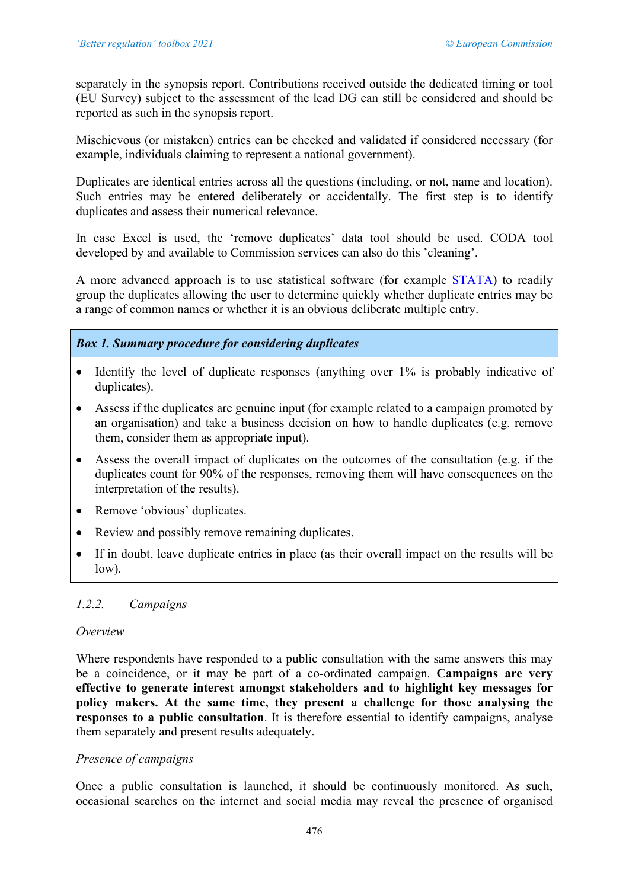separately in the synopsis report. Contributions received outside the dedicated timing or tool (EU Survey) subject to the assessment of the lead DG can still be considered and should be reported as such in the synopsis report.

Mischievous (or mistaken) entries can be checked and validated if considered necessary (for example, individuals claiming to represent a national government).

Duplicates are identical entries across all the questions (including, or not, name and location). Such entries may be entered deliberately or accidentally. The first step is to identify duplicates and assess their numerical relevance.

In case Excel is used, the 'remove duplicates' data tool should be used. CODA tool developed by and available to Commission services can also do this 'cleaning'.

A more advanced approach is to use statistical software (for example [STATA\)](http://www.stata.com/new-in-stata/) to readily group the duplicates allowing the user to determine quickly whether duplicate entries may be a range of common names or whether it is an obvious deliberate multiple entry.

*Box 1. Summary procedure for considering duplicates* 

- Identify the level of duplicate responses (anything over 1% is probably indicative of duplicates).
- Assess if the duplicates are genuine input (for example related to a campaign promoted by an organisation) and take a business decision on how to handle duplicates (e.g. remove them, consider them as appropriate input).
- Assess the overall impact of duplicates on the outcomes of the consultation (e.g. if the duplicates count for 90% of the responses, removing them will have consequences on the interpretation of the results).
- Remove 'obvious' duplicates.
- Review and possibly remove remaining duplicates.
- If in doubt, leave duplicate entries in place (as their overall impact on the results will be low).

# *1.2.2. Campaigns*

#### *Overview*

Where respondents have responded to a public consultation with the same answers this may be a coincidence, or it may be part of a co-ordinated campaign. **Campaigns are very effective to generate interest amongst stakeholders and to highlight key messages for policy makers. At the same time, they present a challenge for those analysing the responses to a public consultation**. It is therefore essential to identify campaigns, analyse them separately and present results adequately.

## *Presence of campaigns*

Once a public consultation is launched, it should be continuously monitored. As such, occasional searches on the internet and social media may reveal the presence of organised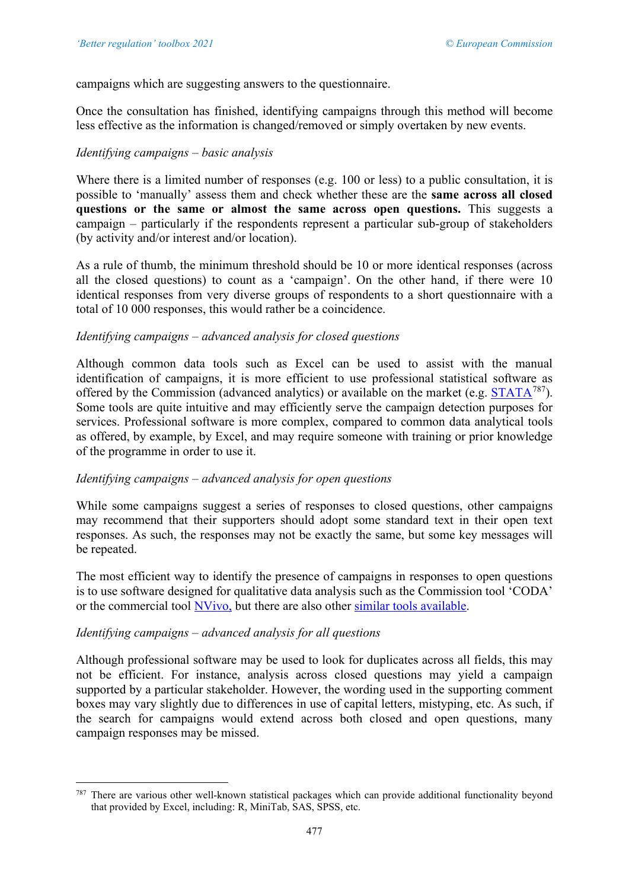campaigns which are suggesting answers to the questionnaire.

Once the consultation has finished, identifying campaigns through this method will become less effective as the information is changed/removed or simply overtaken by new events.

## *Identifying campaigns – basic analysis*

Where there is a limited number of responses (e.g. 100 or less) to a public consultation, it is possible to 'manually' assess them and check whether these are the **same across all closed questions or the same or almost the same across open questions.** This suggests a campaign – particularly if the respondents represent a particular sub-group of stakeholders (by activity and/or interest and/or location).

As a rule of thumb, the minimum threshold should be 10 or more identical responses (across all the closed questions) to count as a 'campaign'. On the other hand, if there were 10 identical responses from very diverse groups of respondents to a short questionnaire with a total of 10 000 responses, this would rather be a coincidence.

#### *Identifying campaigns – advanced analysis for closed questions*

Although common data tools such as Excel can be used to assist with the manual identification of campaigns, it is more efficient to use professional statistical software as offered by the Commission (advanced analytics) or available on the market (e.g.  $STATA^{787}$ ). Some tools are quite intuitive and may efficiently serve the campaign detection purposes for services. Professional software is more complex, compared to common data analytical tools as offered, by example, by Excel, and may require someone with training or prior knowledge of the programme in order to use it.

## *Identifying campaigns – advanced analysis for open questions*

While some campaigns suggest a series of responses to closed questions, other campaigns may recommend that their supporters should adopt some standard text in their open text responses. As such, the responses may not be exactly the same, but some key messages will be repeated.

The most efficient way to identify the presence of campaigns in responses to open questions is to use software designed for qualitative data analysis such as the Commission tool 'CODA' or the commercial tool [NVivo,](http://www.qsrinternational.com/product) but there are also other [similar tools available.](http://www.predictiveanalyticstoday.com/top-qualitative-data-analysis-software/)

## *Identifying campaigns – advanced analysis for all questions*

Although professional software may be used to look for duplicates across all fields, this may not be efficient. For instance, analysis across closed questions may yield a campaign supported by a particular stakeholder. However, the wording used in the supporting comment boxes may vary slightly due to differences in use of capital letters, mistyping, etc. As such, if the search for campaigns would extend across both closed and open questions, many campaign responses may be missed.

<span id="page-36-0"></span><sup>787</sup> There are various other well-known statistical packages which can provide additional functionality beyond that provided by Excel, including: R, MiniTab, SAS, SPSS, etc.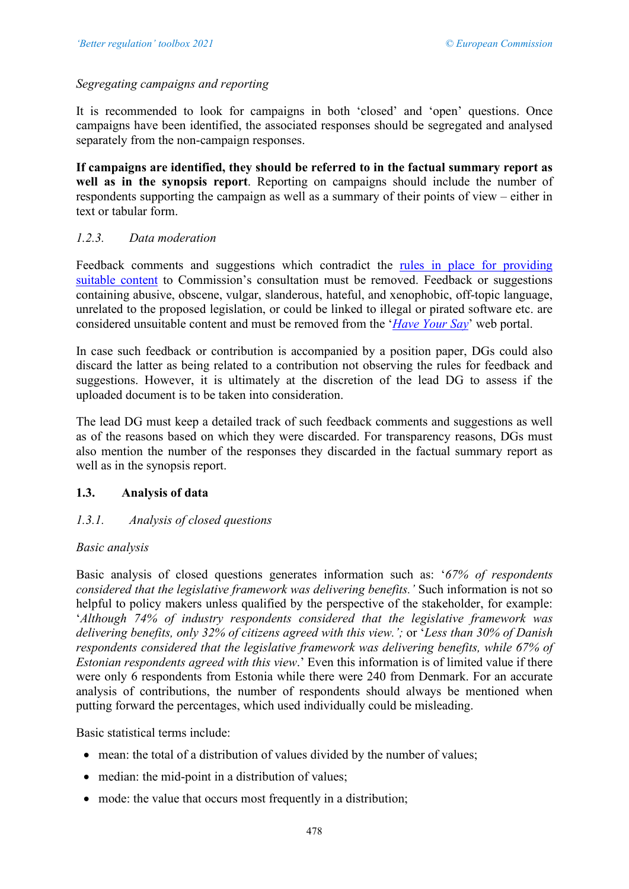# *Segregating campaigns and reporting*

It is recommended to look for campaigns in both 'closed' and 'open' questions. Once campaigns have been identified, the associated responses should be segregated and analysed separately from the non-campaign responses.

**If campaigns are identified, they should be referred to in the factual summary report as well as in the synopsis report**. Reporting on campaigns should include the number of respondents supporting the campaign as well as a summary of their points of view – either in text or tabular form.

# *1.2.3. Data moderation*

Feedback comments and suggestions which contradict the [rules in place for providing](https://ec.europa.eu/info/law/better-regulation/rules-feedback-and-suggestions)  [suitable content](https://ec.europa.eu/info/law/better-regulation/rules-feedback-and-suggestions) to Commission's consultation must be removed. Feedback or suggestions containing abusive, obscene, vulgar, slanderous, hateful, and xenophobic, off-topic language, unrelated to the proposed legislation, or could be linked to illegal or pirated software etc. are considered unsuitable content and must be removed from the '*[Have Your Say](https://ec.europa.eu/info/law/better-regulation/have-your-say)*' web portal.

In case such feedback or contribution is accompanied by a position paper, DGs could also discard the latter as being related to a contribution not observing the rules for feedback and suggestions. However, it is ultimately at the discretion of the lead DG to assess if the uploaded document is to be taken into consideration.

The lead DG must keep a detailed track of such feedback comments and suggestions as well as of the reasons based on which they were discarded. For transparency reasons, DGs must also mention the number of the responses they discarded in the factual summary report as well as in the synopsis report.

# **1.3. Analysis of data**

# *1.3.1. Analysis of closed questions*

## *Basic analysis*

Basic analysis of closed questions generates information such as: '*67% of respondents considered that the legislative framework was delivering benefits.'* Such information is not so helpful to policy makers unless qualified by the perspective of the stakeholder, for example: '*Although 74% of industry respondents considered that the legislative framework was delivering benefits, only 32% of citizens agreed with this view.';* or '*Less than 30% of Danish respondents considered that the legislative framework was delivering benefits, while 67% of Estonian respondents agreed with this view*.' Even this information is of limited value if there were only 6 respondents from Estonia while there were 240 from Denmark. For an accurate analysis of contributions, the number of respondents should always be mentioned when putting forward the percentages, which used individually could be misleading.

Basic statistical terms include:

- mean: the total of a distribution of values divided by the number of values;
- median: the mid-point in a distribution of values;
- mode: the value that occurs most frequently in a distribution;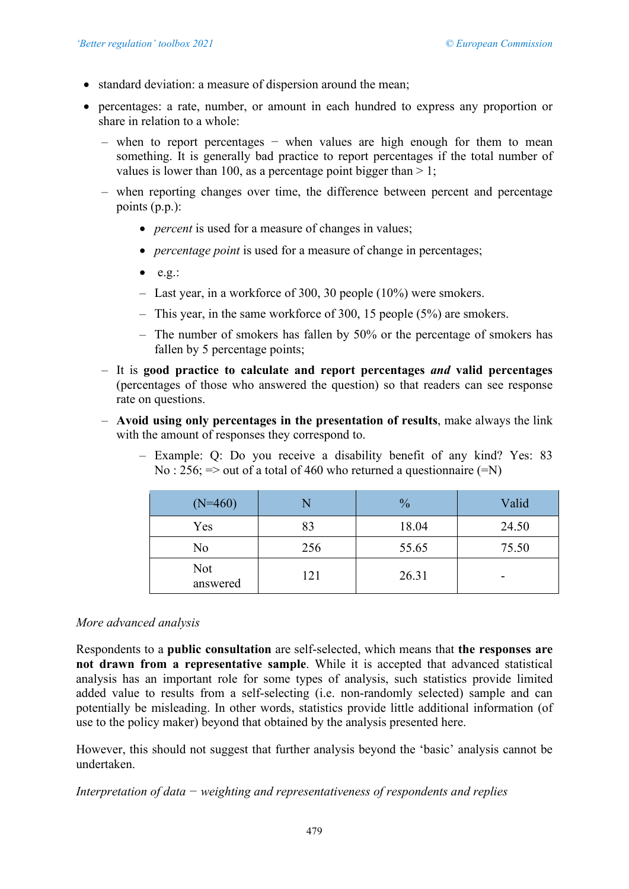- standard deviation: a measure of dispersion around the mean;
- percentages: a rate, number, or amount in each hundred to express any proportion or share in relation to a whole:
	- when to report percentages − when values are high enough for them to mean something. It is generally bad practice to report percentages if the total number of values is lower than 100, as a percentage point bigger than  $> 1$ ;
	- when reporting changes over time, the difference between percent and percentage points (p.p.):
		- *percent* is used for a measure of changes in values;
		- *percentage point* is used for a measure of change in percentages;
		- $\bullet$  e.g.:
		- Last year, in a workforce of 300, 30 people (10%) were smokers.
		- This year, in the same workforce of 300, 15 people (5%) are smokers.
		- The number of smokers has fallen by 50% or the percentage of smokers has fallen by 5 percentage points;
	- It is **good practice to calculate and report percentages** *and* **valid percentages** (percentages of those who answered the question) so that readers can see response rate on questions.
	- **Avoid using only percentages in the presentation of results**, make always the link with the amount of responses they correspond to.
		- Example: Q: Do you receive a disability benefit of any kind? Yes: 83 No : 256;  $\Rightarrow$  out of a total of 460 who returned a questionnaire ( $\equiv$ N)

| $(N=460)$       |     | $\frac{0}{0}$ | Valid |
|-----------------|-----|---------------|-------|
| Yes             | 83  | 18.04         | 24.50 |
| No              | 256 | 55.65         | 75.50 |
| Not<br>answered | 121 | 26.31         | ۰     |

#### *More advanced analysis*

Respondents to a **public consultation** are self-selected, which means that **the responses are not drawn from a representative sample**. While it is accepted that advanced statistical analysis has an important role for some types of analysis, such statistics provide limited added value to results from a self-selecting (i.e. non-randomly selected) sample and can potentially be misleading. In other words, statistics provide little additional information (of use to the policy maker) beyond that obtained by the analysis presented here.

However, this should not suggest that further analysis beyond the 'basic' analysis cannot be undertaken.

*Interpretation of data − weighting and representativeness of respondents and replies*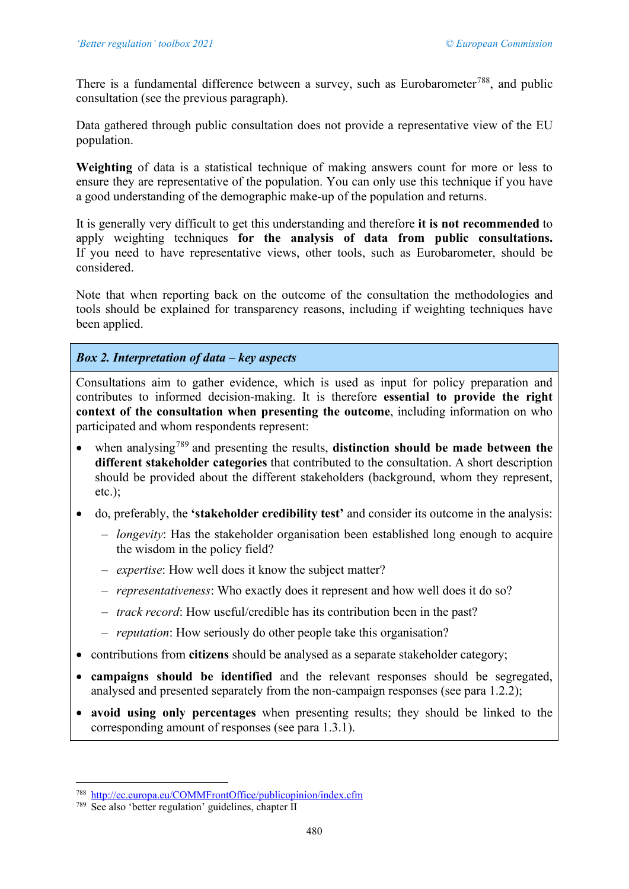There is a fundamental difference between a survey, such as Eurobarometer<sup>788</sup>, and public consultation (see the previous paragraph).

Data gathered through public consultation does not provide a representative view of the EU population.

**Weighting** of data is a statistical technique of making answers count for more or less to ensure they are representative of the population. You can only use this technique if you have a good understanding of the demographic make-up of the population and returns.

It is generally very difficult to get this understanding and therefore **it is not recommended** to apply weighting techniques **for the analysis of data from public consultations.**  If you need to have representative views, other tools, such as Eurobarometer, should be considered.

Note that when reporting back on the outcome of the consultation the methodologies and tools should be explained for transparency reasons, including if weighting techniques have been applied.

# *Box 2. Interpretation of data – key aspects*

Consultations aim to gather evidence, which is used as input for policy preparation and contributes to informed decision-making. It is therefore **essential to provide the right context of the consultation when presenting the outcome**, including information on who participated and whom respondents represent:

- when analysing<sup>[789](#page-39-1)</sup> and presenting the results, **distinction should be made between the different stakeholder categories** that contributed to the consultation. A short description should be provided about the different stakeholders (background, whom they represent, etc.);
- do, preferably, the **'stakeholder credibility test'** and consider its outcome in the analysis:
	- *longevity*: Has the stakeholder organisation been established long enough to acquire the wisdom in the policy field?
	- *expertise*: How well does it know the subject matter?
	- *representativeness*: Who exactly does it represent and how well does it do so?
	- *track record*: How useful/credible has its contribution been in the past?
	- *reputation*: How seriously do other people take this organisation?
- contributions from **citizens** should be analysed as a separate stakeholder category;
- **campaigns should be identified** and the relevant responses should be segregated, analysed and presented separately from the non-campaign responses (see para 1.2.2);
- **avoid using only percentages** when presenting results; they should be linked to the corresponding amount of responses (see para 1.3.1).

<span id="page-39-0"></span><sup>788</sup> <http://ec.europa.eu/COMMFrontOffice/publicopinion/index.cfm>

<span id="page-39-1"></span><sup>789</sup> See also 'better regulation' guidelines, chapter II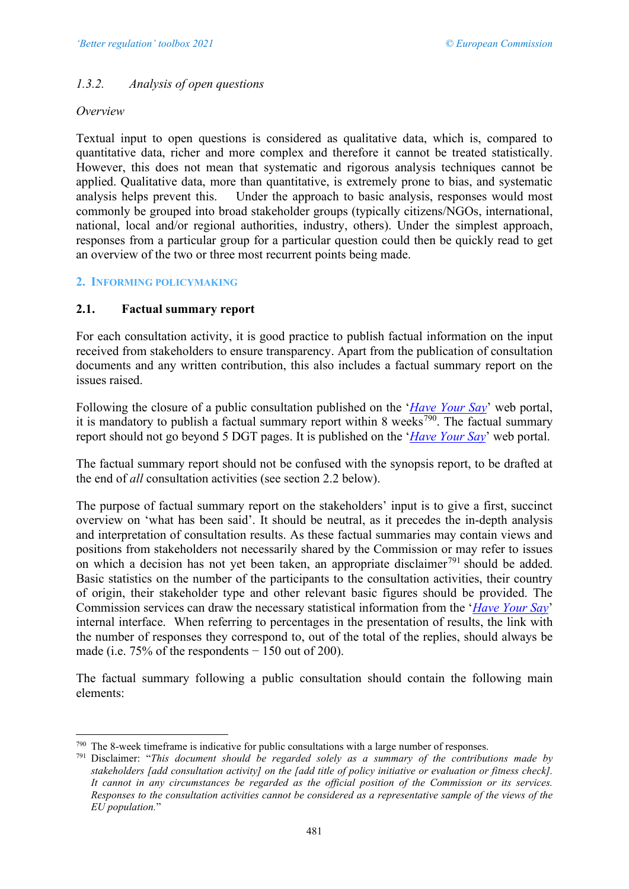# *1.3.2. Analysis of open questions*

#### *Overview*

Textual input to open questions is considered as qualitative data, which is, compared to quantitative data, richer and more complex and therefore it cannot be treated statistically. However, this does not mean that systematic and rigorous analysis techniques cannot be applied. Qualitative data, more than quantitative, is extremely prone to bias, and systematic analysis helps prevent this. Under the approach to basic analysis, responses would most commonly be grouped into broad stakeholder groups (typically citizens/NGOs, international, national, local and/or regional authorities, industry, others). Under the simplest approach, responses from a particular group for a particular question could then be quickly read to get an overview of the two or three most recurrent points being made.

## **2. INFORMING POLICYMAKING**

## **2.1. Factual summary report**

For each consultation activity, it is good practice to publish factual information on the input received from stakeholders to ensure transparency. Apart from the publication of consultation documents and any written contribution, this also includes a factual summary report on the issues raised.

Following the closure of a public consultation published on the '*[Have Your Say](https://ec.europa.eu/info/law/better-regulation/have-your-say)*' web portal, it is mandatory to publish a factual summary report within 8 weeks<sup>790</sup>. The factual summary report should not go beyond 5 DGT pages. It is published on the '*[Have Your Say](https://ec.europa.eu/info/law/better-regulation/have-your-say)*' web portal.

The factual summary report should not be confused with the synopsis report, to be drafted at the end of *all* consultation activities (see section 2.2 below).

The purpose of factual summary report on the stakeholders' input is to give a first, succinct overview on 'what has been said'. It should be neutral, as it precedes the in-depth analysis and interpretation of consultation results. As these factual summaries may contain views and positions from stakeholders not necessarily shared by the Commission or may refer to issues on which a decision has not yet been taken, an appropriate disclaimer<sup>[791](#page-40-1)</sup> should be added. Basic statistics on the number of the participants to the consultation activities, their country of origin, their stakeholder type and other relevant basic figures should be provided. The Commission services can draw the necessary statistical information from the '*[Have Your Say](https://ec.europa.eu/info/law/better-regulation/have-your-say)*' internal interface. When referring to percentages in the presentation of results, the link with the number of responses they correspond to, out of the total of the replies, should always be made (i.e.  $75\%$  of the respondents  $-150$  out of 200).

The factual summary following a public consultation should contain the following main elements:

<span id="page-40-0"></span><sup>790</sup> The 8-week timeframe is indicative for public consultations with a large number of responses.

<span id="page-40-1"></span><sup>791</sup> Disclaimer: "*This document should be regarded solely as a summary of the contributions made by stakeholders [add consultation activity] on the [add title of policy initiative or evaluation or fitness check]. It cannot in any circumstances be regarded as the official position of the Commission or its services. Responses to the consultation activities cannot be considered as a representative sample of the views of the EU population.*"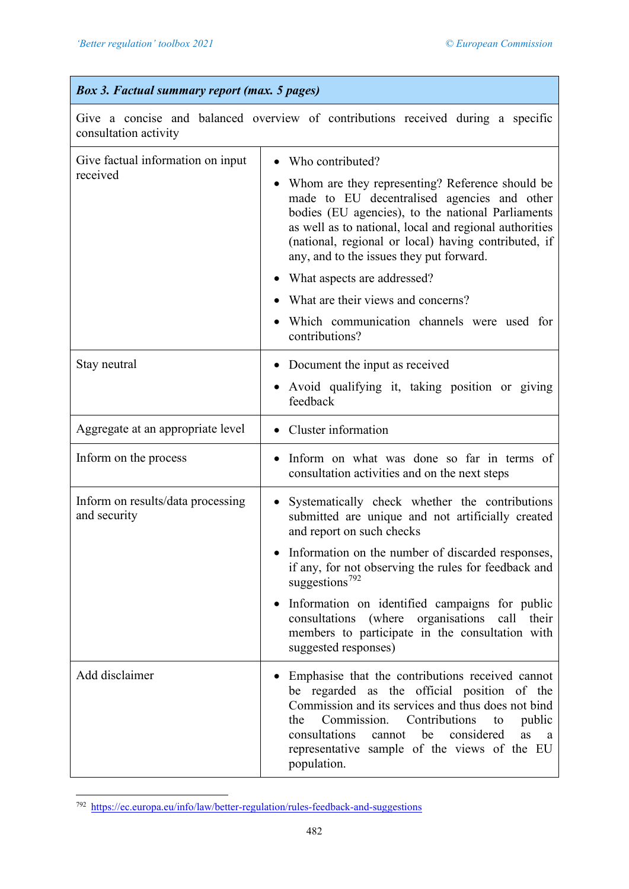# *Box 3. Factual summary report (max. 5 pages)*

Give a concise and balanced overview of contributions received during a specific consultation activity

| Give factual information on input<br>received     | Who contributed?<br>Whom are they representing? Reference should be<br>made to EU decentralised agencies and other<br>bodies (EU agencies), to the national Parliaments<br>as well as to national, local and regional authorities<br>(national, regional or local) having contributed, if<br>any, and to the issues they put forward.<br>What aspects are addressed?<br>$\bullet$<br>What are their views and concerns?<br>Which communication channels were used for<br>contributions? |
|---------------------------------------------------|-----------------------------------------------------------------------------------------------------------------------------------------------------------------------------------------------------------------------------------------------------------------------------------------------------------------------------------------------------------------------------------------------------------------------------------------------------------------------------------------|
| Stay neutral                                      | • Document the input as received<br>Avoid qualifying it, taking position or giving<br>$\bullet$<br>feedback                                                                                                                                                                                                                                                                                                                                                                             |
| Aggregate at an appropriate level                 | Cluster information<br>$\bullet$                                                                                                                                                                                                                                                                                                                                                                                                                                                        |
| Inform on the process                             | Inform on what was done so far in terms of<br>$\bullet$<br>consultation activities and on the next steps                                                                                                                                                                                                                                                                                                                                                                                |
| Inform on results/data processing<br>and security | Systematically check whether the contributions<br>submitted are unique and not artificially created<br>and report on such checks<br>Information on the number of discarded responses,<br>if any, for not observing the rules for feedback and<br>suggestions <sup>792</sup>                                                                                                                                                                                                             |
|                                                   | Information on identified campaigns for public<br>consultations (where organisations call their<br>members to participate in the consultation with<br>suggested responses)                                                                                                                                                                                                                                                                                                              |
| Add disclaimer                                    | Emphasise that the contributions received cannot<br>be regarded as the official position of the<br>Commission and its services and thus does not bind<br>Commission.<br>Contributions<br>public<br>the<br>to<br>consultations<br>cannot be considered<br>as<br>a a<br>representative sample of the views of the EU<br>population.                                                                                                                                                       |

<span id="page-41-0"></span><sup>792</sup> <https://ec.europa.eu/info/law/better-regulation/rules-feedback-and-suggestions>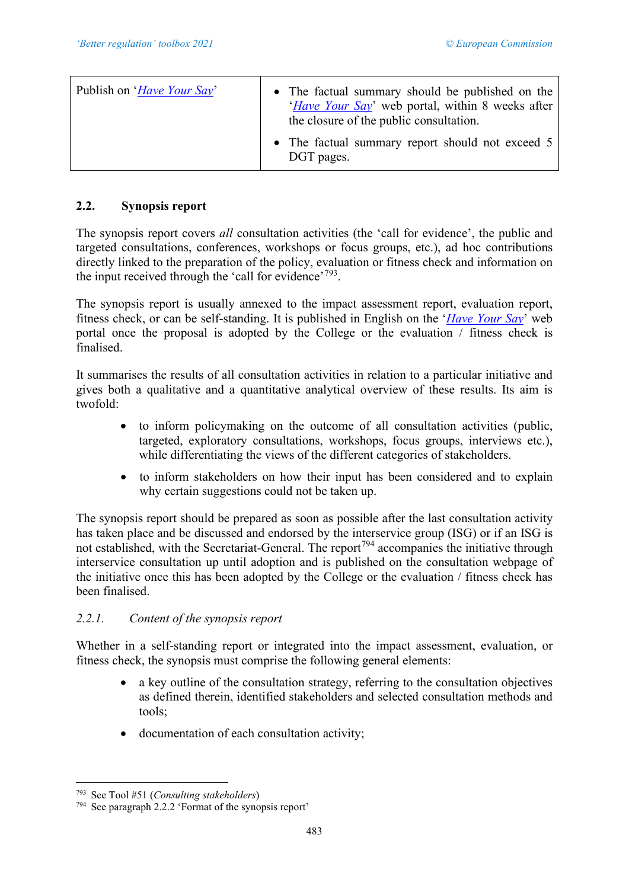| Publish on ' <i>Have Your Say</i> ' | • The factual summary should be published on the<br>' <i>Have Your Say</i> ' web portal, within 8 weeks after<br>the closure of the public consultation. |
|-------------------------------------|----------------------------------------------------------------------------------------------------------------------------------------------------------|
|                                     | • The factual summary report should not exceed 5<br>DGT pages.                                                                                           |

# **2.2. Synopsis report**

The synopsis report covers *all* consultation activities (the 'call for evidence', the public and targeted consultations, conferences, workshops or focus groups, etc.), ad hoc contributions directly linked to the preparation of the policy, evaluation or fitness check and information on the input received through the 'call for evidence'<sup>793</sup>.

The synopsis report is usually annexed to the impact assessment report, evaluation report, fitness check, or can be self-standing. It is published in English on the '*[Have Your Say](https://ec.europa.eu/info/law/better-regulation/have-your-say)*' web portal once the proposal is adopted by the College or the evaluation / fitness check is finalised.

It summarises the results of all consultation activities in relation to a particular initiative and gives both a qualitative and a quantitative analytical overview of these results. Its aim is twofold:

- to inform policymaking on the outcome of all consultation activities (public, targeted, exploratory consultations, workshops, focus groups, interviews etc.), while differentiating the views of the different categories of stakeholders.
- to inform stakeholders on how their input has been considered and to explain why certain suggestions could not be taken up.

The synopsis report should be prepared as soon as possible after the last consultation activity has taken place and be discussed and endorsed by the interservice group (ISG) or if an ISG is not established, with the Secretariat-General. The report<sup>[794](#page-42-1)</sup> accompanies the initiative through interservice consultation up until adoption and is published on the consultation webpage of the initiative once this has been adopted by the College or the evaluation / fitness check has been finalised.

# *2.2.1. Content of the synopsis report*

Whether in a self-standing report or integrated into the impact assessment, evaluation, or fitness check, the synopsis must comprise the following general elements:

- a key outline of the consultation strategy, referring to the consultation objectives as defined therein, identified stakeholders and selected consultation methods and tools;
- documentation of each consultation activity;

<span id="page-42-0"></span><sup>793</sup> See Tool #51 (*Consulting stakeholders*)

<span id="page-42-1"></span><sup>794</sup> See paragraph 2.2.2 'Format of the synopsis report'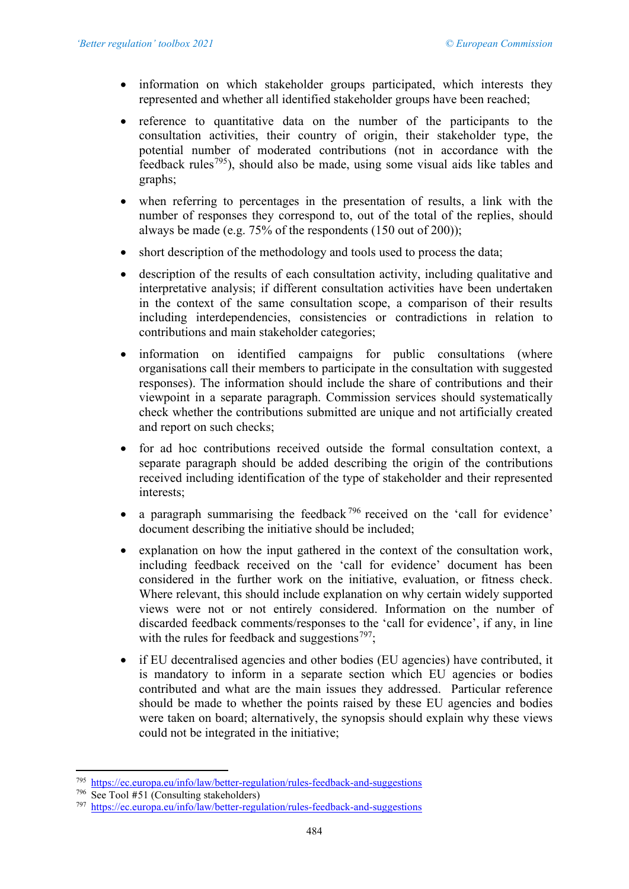- information on which stakeholder groups participated, which interests they represented and whether all identified stakeholder groups have been reached;
- reference to quantitative data on the number of the participants to the consultation activities, their country of origin, their stakeholder type, the potential number of moderated contributions (not in accordance with the feedback rules<sup>[795](#page-43-0)</sup>), should also be made, using some visual aids like tables and graphs;
- when referring to percentages in the presentation of results, a link with the number of responses they correspond to, out of the total of the replies, should always be made (e.g. 75% of the respondents (150 out of 200));
- short description of the methodology and tools used to process the data;
- description of the results of each consultation activity, including qualitative and interpretative analysis; if different consultation activities have been undertaken in the context of the same consultation scope, a comparison of their results including interdependencies, consistencies or contradictions in relation to contributions and main stakeholder categories;
- information on identified campaigns for public consultations (where organisations call their members to participate in the consultation with suggested responses). The information should include the share of contributions and their viewpoint in a separate paragraph. Commission services should systematically check whether the contributions submitted are unique and not artificially created and report on such checks;
- for ad hoc contributions received outside the formal consultation context, a separate paragraph should be added describing the origin of the contributions received including identification of the type of stakeholder and their represented interests;
- a paragraph summarising the feedback  $796$  received on the 'call for evidence' document describing the initiative should be included;
- explanation on how the input gathered in the context of the consultation work, including feedback received on the 'call for evidence' document has been considered in the further work on the initiative, evaluation, or fitness check. Where relevant, this should include explanation on why certain widely supported views were not or not entirely considered. Information on the number of discarded feedback comments/responses to the 'call for evidence', if any, in line with the rules for feedback and suggestions<sup>[797](#page-43-2)</sup>;
- if EU decentralised agencies and other bodies (EU agencies) have contributed, it is mandatory to inform in a separate section which EU agencies or bodies contributed and what are the main issues they addressed. Particular reference should be made to whether the points raised by these EU agencies and bodies were taken on board; alternatively, the synopsis should explain why these views could not be integrated in the initiative;

<span id="page-43-0"></span><sup>795</sup> <https://ec.europa.eu/info/law/better-regulation/rules-feedback-and-suggestions>

<span id="page-43-1"></span><sup>796</sup> See Tool #51 (Consulting stakeholders)

<span id="page-43-2"></span><sup>797</sup> <https://ec.europa.eu/info/law/better-regulation/rules-feedback-and-suggestions>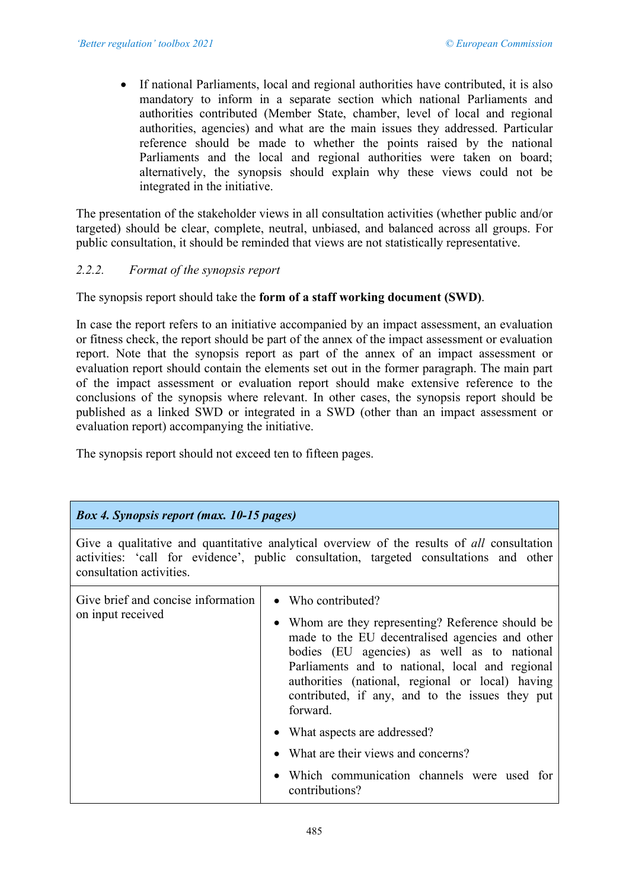• If national Parliaments, local and regional authorities have contributed, it is also mandatory to inform in a separate section which national Parliaments and authorities contributed (Member State, chamber, level of local and regional authorities, agencies) and what are the main issues they addressed. Particular reference should be made to whether the points raised by the national Parliaments and the local and regional authorities were taken on board; alternatively, the synopsis should explain why these views could not be integrated in the initiative.

The presentation of the stakeholder views in all consultation activities (whether public and/or targeted) should be clear, complete, neutral, unbiased, and balanced across all groups. For public consultation, it should be reminded that views are not statistically representative.

# *2.2.2. Format of the synopsis report*

The synopsis report should take the **form of a staff working document (SWD)**.

In case the report refers to an initiative accompanied by an impact assessment, an evaluation or fitness check, the report should be part of the annex of the impact assessment or evaluation report. Note that the synopsis report as part of the annex of an impact assessment or evaluation report should contain the elements set out in the former paragraph. The main part of the impact assessment or evaluation report should make extensive reference to the conclusions of the synopsis where relevant. In other cases, the synopsis report should be published as a linked SWD or integrated in a SWD (other than an impact assessment or evaluation report) accompanying the initiative.

The synopsis report should not exceed ten to fifteen pages.

| <b>Box 4. Synopsis report (max. 10-15 pages)</b>                                                                                                                                                                        |                                                                                                                                                                                                                                                                                                                                                 |  |  |  |
|-------------------------------------------------------------------------------------------------------------------------------------------------------------------------------------------------------------------------|-------------------------------------------------------------------------------------------------------------------------------------------------------------------------------------------------------------------------------------------------------------------------------------------------------------------------------------------------|--|--|--|
| Give a qualitative and quantitative analytical overview of the results of <i>all</i> consultation<br>activities: 'call for evidence', public consultation, targeted consultations and other<br>consultation activities. |                                                                                                                                                                                                                                                                                                                                                 |  |  |  |
| Give brief and concise information<br>on input received                                                                                                                                                                 | • Who contributed?<br>• Whom are they representing? Reference should be<br>made to the EU decentralised agencies and other<br>bodies (EU agencies) as well as to national<br>Parliaments and to national, local and regional<br>authorities (national, regional or local) having<br>contributed, if any, and to the issues they put<br>forward. |  |  |  |
|                                                                                                                                                                                                                         | • What aspects are addressed?                                                                                                                                                                                                                                                                                                                   |  |  |  |
|                                                                                                                                                                                                                         | • What are their views and concerns?                                                                                                                                                                                                                                                                                                            |  |  |  |
|                                                                                                                                                                                                                         | • Which communication channels were used for<br>contributions?                                                                                                                                                                                                                                                                                  |  |  |  |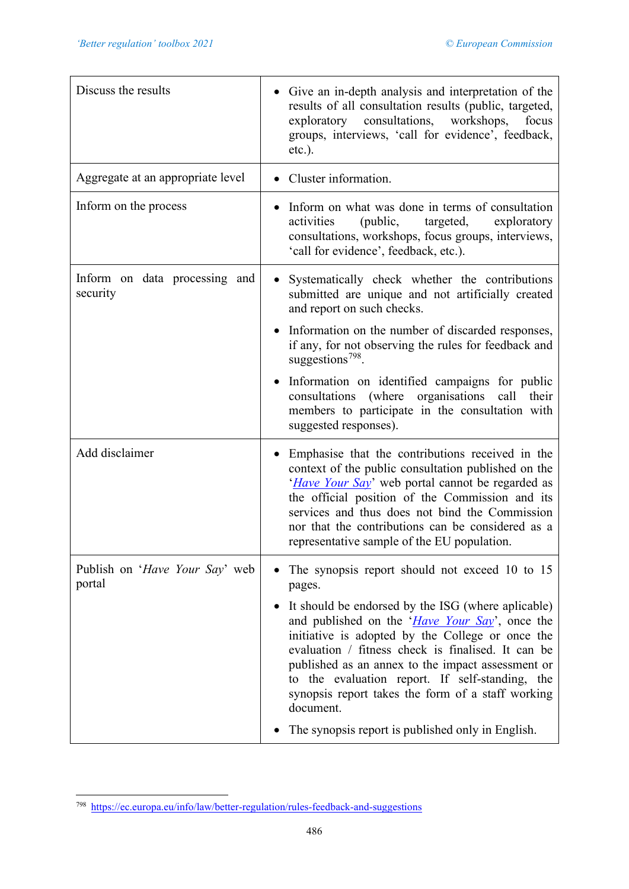| Discuss the results                       | Give an in-depth analysis and interpretation of the<br>results of all consultation results (public, targeted,<br>exploratory consultations, workshops,<br>focus<br>groups, interviews, 'call for evidence', feedback,<br>$etc.$ ).                                                                                                                                                                |
|-------------------------------------------|---------------------------------------------------------------------------------------------------------------------------------------------------------------------------------------------------------------------------------------------------------------------------------------------------------------------------------------------------------------------------------------------------|
| Aggregate at an appropriate level         | Cluster information.                                                                                                                                                                                                                                                                                                                                                                              |
| Inform on the process                     | • Inform on what was done in terms of consultation<br>activities<br>(public,<br>targeted,<br>exploratory<br>consultations, workshops, focus groups, interviews,<br>'call for evidence', feedback, etc.).                                                                                                                                                                                          |
| Inform on data processing and<br>security | Systematically check whether the contributions<br>$\bullet$<br>submitted are unique and not artificially created<br>and report on such checks.                                                                                                                                                                                                                                                    |
|                                           | Information on the number of discarded responses,<br>if any, for not observing the rules for feedback and<br>suggestions <sup>798</sup> .                                                                                                                                                                                                                                                         |
|                                           | • Information on identified campaigns for public<br>(where organisations<br>consultations<br>call<br>their<br>members to participate in the consultation with<br>suggested responses).                                                                                                                                                                                                            |
| Add disclaimer                            | Emphasise that the contributions received in the<br>context of the public consultation published on the<br>' <i>Have Your Say</i> ' web portal cannot be regarded as<br>the official position of the Commission and its<br>services and thus does not bind the Commission<br>nor that the contributions can be considered as a<br>representative sample of the EU population.                     |
| Publish on 'Have Your Say' web<br>portal  | The synopsis report should not exceed 10 to 15<br>pages.                                                                                                                                                                                                                                                                                                                                          |
|                                           | It should be endorsed by the ISG (where aplicable)<br>and published on the ' <i>Have Your Say</i> ', once the<br>initiative is adopted by the College or once the<br>evaluation / fitness check is finalised. It can be<br>published as an annex to the impact assessment or<br>to the evaluation report. If self-standing, the<br>synopsis report takes the form of a staff working<br>document. |
|                                           | The synopsis report is published only in English.                                                                                                                                                                                                                                                                                                                                                 |

<span id="page-45-0"></span><sup>798</sup> <https://ec.europa.eu/info/law/better-regulation/rules-feedback-and-suggestions>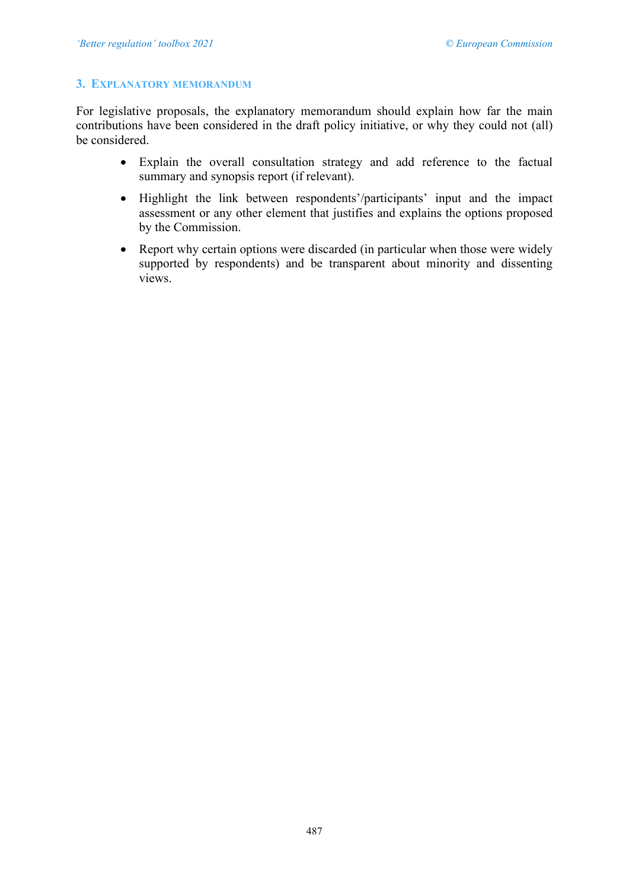#### **3. EXPLANATORY MEMORANDUM**

For legislative proposals, the explanatory memorandum should explain how far the main contributions have been considered in the draft policy initiative, or why they could not (all) be considered.

- Explain the overall consultation strategy and add reference to the factual summary and synopsis report (if relevant).
- Highlight the link between respondents'/participants' input and the impact assessment or any other element that justifies and explains the options proposed by the Commission.
- Report why certain options were discarded (in particular when those were widely supported by respondents) and be transparent about minority and dissenting views.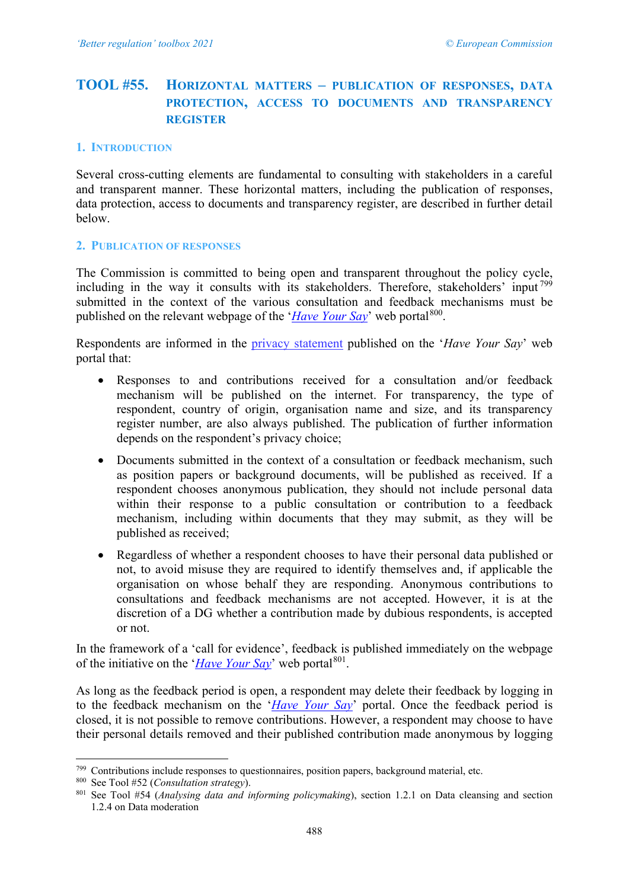# <span id="page-47-0"></span>**TOOL #55. HORIZONTAL MATTERS – PUBLICATION OF RESPONSES, DATA PROTECTION, ACCESS TO DOCUMENTS AND TRANSPARENCY REGISTER**

#### **1. INTRODUCTION**

Several cross-cutting elements are fundamental to consulting with stakeholders in a careful and transparent manner. These horizontal matters, including the publication of responses, data protection, access to documents and transparency register, are described in further detail below.

#### **2. PUBLICATION OF RESPONSES**

The Commission is committed to being open and transparent throughout the policy cycle, including in the way it consults with its stakeholders. Therefore, stakeholders' input<sup>[799](#page-47-1)</sup> submitted in the context of the various consultation and feedback mechanisms must be published on the relevant webpage of the '*[Have Your Say](https://ec.europa.eu/info/law/better-regulation/have-your-say)*' web portal<sup>[800](#page-47-2)</sup>.

Respondents are informed in the [privacy statement](https://ec.europa.eu/info/law/better-regulation/specific-privacy-statement) published on the '*Have Your Say*' web portal that:

- Responses to and contributions received for a consultation and/or feedback mechanism will be published on the internet. For transparency, the type of respondent, country of origin, organisation name and size, and its transparency register number, are also always published. The publication of further information depends on the respondent's privacy choice;
- Documents submitted in the context of a consultation or feedback mechanism, such as position papers or background documents, will be published as received. If a respondent chooses anonymous publication, they should not include personal data within their response to a public consultation or contribution to a feedback mechanism, including within documents that they may submit, as they will be published as received;
- Regardless of whether a respondent chooses to have their personal data published or not, to avoid misuse they are required to identify themselves and, if applicable the organisation on whose behalf they are responding. Anonymous contributions to consultations and feedback mechanisms are not accepted. However, it is at the discretion of a DG whether a contribution made by dubious respondents, is accepted or not.

In the framework of a 'call for evidence', feedback is published immediately on the webpage of the initiative on the '*[Have Your Say](https://ec.europa.eu/info/law/better-regulation/have-your-say)*' web portal<sup>801</sup>.

As long as the feedback period is open, a respondent may delete their feedback by logging in to the feedback mechanism on the '*[Have Your Say](https://ec.europa.eu/info/law/better-regulation/have-your-say)*' portal. Once the feedback period is closed, it is not possible to remove contributions. However, a respondent may choose to have their personal details removed and their published contribution made anonymous by logging

<span id="page-47-1"></span><sup>799</sup> Contributions include responses to questionnaires, position papers, background material, etc.

<span id="page-47-2"></span><sup>800</sup> See Tool #52 (*Consultation strategy*).

<span id="page-47-3"></span><sup>801</sup> See Tool #54 (*Analysing data and informing policymaking*), section 1.2.1 on Data cleansing and section 1.2.4 on Data moderation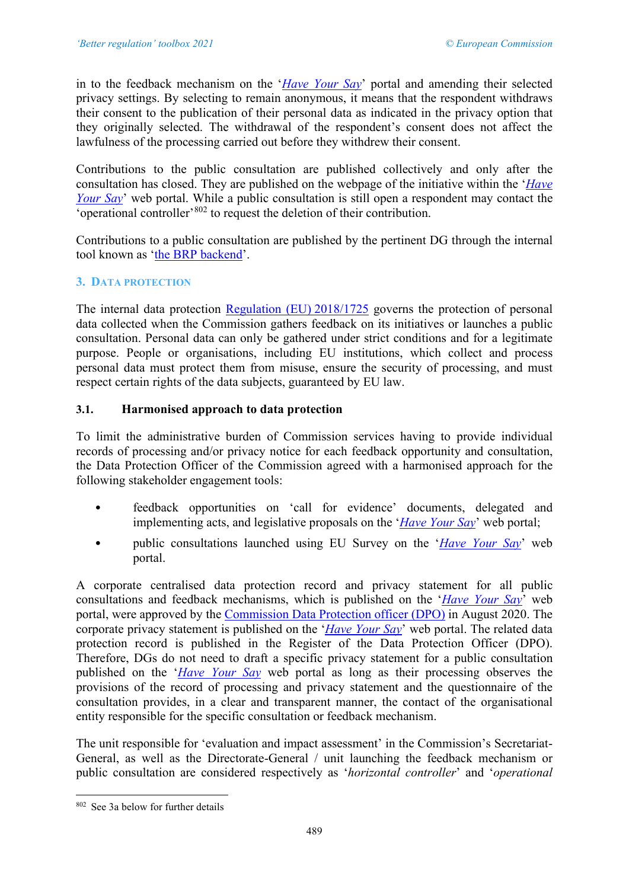in to the feedback mechanism on the '*[Have Your Say](https://ec.europa.eu/info/law/better-regulation/have-your-say)*' portal and amending their selected privacy settings. By selecting to remain anonymous, it means that the respondent withdraws their consent to the publication of their personal data as indicated in the privacy option that they originally selected. The withdrawal of the respondent's consent does not affect the lawfulness of the processing carried out before they withdrew their consent.

Contributions to the public consultation are published collectively and only after the consultation has closed. They are published on the webpage of the initiative within the '*[Have](https://ec.europa.eu/info/law/better-regulation/have-your-say)  [Your Say](https://ec.europa.eu/info/law/better-regulation/have-your-say)*' web portal. While a public consultation is still open a respondent may contact the 'operational controller'[802](#page-48-0) to request the deletion of their contribution.

Contributions to a public consultation are published by the pertinent DG through the internal tool known as ['the BRP backend'](https://www.cc.cec/brp/#/).

# **3. DATA PROTECTION**

The internal data protection [Regulation \(EU\)](https://eur-lex.europa.eu/legal-content/EN/TXT/?uri=CELEX:32018R1725) 2018/1725 governs the protection of personal data collected when the Commission gathers feedback on its initiatives or launches a public consultation. Personal data can only be gathered under strict conditions and for a legitimate purpose. People or organisations, including EU institutions, which collect and process personal data must protect them from misuse, ensure the security of processing, and must respect certain rights of the data subjects, guaranteed by EU law.

## **3.1. Harmonised approach to data protection**

To limit the administrative burden of Commission services having to provide individual records of processing and/or privacy notice for each feedback opportunity and consultation, the Data Protection Officer of the Commission agreed with a harmonised approach for the following stakeholder engagement tools:

- feedback opportunities on 'call for evidence' documents, delegated and implementing acts, and legislative proposals on the '*[Have Your Say](https://ec.europa.eu/info/law/better-regulation/have-your-say)*' web portal;
- public consultations launched using EU Survey on the '*[Have Your Say](https://ec.europa.eu/info/law/better-regulation/have-your-say)*' web portal.

A corporate centralised data protection record and privacy statement for all public consultations and feedback mechanisms, which is published on the '*[Have Your Say](https://ec.europa.eu/info/law/better-regulation/have-your-say)*' web portal, were approved by the [Commission Data Protection officer \(DPO\)](https://ec.europa.eu/dpo-register/detail/DPR-EC-00596) in August 2020. The corporate privacy statement is published on the '*[Have Your Say](https://ec.europa.eu/info/law/better-regulation/have-your-say)*' web portal. The related data protection record is published in the Register of the Data Protection Officer (DPO). Therefore, DGs do not need to draft a specific privacy statement for a public consultation published on the '*[Have Your Say](https://ec.europa.eu/info/law/better-regulation/have-your-say)* web portal as long as their processing observes the provisions of the record of processing and privacy statement and the questionnaire of the consultation provides, in a clear and transparent manner, the contact of the organisational entity responsible for the specific consultation or feedback mechanism.

The unit responsible for 'evaluation and impact assessment' in the Commission's Secretariat-General, as well as the Directorate-General / unit launching the feedback mechanism or public consultation are considered respectively as '*horizontal controller*' and '*operational* 

<span id="page-48-0"></span><sup>802</sup> See 3a below for further details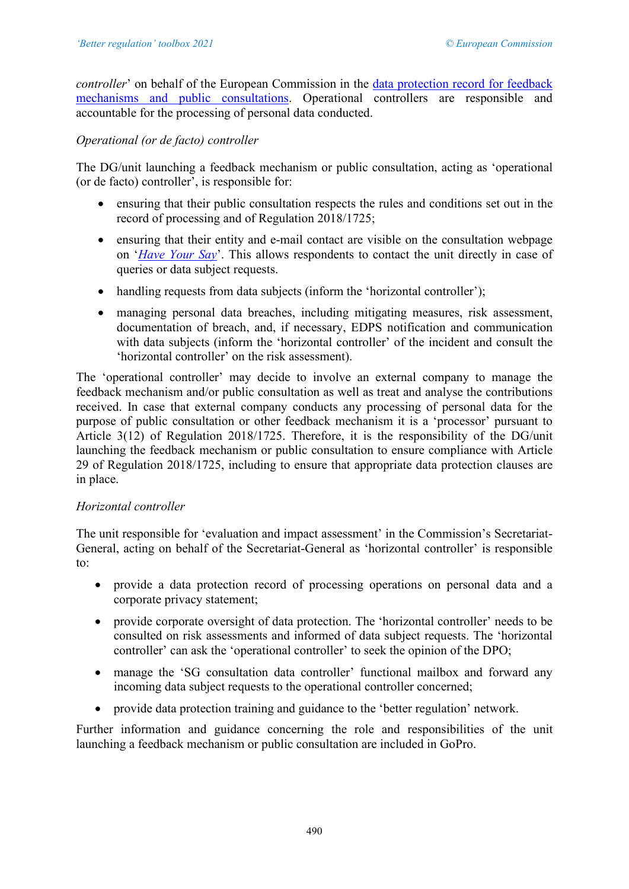*controller*' on behalf of the European Commission in the data protection record for feedback [mechanisms and public consultations.](https://ec.europa.eu/dpo-register/detail/DPR-EC-00596) Operational controllers are responsible and accountable for the processing of personal data conducted.

# *Operational (or de facto) controller*

The DG/unit launching a feedback mechanism or public consultation, acting as 'operational (or de facto) controller', is responsible for:

- ensuring that their public consultation respects the rules and conditions set out in the record of processing and of Regulation 2018/1725;
- ensuring that their entity and e-mail contact are visible on the consultation webpage on '*[Have Your Say](https://ec.europa.eu/info/law/better-regulation/have-your-say)*'. This allows respondents to contact the unit directly in case of queries or data subject requests.
- handling requests from data subjects (inform the 'horizontal controller');
- managing personal data breaches, including mitigating measures, risk assessment, documentation of breach, and, if necessary, EDPS notification and communication with data subjects (inform the 'horizontal controller' of the incident and consult the 'horizontal controller' on the risk assessment).

The 'operational controller' may decide to involve an external company to manage the feedback mechanism and/or public consultation as well as treat and analyse the contributions received. In case that external company conducts any processing of personal data for the purpose of public consultation or other feedback mechanism it is a 'processor' pursuant to Article 3(12) of Regulation 2018/1725. Therefore, it is the responsibility of the DG/unit launching the feedback mechanism or public consultation to ensure compliance with Article 29 of Regulation 2018/1725, including to ensure that appropriate data protection clauses are in place.

## *Horizontal controller*

The unit responsible for 'evaluation and impact assessment' in the Commission's Secretariat-General, acting on behalf of the Secretariat-General as 'horizontal controller' is responsible to:

- provide a data protection record of processing operations on personal data and a corporate privacy statement;
- provide corporate oversight of data protection. The 'horizontal controller' needs to be consulted on risk assessments and informed of data subject requests. The 'horizontal controller' can ask the 'operational controller' to seek the opinion of the DPO;
- manage the 'SG consultation data controller' functional mailbox and forward any incoming data subject requests to the operational controller concerned;
- provide data protection training and guidance to the 'better regulation' network.

Further information and guidance concerning the role and responsibilities of the unit launching a feedback mechanism or public consultation are included in GoPro.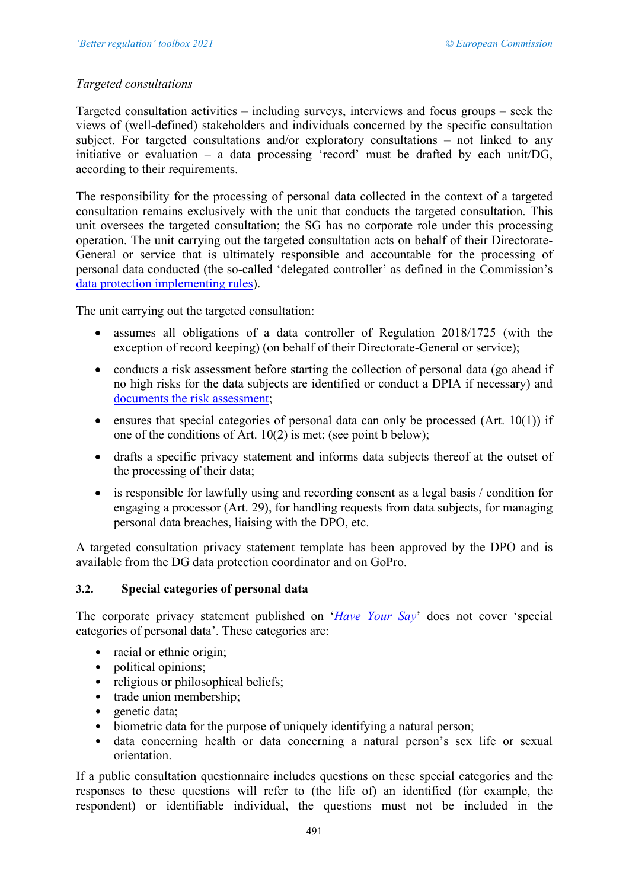# *Targeted consultations*

Targeted consultation activities – including surveys, interviews and focus groups – seek the views of (well-defined) stakeholders and individuals concerned by the specific consultation subject. For targeted consultations and/or exploratory consultations – not linked to any initiative or evaluation – a data processing 'record' must be drafted by each unit/DG, according to their requirements.

The responsibility for the processing of personal data collected in the context of a targeted consultation remains exclusively with the unit that conducts the targeted consultation. This unit oversees the targeted consultation; the SG has no corporate role under this processing operation. The unit carrying out the targeted consultation acts on behalf of their Directorate-General or service that is ultimately responsible and accountable for the processing of personal data conducted (the so-called 'delegated controller' as defined in the Commission's [data protection implementing rules\)](https://eur-lex.europa.eu/legal-content/EN/TXT/?uri=CELEX:32020D0969).

The unit carrying out the targeted consultation:

- assumes all obligations of a data controller of Regulation 2018/1725 (with the exception of record keeping) (on behalf of their Directorate-General or service);
- conducts a risk assessment before starting the collection of personal data (go ahead if no high risks for the data subjects are identified or conduct a DPIA if necessary) and documents [the risk assessment;](https://myintracomm.ec.europa.eu/sg/dpo/Documents/Annex_guidance.pdf)
- ensures that special categories of personal data can only be processed  $(Art. 10(1))$  if one of the conditions of Art. 10(2) is met; (see point b below);
- drafts a specific privacy statement and informs data subjects thereof at the outset of the processing of their data;
- is responsible for lawfully using and recording consent as a legal basis / condition for engaging a processor (Art. 29), for handling requests from data subjects, for managing personal data breaches, liaising with the DPO, etc.

A targeted consultation privacy statement template has been approved by the DPO and is available from the DG data protection coordinator and on GoPro.

## **3.2. Special categories of personal data**

The corporate privacy statement published on '*[Have Your Say](https://ec.europa.eu/info/law/better-regulation/have-your-say)*' does not cover 'special categories of personal data'. These categories are:

- racial or ethnic origin;
- political opinions;
- religious or philosophical beliefs;
- trade union membership;
- genetic data;
- biometric data for the purpose of uniquely identifying a natural person;
- data concerning health or data concerning a natural person's sex life or sexual orientation.

If a public consultation questionnaire includes questions on these special categories and the responses to these questions will refer to (the life of) an identified (for example, the respondent) or identifiable individual, the questions must not be included in the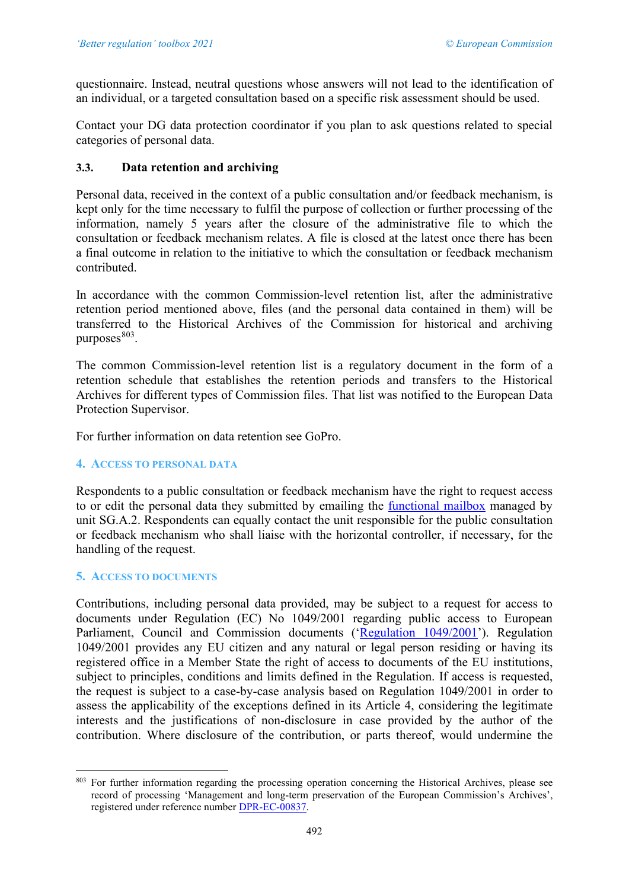questionnaire. Instead, neutral questions whose answers will not lead to the identification of an individual, or a targeted consultation based on a specific risk assessment should be used.

Contact your DG data protection coordinator if you plan to ask questions related to special categories of personal data.

# **3.3. Data retention and archiving**

Personal data, received in the context of a public consultation and/or feedback mechanism, is kept only for the time necessary to fulfil the purpose of collection or further processing of the information, namely 5 years after the closure of the administrative file to which the consultation or feedback mechanism relates. A file is closed at the latest once there has been a final outcome in relation to the initiative to which the consultation or feedback mechanism contributed.

In accordance with the common Commission-level retention list, after the administrative retention period mentioned above, files (and the personal data contained in them) will be transferred to the Historical Archives of the Commission for historical and archiving purposes $803$ .

The common Commission-level retention list is a regulatory document in the form of a retention schedule that establishes the retention periods and transfers to the Historical Archives for different types of Commission files. That list was notified to the European Data Protection Supervisor.

For further information on data retention see GoPro.

## **4. ACCESS TO PERSONAL DATA**

Respondents to a public consultation or feedback mechanism have the right to request access to or edit the personal data they submitted by emailing the [functional mailbox](mailto:SG-CONSULTATION-DATA-CONTROLLER@ec.europa.eu) managed by unit SG.A.2. Respondents can equally contact the unit responsible for the public consultation or feedback mechanism who shall liaise with the horizontal controller, if necessary, for the handling of the request.

## **5. ACCESS TO DOCUMENTS**

Contributions, including personal data provided, may be subject to a request for access to documents under Regulation (EC) No 1049/2001 regarding public access to European Parliament, Council and Commission documents (['Regulation 1049/2001'](https://eur-lex.europa.eu/legal-content/EN/ALL/?uri=CELEX:32001R1049)). Regulation 1049/2001 provides any EU citizen and any natural or legal person residing or having its registered office in a Member State the right of access to documents of the EU institutions, subject to principles, conditions and limits defined in the Regulation. If access is requested, the request is subject to a case-by-case analysis based on Regulation 1049/2001 in order to assess the applicability of the exceptions defined in its Article 4, considering the legitimate interests and the justifications of non-disclosure in case provided by the author of the contribution. Where disclosure of the contribution, or parts thereof, would undermine the

<span id="page-51-0"></span><sup>&</sup>lt;sup>803</sup> For further information regarding the processing operation concerning the Historical Archives, please see record of processing 'Management and long-term preservation of the European Commission's Archives', registered under reference number [DPR-EC-00837.](https://ec.europa.eu/dpo-register/detail/DPR-EC-00837)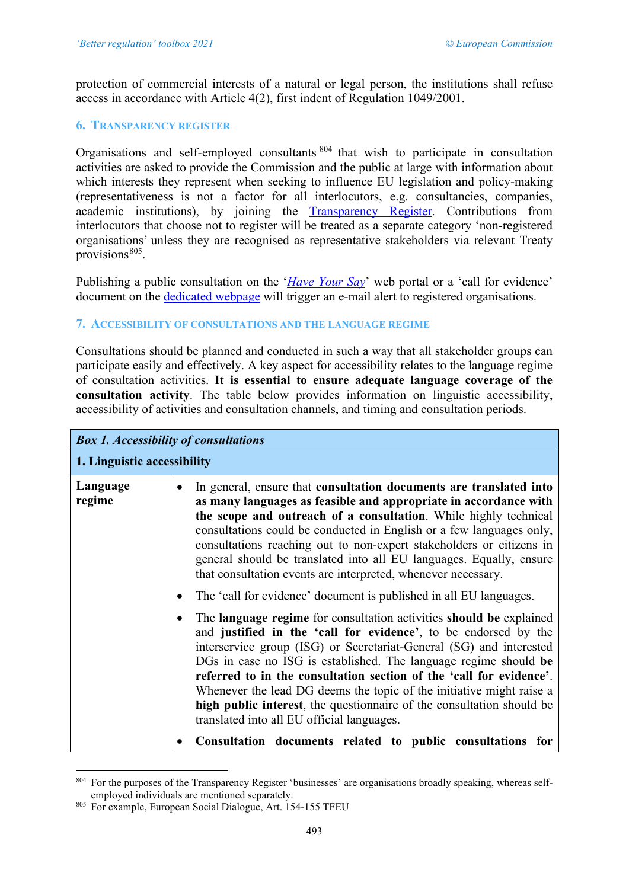protection of commercial interests of a natural or legal person, the institutions shall refuse access in accordance with Article 4(2), first indent of Regulation 1049/2001.

#### **6. TRANSPARENCY REGISTER**

Organisations and self-employed consultants [804](#page-52-0) that wish to participate in consultation activities are asked to provide the Commission and the public at large with information about which interests they represent when seeking to influence EU legislation and policy-making (representativeness is not a factor for all interlocutors, e.g. consultancies, companies, academic institutions), by joining the [Transparency Register.](https://ec.europa.eu/transparencyregister/public/homePage.do) Contributions from interlocutors that choose not to register will be treated as a separate category 'non-registered organisations' unless they are recognised as representative stakeholders via relevant Treaty provisions $805$ .

Publishing a public consultation on the '*[Have Your Say](https://ec.europa.eu/info/law/better-regulation/have-your-say)*' web portal or a 'call for evidence' document on the [dedicated webpage](http://ec.europa.eu/info/law/better-regulation/initiatives) will trigger an e-mail alert to registered organisations.

## **7. ACCESSIBILITY OF CONSULTATIONS AND THE LANGUAGE REGIME**

Consultations should be planned and conducted in such a way that all stakeholder groups can participate easily and effectively. A key aspect for accessibility relates to the language regime of consultation activities. **It is essential to ensure adequate language coverage of the consultation activity**. The table below provides information on linguistic accessibility, accessibility of activities and consultation channels, and timing and consultation periods.

|                             | <b>Box 1. Accessibility of consultations</b>                                                                                                                                                                                                                                                                                                                                                                                                                                                                                                            |  |
|-----------------------------|---------------------------------------------------------------------------------------------------------------------------------------------------------------------------------------------------------------------------------------------------------------------------------------------------------------------------------------------------------------------------------------------------------------------------------------------------------------------------------------------------------------------------------------------------------|--|
| 1. Linguistic accessibility |                                                                                                                                                                                                                                                                                                                                                                                                                                                                                                                                                         |  |
| Language<br>regime          | In general, ensure that consultation documents are translated into<br>$\bullet$<br>as many languages as feasible and appropriate in accordance with<br>the scope and outreach of a consultation. While highly technical<br>consultations could be conducted in English or a few languages only,<br>consultations reaching out to non-expert stakeholders or citizens in<br>general should be translated into all EU languages. Equally, ensure<br>that consultation events are interpreted, whenever necessary.                                         |  |
|                             | The 'call for evidence' document is published in all EU languages.<br>$\bullet$                                                                                                                                                                                                                                                                                                                                                                                                                                                                         |  |
|                             | The language regime for consultation activities should be explained<br>and justified in the 'call for evidence', to be endorsed by the<br>interservice group (ISG) or Secretariat-General (SG) and interested<br>DGs in case no ISG is established. The language regime should be<br>referred to in the consultation section of the 'call for evidence'.<br>Whenever the lead DG deems the topic of the initiative might raise a<br>high public interest, the questionnaire of the consultation should be<br>translated into all EU official languages. |  |
|                             | Consultation documents related to public consultations for                                                                                                                                                                                                                                                                                                                                                                                                                                                                                              |  |

<span id="page-52-0"></span><sup>&</sup>lt;sup>804</sup> For the purposes of the Transparency Register 'businesses' are organisations broadly speaking, whereas self-<br>employed individuals are mentioned separately.

<span id="page-52-1"></span><sup>805</sup> For example, European Social Dialogue, Art. 154-155 TFEU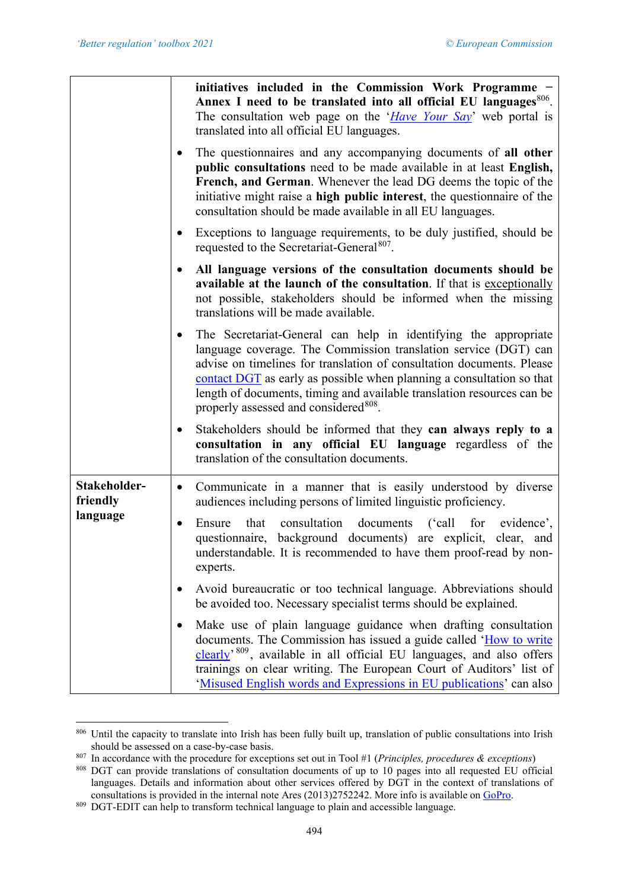|                                      |           | initiatives included in the Commission Work Programme -<br>Annex I need to be translated into all official EU languages <sup>806</sup> .<br>The consultation web page on the ' <i>Have Your Say</i> ' web portal is<br>translated into all official EU languages.                                                                                                                                                   |
|--------------------------------------|-----------|---------------------------------------------------------------------------------------------------------------------------------------------------------------------------------------------------------------------------------------------------------------------------------------------------------------------------------------------------------------------------------------------------------------------|
|                                      | $\bullet$ | The questionnaires and any accompanying documents of all other<br>public consultations need to be made available in at least English,<br>French, and German. Whenever the lead DG deems the topic of the<br>initiative might raise a high public interest, the questionnaire of the<br>consultation should be made available in all EU languages.                                                                   |
|                                      | $\bullet$ | Exceptions to language requirements, to be duly justified, should be<br>requested to the Secretariat-General <sup>807</sup> .                                                                                                                                                                                                                                                                                       |
|                                      | $\bullet$ | All language versions of the consultation documents should be<br>available at the launch of the consultation. If that is exceptionally<br>not possible, stakeholders should be informed when the missing<br>translations will be made available.                                                                                                                                                                    |
|                                      | $\bullet$ | The Secretariat-General can help in identifying the appropriate<br>language coverage. The Commission translation service (DGT) can<br>advise on timelines for translation of consultation documents. Please<br>contact DGT as early as possible when planning a consultation so that<br>length of documents, timing and available translation resources can be<br>properly assessed and considered <sup>808</sup> . |
|                                      | $\bullet$ | Stakeholders should be informed that they can always reply to a<br>consultation in any official EU language regardless of the<br>translation of the consultation documents.                                                                                                                                                                                                                                         |
| Stakeholder-<br>friendly<br>language | $\bullet$ | Communicate in a manner that is easily understood by diverse<br>audiences including persons of limited linguistic proficiency.                                                                                                                                                                                                                                                                                      |
|                                      | $\bullet$ | consultation<br>documents<br>('call<br>for evidence',<br>Ensure<br>that<br>questionnaire, background documents) are explicit, clear, and<br>understandable. It is recommended to have them proof-read by non-<br>experts.                                                                                                                                                                                           |
|                                      | ٠         | Avoid bureaucratic or too technical language. Abbreviations should<br>be avoided too. Necessary specialist terms should be explained.                                                                                                                                                                                                                                                                               |
|                                      | ٠         | Make use of plain language guidance when drafting consultation<br>documents. The Commission has issued a guide called 'How to write<br>clearly <sup>, 809</sup> , available in all official EU languages, and also offers<br>trainings on clear writing. The European Court of Auditors' list of<br>'Misused English words and Expressions in EU publications' can also                                             |

<span id="page-53-0"></span><sup>806</sup> Until the capacity to translate into Irish has been fully built up, translation of public consultations into Irish should be assessed on a case-by-case basis.

<span id="page-53-1"></span><sup>807</sup> In accordance with the procedure for exceptions set out in Tool #1 (*Principles, procedures & exceptions*)

<span id="page-53-2"></span><sup>808</sup> DGT can provide translations of consultation documents of up to 10 pages into all requested EU official languages. Details and information about other services offered by DGT in the context of translations of consultations is provided in the internal note Ares (2013)2752242. More info is available on [GoPro.](https://webgate.ec.europa.eu/fpfis/wikis/display/REGISTRY/Stakeholders%20consultation)

<span id="page-53-3"></span><sup>809</sup> DGT-EDIT can help to transform technical language to plain and accessible language.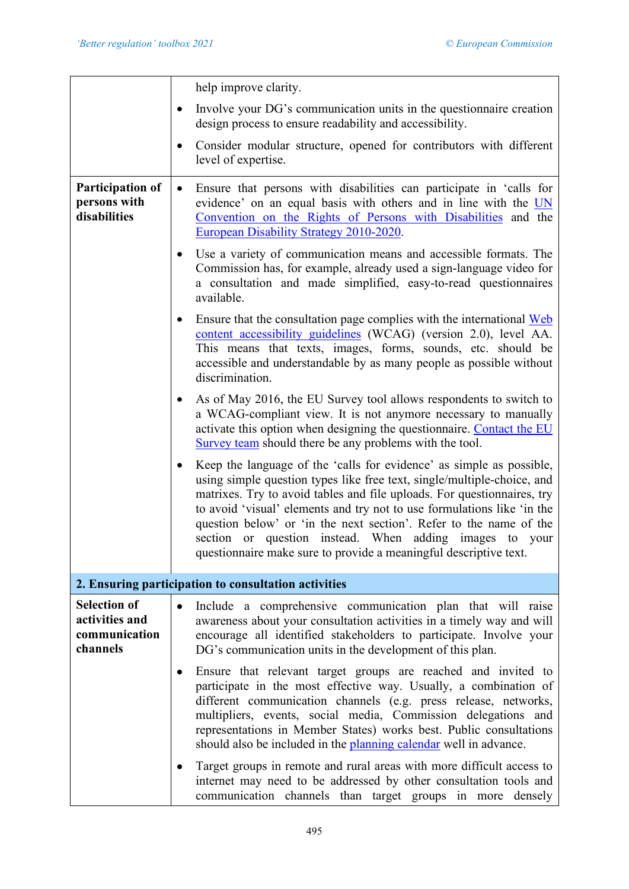|                                                                    | help improve clarity.                                                                                                                                                                                                                                                                                                                                                                                                                                                                                       |
|--------------------------------------------------------------------|-------------------------------------------------------------------------------------------------------------------------------------------------------------------------------------------------------------------------------------------------------------------------------------------------------------------------------------------------------------------------------------------------------------------------------------------------------------------------------------------------------------|
|                                                                    | Involve your DG's communication units in the question aire creation<br>٠<br>design process to ensure readability and accessibility.                                                                                                                                                                                                                                                                                                                                                                         |
|                                                                    | Consider modular structure, opened for contributors with different<br>٠<br>level of expertise.                                                                                                                                                                                                                                                                                                                                                                                                              |
| Participation of<br>persons with<br>disabilities                   | Ensure that persons with disabilities can participate in 'calls for<br>$\bullet$<br>evidence' on an equal basis with others and in line with the UN<br>Convention on the Rights of Persons with Disabilities and the<br>European Disability Strategy 2010-2020.                                                                                                                                                                                                                                             |
|                                                                    | Use a variety of communication means and accessible formats. The<br>$\bullet$<br>Commission has, for example, already used a sign-language video for<br>a consultation and made simplified, easy-to-read questionnaires<br>available.                                                                                                                                                                                                                                                                       |
|                                                                    | Ensure that the consultation page complies with the international Web<br>$\bullet$<br>content accessibility guidelines (WCAG) (version 2.0), level AA.<br>This means that texts, images, forms, sounds, etc. should be<br>accessible and understandable by as many people as possible without<br>discrimination.                                                                                                                                                                                            |
|                                                                    | As of May 2016, the EU Survey tool allows respondents to switch to<br>$\bullet$<br>a WCAG-compliant view. It is not anymore necessary to manually<br>activate this option when designing the questionnaire. Contact the EU<br>Survey team should there be any problems with the tool.                                                                                                                                                                                                                       |
|                                                                    | Keep the language of the 'calls for evidence' as simple as possible,<br>using simple question types like free text, single/multiple-choice, and<br>matrixes. Try to avoid tables and file uploads. For questionnaires, try<br>to avoid 'visual' elements and try not to use formulations like 'in the<br>question below' or 'in the next section'. Refer to the name of the<br>section or question instead. When adding images to your<br>questionnaire make sure to provide a meaningful descriptive text. |
|                                                                    | 2. Ensuring participation to consultation activities                                                                                                                                                                                                                                                                                                                                                                                                                                                        |
| <b>Selection of</b><br>activities and<br>communication<br>channels | Include a comprehensive communication plan that will raise<br>$\bullet$<br>awareness about your consultation activities in a timely way and will<br>encourage all identified stakeholders to participate. Involve your<br>DG's communication units in the development of this plan.                                                                                                                                                                                                                         |
|                                                                    | Ensure that relevant target groups are reached and invited to<br>٠<br>participate in the most effective way. Usually, a combination of<br>different communication channels (e.g. press release, networks,<br>multipliers, events, social media, Commission delegations and<br>representations in Member States) works best. Public consultations<br>should also be included in the planning calendar well in advance.                                                                                       |
|                                                                    | Target groups in remote and rural areas with more difficult access to<br>internet may need to be addressed by other consultation tools and<br>communication channels than target groups in more densely                                                                                                                                                                                                                                                                                                     |